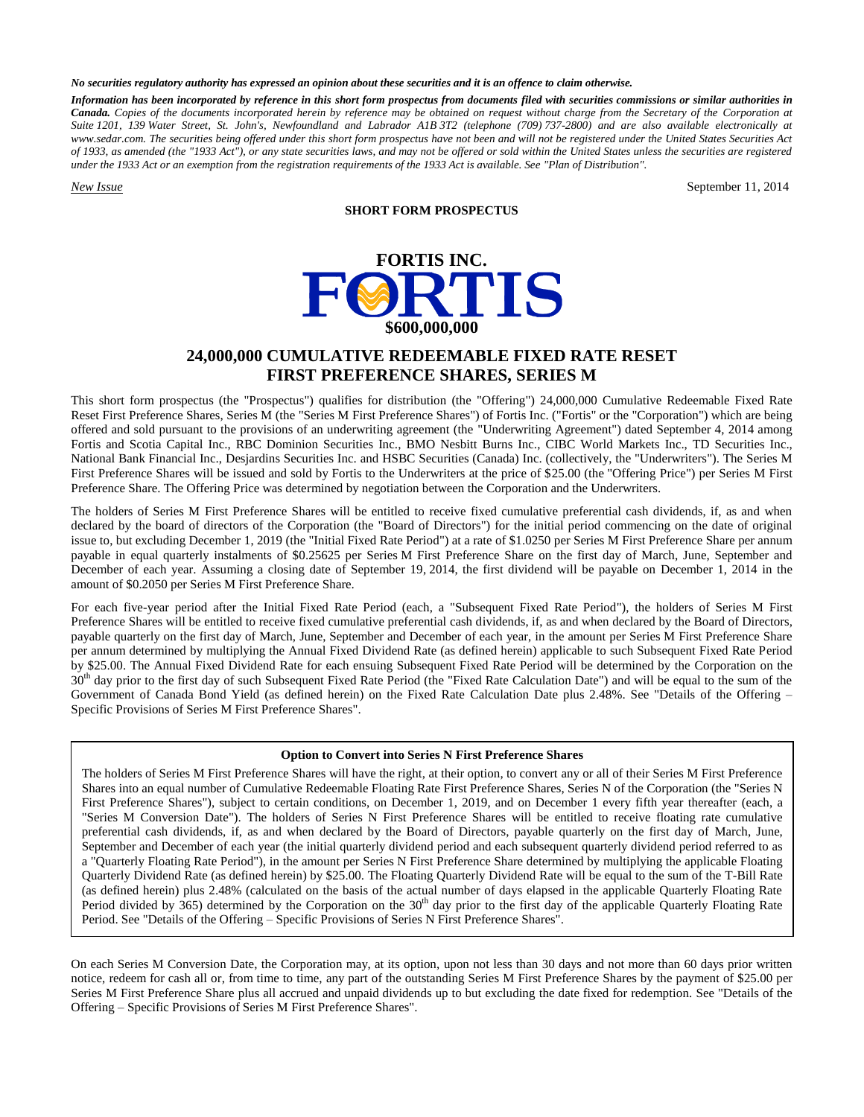#### *No securities regulatory authority has expressed an opinion about these securities and it is an offence to claim otherwise.*

*Information has been incorporated by reference in this short form prospectus from documents filed with securities commissions or similar authorities in Canada. Copies of the documents incorporated herein by reference may be obtained on request without charge from the Secretary of the Corporation at Suite 1201, 139 Water Street, St. John's, Newfoundland and Labrador A1B 3T2 (telephone (709) 737-2800) and are also available electronically at www.sedar.com. The securities being offered under this short form prospectus have not been and will not be registered under the United States Securities Act of 1933, as amended (the "1933 Act"), or any state securities laws, and may not be offered or sold within the United States unless the securities are registered under the 1933 Act or an exemption from the registration requirements of the 1933 Act is available. See "Plan of Distribution".*

*New Issue* September 11, 2014

## **SHORT FORM PROSPECTUS**



# **24,000,000 CUMULATIVE REDEEMABLE FIXED RATE RESET FIRST PREFERENCE SHARES, SERIES M**

This short form prospectus (the "Prospectus") qualifies for distribution (the "Offering") 24,000,000 Cumulative Redeemable Fixed Rate Reset First Preference Shares, Series M (the "Series M First Preference Shares") of Fortis Inc. ("Fortis" or the "Corporation") which are being offered and sold pursuant to the provisions of an underwriting agreement (the "Underwriting Agreement") dated September 4, 2014 among Fortis and Scotia Capital Inc., RBC Dominion Securities Inc., BMO Nesbitt Burns Inc., CIBC World Markets Inc., TD Securities Inc., National Bank Financial Inc., Desjardins Securities Inc. and HSBC Securities (Canada) Inc. (collectively, the "Underwriters"). The Series M First Preference Shares will be issued and sold by Fortis to the Underwriters at the price of \$25.00 (the "Offering Price") per Series M First Preference Share. The Offering Price was determined by negotiation between the Corporation and the Underwriters.

The holders of Series M First Preference Shares will be entitled to receive fixed cumulative preferential cash dividends, if, as and when declared by the board of directors of the Corporation (the "Board of Directors") for the initial period commencing on the date of original issue to, but excluding December 1, 2019 (the "Initial Fixed Rate Period") at a rate of \$1.0250 per Series M First Preference Share per annum payable in equal quarterly instalments of \$0.25625 per Series M First Preference Share on the first day of March, June, September and December of each year. Assuming a closing date of September 19, 2014, the first dividend will be payable on December 1, 2014 in the amount of \$0.2050 per Series M First Preference Share.

For each five-year period after the Initial Fixed Rate Period (each, a "Subsequent Fixed Rate Period"), the holders of Series M First Preference Shares will be entitled to receive fixed cumulative preferential cash dividends, if, as and when declared by the Board of Directors, payable quarterly on the first day of March, June, September and December of each year, in the amount per Series M First Preference Share per annum determined by multiplying the Annual Fixed Dividend Rate (as defined herein) applicable to such Subsequent Fixed Rate Period by \$25.00. The Annual Fixed Dividend Rate for each ensuing Subsequent Fixed Rate Period will be determined by the Corporation on the 30<sup>th</sup> day prior to the first day of such Subsequent Fixed Rate Period (the "Fixed Rate Calculation Date") and will be equal to the sum of the Government of Canada Bond Yield (as defined herein) on the Fixed Rate Calculation Date plus 2.48%. See "Details of the Offering – Specific Provisions of Series M First Preference Shares".

#### **Option to Convert into Series N First Preference Shares**

The holders of Series M First Preference Shares will have the right, at their option, to convert any or all of their Series M First Preference Shares into an equal number of Cumulative Redeemable Floating Rate First Preference Shares, Series N of the Corporation (the "Series N First Preference Shares"), subject to certain conditions, on December 1, 2019, and on December 1 every fifth year thereafter (each, a "Series M Conversion Date"). The holders of Series N First Preference Shares will be entitled to receive floating rate cumulative preferential cash dividends, if, as and when declared by the Board of Directors, payable quarterly on the first day of March, June, September and December of each year (the initial quarterly dividend period and each subsequent quarterly dividend period referred to as a "Quarterly Floating Rate Period"), in the amount per Series N First Preference Share determined by multiplying the applicable Floating Quarterly Dividend Rate (as defined herein) by \$25.00. The Floating Quarterly Dividend Rate will be equal to the sum of the T-Bill Rate (as defined herein) plus 2.48% (calculated on the basis of the actual number of days elapsed in the applicable Quarterly Floating Rate Period divided by 365) determined by the Corporation on the 30<sup>th</sup> day prior to the first day of the applicable Quarterly Floating Rate Period. See "Details of the Offering – Specific Provisions of Series N First Preference Shares".

On each Series M Conversion Date, the Corporation may, at its option, upon not less than 30 days and not more than 60 days prior written notice, redeem for cash all or, from time to time, any part of the outstanding Series M First Preference Shares by the payment of \$25.00 per Series M First Preference Share plus all accrued and unpaid dividends up to but excluding the date fixed for redemption. See "Details of the Offering – Specific Provisions of Series M First Preference Shares".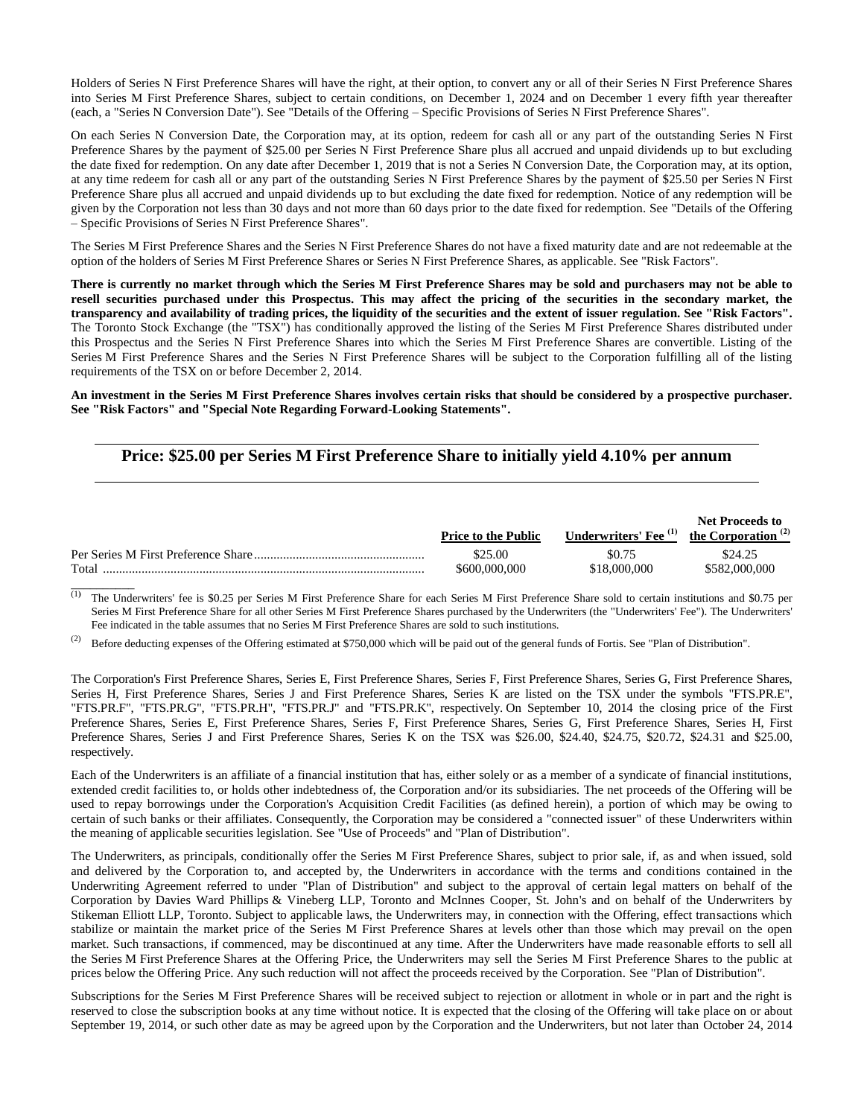Holders of Series N First Preference Shares will have the right, at their option, to convert any or all of their Series N First Preference Shares into Series M First Preference Shares, subject to certain conditions, on December 1, 2024 and on December 1 every fifth year thereafter (each, a "Series N Conversion Date"). See "Details of the Offering – Specific Provisions of Series N First Preference Shares".

On each Series N Conversion Date, the Corporation may, at its option, redeem for cash all or any part of the outstanding Series N First Preference Shares by the payment of \$25.00 per Series N First Preference Share plus all accrued and unpaid dividends up to but excluding the date fixed for redemption. On any date after December 1, 2019 that is not a Series N Conversion Date, the Corporation may, at its option, at any time redeem for cash all or any part of the outstanding Series N First Preference Shares by the payment of \$25.50 per Series N First Preference Share plus all accrued and unpaid dividends up to but excluding the date fixed for redemption. Notice of any redemption will be given by the Corporation not less than 30 days and not more than 60 days prior to the date fixed for redemption. See "Details of the Offering – Specific Provisions of Series N First Preference Shares".

The Series M First Preference Shares and the Series N First Preference Shares do not have a fixed maturity date and are not redeemable at the option of the holders of Series M First Preference Shares or Series N First Preference Shares, as applicable. See "Risk Factors".

**There is currently no market through which the Series M First Preference Shares may be sold and purchasers may not be able to resell securities purchased under this Prospectus. This may affect the pricing of the securities in the secondary market, the transparency and availability of trading prices, the liquidity of the securities and the extent of issuer regulation. See "Risk Factors".** The Toronto Stock Exchange (the "TSX") has conditionally approved the listing of the Series M First Preference Shares distributed under this Prospectus and the Series N First Preference Shares into which the Series M First Preference Shares are convertible. Listing of the Series M First Preference Shares and the Series N First Preference Shares will be subject to the Corporation fulfilling all of the listing requirements of the TSX on or before December 2, 2014.

**An investment in the Series M First Preference Shares involves certain risks that should be considered by a prospective purchaser. See "Risk Factors" and "Special Note Regarding Forward-Looking Statements".**

# **Price: \$25.00 per Series M First Preference Share to initially yield 4.10% per annum**

|       | <b>Price to the Public</b> | Underwriters' Fee $^{(1)}$ the Corporation $^{(2)}$ | Net Proceeds to |
|-------|----------------------------|-----------------------------------------------------|-----------------|
|       | \$25.00                    | \$0.75                                              | \$24.25         |
| Total | \$600,000,000              | \$18,000,000                                        | \$582,000,000   |

(1**)** The Underwriters' fee is \$0.25 per Series M First Preference Share for each Series M First Preference Share sold to certain institutions and \$0.75 per Series M First Preference Share for all other Series M First Preference Shares purchased by the Underwriters (the "Underwriters' Fee"). The Underwriters' Fee indicated in the table assumes that no Series M First Preference Shares are sold to such institutions.

(2) Before deducting expenses of the Offering estimated at \$750,000 which will be paid out of the general funds of Fortis. See "Plan of Distribution".

 $\overline{\phantom{a}}$ 

The Corporation's First Preference Shares, Series E, First Preference Shares, Series F, First Preference Shares, Series G, First Preference Shares, Series H, First Preference Shares, Series J and First Preference Shares, Series K are listed on the TSX under the symbols "FTS.PR.E", "FTS.PR.F", "FTS.PR.G", "FTS.PR.H", "FTS.PR.J" and "FTS.PR.K", respectively. On September 10, 2014 the closing price of the First Preference Shares, Series E, First Preference Shares, Series F, First Preference Shares, Series G, First Preference Shares, Series H, First Preference Shares, Series J and First Preference Shares, Series K on the TSX was \$26.00, \$24.40, \$24.75, \$20.72, \$24.31 and \$25.00, respectively.

Each of the Underwriters is an affiliate of a financial institution that has, either solely or as a member of a syndicate of financial institutions, extended credit facilities to, or holds other indebtedness of, the Corporation and/or its subsidiaries. The net proceeds of the Offering will be used to repay borrowings under the Corporation's Acquisition Credit Facilities (as defined herein), a portion of which may be owing to certain of such banks or their affiliates. Consequently, the Corporation may be considered a "connected issuer" of these Underwriters within the meaning of applicable securities legislation. See "Use of Proceeds" and "Plan of Distribution".

The Underwriters, as principals, conditionally offer the Series M First Preference Shares, subject to prior sale, if, as and when issued, sold and delivered by the Corporation to, and accepted by, the Underwriters in accordance with the terms and conditions contained in the Underwriting Agreement referred to under "Plan of Distribution" and subject to the approval of certain legal matters on behalf of the Corporation by Davies Ward Phillips & Vineberg LLP, Toronto and McInnes Cooper, St. John's and on behalf of the Underwriters by Stikeman Elliott LLP, Toronto. Subject to applicable laws, the Underwriters may, in connection with the Offering, effect transactions which stabilize or maintain the market price of the Series M First Preference Shares at levels other than those which may prevail on the open market. Such transactions, if commenced, may be discontinued at any time. After the Underwriters have made reasonable efforts to sell all the Series M First Preference Shares at the Offering Price, the Underwriters may sell the Series M First Preference Shares to the public at prices below the Offering Price. Any such reduction will not affect the proceeds received by the Corporation. See "Plan of Distribution".

Subscriptions for the Series M First Preference Shares will be received subject to rejection or allotment in whole or in part and the right is reserved to close the subscription books at any time without notice. It is expected that the closing of the Offering will take place on or about September 19, 2014, or such other date as may be agreed upon by the Corporation and the Underwriters, but not later than October 24, 2014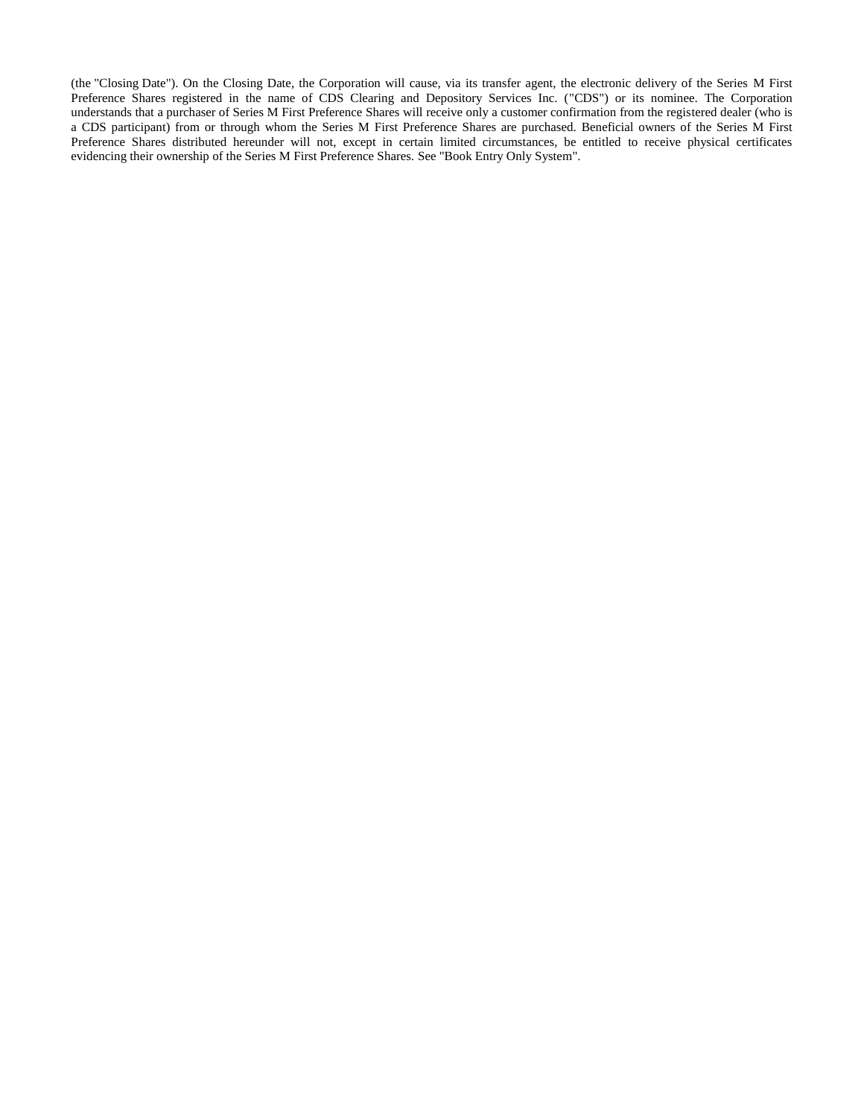(the "Closing Date"). On the Closing Date, the Corporation will cause, via its transfer agent, the electronic delivery of the Series M First Preference Shares registered in the name of CDS Clearing and Depository Services Inc. ("CDS") or its nominee. The Corporation understands that a purchaser of Series M First Preference Shares will receive only a customer confirmation from the registered dealer (who is a CDS participant) from or through whom the Series M First Preference Shares are purchased. Beneficial owners of the Series M First Preference Shares distributed hereunder will not, except in certain limited circumstances, be entitled to receive physical certificates evidencing their ownership of the Series M First Preference Shares. See "Book Entry Only System".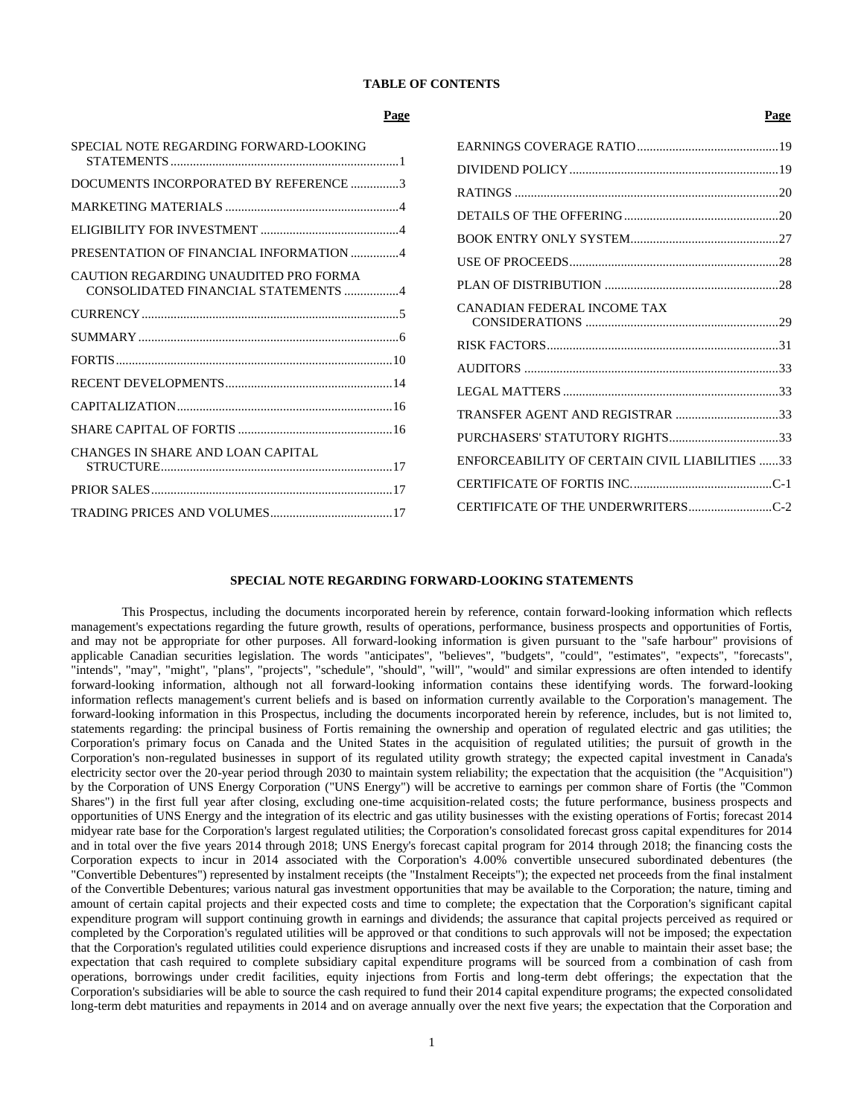## **TABLE OF CONTENTS**

| Page                                                                         |                                                | Page |
|------------------------------------------------------------------------------|------------------------------------------------|------|
| SPECIAL NOTE REGARDING FORWARD-LOOKING                                       |                                                |      |
|                                                                              |                                                |      |
| DOCUMENTS INCORPORATED BY REFERENCE 3                                        |                                                |      |
|                                                                              |                                                |      |
|                                                                              |                                                |      |
| PRESENTATION OF FINANCIAL INFORMATION 4                                      |                                                |      |
| CAUTION REGARDING UNAUDITED PRO FORMA<br>CONSOLIDATED FINANCIAL STATEMENTS 4 |                                                |      |
|                                                                              | CANADIAN FEDERAL INCOME TAX                    |      |
|                                                                              |                                                |      |
|                                                                              |                                                |      |
|                                                                              |                                                |      |
|                                                                              | TRANSFER AGENT AND REGISTRAR 33                |      |
|                                                                              |                                                |      |
| CHANGES IN SHARE AND LOAN CAPITAL                                            | ENFORCEABILITY OF CERTAIN CIVIL LIABILITIES 33 |      |
|                                                                              |                                                |      |
|                                                                              | CERTIFICATE OF THE UNDERWRITERSC-2             |      |
|                                                                              |                                                |      |

## **SPECIAL NOTE REGARDING FORWARD-LOOKING STATEMENTS**

<span id="page-3-0"></span>This Prospectus, including the documents incorporated herein by reference, contain forward-looking information which reflects management's expectations regarding the future growth, results of operations, performance, business prospects and opportunities of Fortis, and may not be appropriate for other purposes. All forward-looking information is given pursuant to the "safe harbour" provisions of applicable Canadian securities legislation. The words "anticipates", "believes", "budgets", "could", "estimates", "expects", "forecasts", "intends", "may", "might", "plans", "projects", "schedule", "should", "will", "would" and similar expressions are often intended to identify forward-looking information, although not all forward-looking information contains these identifying words. The forward-looking information reflects management's current beliefs and is based on information currently available to the Corporation's management. The forward-looking information in this Prospectus, including the documents incorporated herein by reference, includes, but is not limited to, statements regarding: the principal business of Fortis remaining the ownership and operation of regulated electric and gas utilities; the Corporation's primary focus on Canada and the United States in the acquisition of regulated utilities; the pursuit of growth in the Corporation's non-regulated businesses in support of its regulated utility growth strategy; the expected capital investment in Canada's electricity sector over the 20-year period through 2030 to maintain system reliability; the expectation that the acquisition (the "Acquisition") by the Corporation of UNS Energy Corporation ("UNS Energy") will be accretive to earnings per common share of Fortis (the "Common Shares") in the first full year after closing, excluding one-time acquisition-related costs; the future performance, business prospects and opportunities of UNS Energy and the integration of its electric and gas utility businesses with the existing operations of Fortis; forecast 2014 midyear rate base for the Corporation's largest regulated utilities; the Corporation's consolidated forecast gross capital expenditures for 2014 and in total over the five years 2014 through 2018; UNS Energy's forecast capital program for 2014 through 2018; the financing costs the Corporation expects to incur in 2014 associated with the Corporation's 4.00% convertible unsecured subordinated debentures (the "Convertible Debentures") represented by instalment receipts (the "Instalment Receipts"); the expected net proceeds from the final instalment of the Convertible Debentures; various natural gas investment opportunities that may be available to the Corporation; the nature, timing and amount of certain capital projects and their expected costs and time to complete; the expectation that the Corporation's significant capital expenditure program will support continuing growth in earnings and dividends; the assurance that capital projects perceived as required or completed by the Corporation's regulated utilities will be approved or that conditions to such approvals will not be imposed; the expectation that the Corporation's regulated utilities could experience disruptions and increased costs if they are unable to maintain their asset base; the expectation that cash required to complete subsidiary capital expenditure programs will be sourced from a combination of cash from operations, borrowings under credit facilities, equity injections from Fortis and long-term debt offerings; the expectation that the Corporation's subsidiaries will be able to source the cash required to fund their 2014 capital expenditure programs; the expected consolidated long-term debt maturities and repayments in 2014 and on average annually over the next five years; the expectation that the Corporation and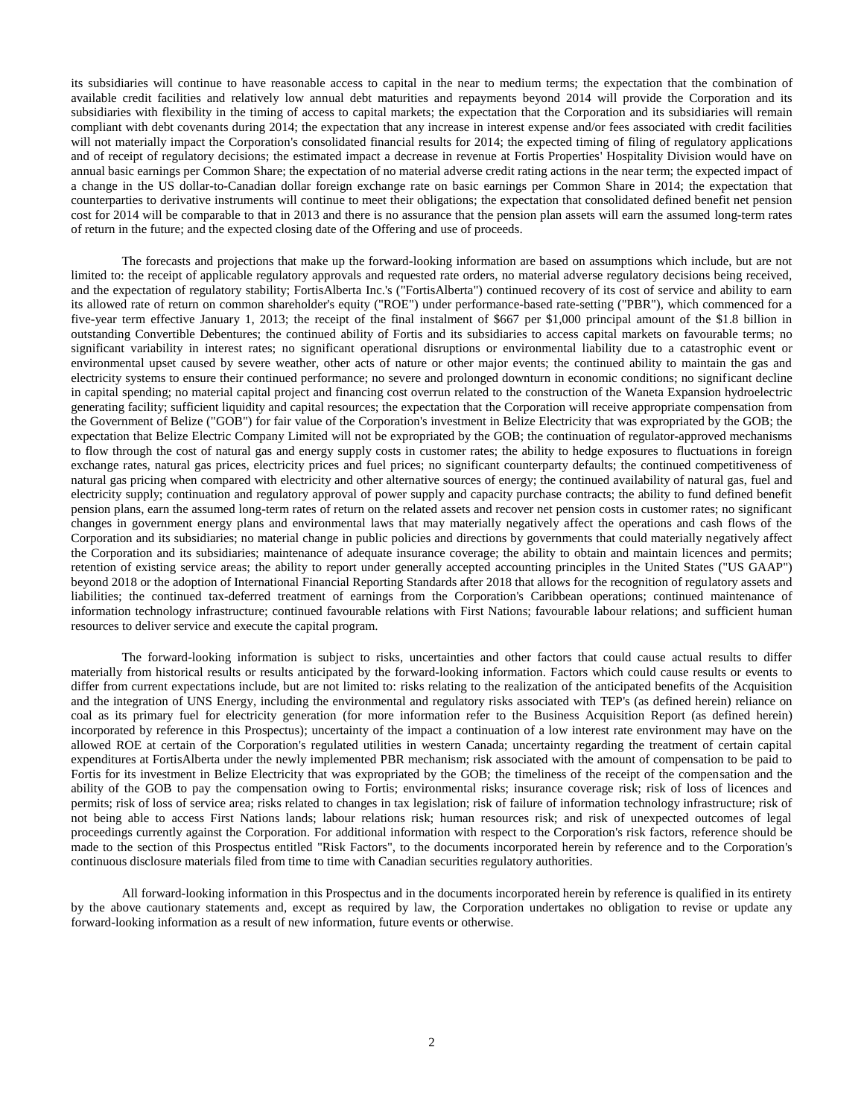its subsidiaries will continue to have reasonable access to capital in the near to medium terms; the expectation that the combination of available credit facilities and relatively low annual debt maturities and repayments beyond 2014 will provide the Corporation and its subsidiaries with flexibility in the timing of access to capital markets; the expectation that the Corporation and its subsidiaries will remain compliant with debt covenants during 2014; the expectation that any increase in interest expense and/or fees associated with credit facilities will not materially impact the Corporation's consolidated financial results for 2014; the expected timing of filing of regulatory applications and of receipt of regulatory decisions; the estimated impact a decrease in revenue at Fortis Properties' Hospitality Division would have on annual basic earnings per Common Share; the expectation of no material adverse credit rating actions in the near term; the expected impact of a change in the US dollar-to-Canadian dollar foreign exchange rate on basic earnings per Common Share in 2014; the expectation that counterparties to derivative instruments will continue to meet their obligations; the expectation that consolidated defined benefit net pension cost for 2014 will be comparable to that in 2013 and there is no assurance that the pension plan assets will earn the assumed long-term rates of return in the future; and the expected closing date of the Offering and use of proceeds.

The forecasts and projections that make up the forward-looking information are based on assumptions which include, but are not limited to: the receipt of applicable regulatory approvals and requested rate orders, no material adverse regulatory decisions being received, and the expectation of regulatory stability; FortisAlberta Inc.'s ("FortisAlberta") continued recovery of its cost of service and ability to earn its allowed rate of return on common shareholder's equity ("ROE") under performance-based rate-setting ("PBR"), which commenced for a five-year term effective January 1, 2013; the receipt of the final instalment of \$667 per \$1,000 principal amount of the \$1.8 billion in outstanding Convertible Debentures; the continued ability of Fortis and its subsidiaries to access capital markets on favourable terms; no significant variability in interest rates; no significant operational disruptions or environmental liability due to a catastrophic event or environmental upset caused by severe weather, other acts of nature or other major events; the continued ability to maintain the gas and electricity systems to ensure their continued performance; no severe and prolonged downturn in economic conditions; no significant decline in capital spending; no material capital project and financing cost overrun related to the construction of the Waneta Expansion hydroelectric generating facility; sufficient liquidity and capital resources; the expectation that the Corporation will receive appropriate compensation from the Government of Belize ("GOB") for fair value of the Corporation's investment in Belize Electricity that was expropriated by the GOB; the expectation that Belize Electric Company Limited will not be expropriated by the GOB; the continuation of regulator-approved mechanisms to flow through the cost of natural gas and energy supply costs in customer rates; the ability to hedge exposures to fluctuations in foreign exchange rates, natural gas prices, electricity prices and fuel prices; no significant counterparty defaults; the continued competitiveness of natural gas pricing when compared with electricity and other alternative sources of energy; the continued availability of natural gas, fuel and electricity supply; continuation and regulatory approval of power supply and capacity purchase contracts; the ability to fund defined benefit pension plans, earn the assumed long-term rates of return on the related assets and recover net pension costs in customer rates; no significant changes in government energy plans and environmental laws that may materially negatively affect the operations and cash flows of the Corporation and its subsidiaries; no material change in public policies and directions by governments that could materially negatively affect the Corporation and its subsidiaries; maintenance of adequate insurance coverage; the ability to obtain and maintain licences and permits; retention of existing service areas; the ability to report under generally accepted accounting principles in the United States ("US GAAP") beyond 2018 or the adoption of International Financial Reporting Standards after 2018 that allows for the recognition of regulatory assets and liabilities; the continued tax-deferred treatment of earnings from the Corporation's Caribbean operations; continued maintenance of information technology infrastructure; continued favourable relations with First Nations; favourable labour relations; and sufficient human resources to deliver service and execute the capital program.

The forward-looking information is subject to risks, uncertainties and other factors that could cause actual results to differ materially from historical results or results anticipated by the forward-looking information. Factors which could cause results or events to differ from current expectations include, but are not limited to: risks relating to the realization of the anticipated benefits of the Acquisition and the integration of UNS Energy, including the environmental and regulatory risks associated with TEP's (as defined herein) reliance on coal as its primary fuel for electricity generation (for more information refer to the Business Acquisition Report (as defined herein) incorporated by reference in this Prospectus); uncertainty of the impact a continuation of a low interest rate environment may have on the allowed ROE at certain of the Corporation's regulated utilities in western Canada; uncertainty regarding the treatment of certain capital expenditures at FortisAlberta under the newly implemented PBR mechanism; risk associated with the amount of compensation to be paid to Fortis for its investment in Belize Electricity that was expropriated by the GOB; the timeliness of the receipt of the compensation and the ability of the GOB to pay the compensation owing to Fortis; environmental risks; insurance coverage risk; risk of loss of licences and permits; risk of loss of service area; risks related to changes in tax legislation; risk of failure of information technology infrastructure; risk of not being able to access First Nations lands; labour relations risk; human resources risk; and risk of unexpected outcomes of legal proceedings currently against the Corporation. For additional information with respect to the Corporation's risk factors, reference should be made to the section of this Prospectus entitled "Risk Factors", to the documents incorporated herein by reference and to the Corporation's continuous disclosure materials filed from time to time with Canadian securities regulatory authorities.

All forward-looking information in this Prospectus and in the documents incorporated herein by reference is qualified in its entirety by the above cautionary statements and, except as required by law, the Corporation undertakes no obligation to revise or update any forward-looking information as a result of new information, future events or otherwise.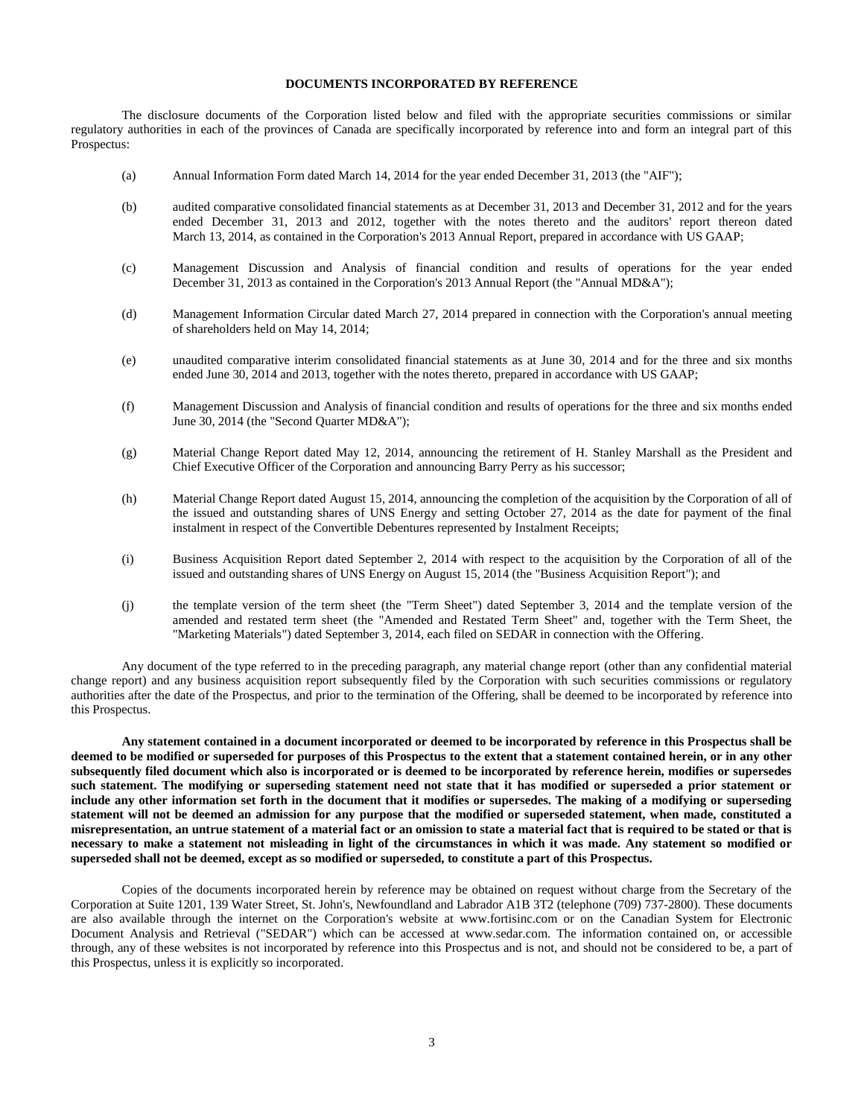## **DOCUMENTS INCORPORATED BY REFERENCE**

<span id="page-5-0"></span>The disclosure documents of the Corporation listed below and filed with the appropriate securities commissions or similar regulatory authorities in each of the provinces of Canada are specifically incorporated by reference into and form an integral part of this Prospectus:

- (a) Annual Information Form dated March 14, 2014 for the year ended December 31, 2013 (the "AIF");
- (b) audited comparative consolidated financial statements as at December 31, 2013 and December 31, 2012 and for the years ended December 31, 2013 and 2012, together with the notes thereto and the auditors' report thereon dated March 13, 2014, as contained in the Corporation's 2013 Annual Report, prepared in accordance with US GAAP;
- (c) Management Discussion and Analysis of financial condition and results of operations for the year ended December 31, 2013 as contained in the Corporation's 2013 Annual Report (the "Annual MD&A");
- (d) Management Information Circular dated March 27, 2014 prepared in connection with the Corporation's annual meeting of shareholders held on May 14, 2014;
- (e) unaudited comparative interim consolidated financial statements as at June 30, 2014 and for the three and six months ended June 30, 2014 and 2013, together with the notes thereto, prepared in accordance with US GAAP;
- (f) Management Discussion and Analysis of financial condition and results of operations for the three and six months ended June 30, 2014 (the "Second Quarter MD&A");
- (g) Material Change Report dated May 12, 2014, announcing the retirement of H. Stanley Marshall as the President and Chief Executive Officer of the Corporation and announcing Barry Perry as his successor;
- (h) Material Change Report dated August 15, 2014, announcing the completion of the acquisition by the Corporation of all of the issued and outstanding shares of UNS Energy and setting October 27, 2014 as the date for payment of the final instalment in respect of the Convertible Debentures represented by Instalment Receipts;
- (i) Business Acquisition Report dated September 2, 2014 with respect to the acquisition by the Corporation of all of the issued and outstanding shares of UNS Energy on August 15, 2014 (the "Business Acquisition Report"); and
- (j) the template version of the term sheet (the "Term Sheet") dated September 3, 2014 and the template version of the amended and restated term sheet (the "Amended and Restated Term Sheet" and, together with the Term Sheet, the "Marketing Materials") dated September 3, 2014, each filed on SEDAR in connection with the Offering.

Any document of the type referred to in the preceding paragraph, any material change report (other than any confidential material change report) and any business acquisition report subsequently filed by the Corporation with such securities commissions or regulatory authorities after the date of the Prospectus, and prior to the termination of the Offering, shall be deemed to be incorporated by reference into this Prospectus.

**Any statement contained in a document incorporated or deemed to be incorporated by reference in this Prospectus shall be deemed to be modified or superseded for purposes of this Prospectus to the extent that a statement contained herein, or in any other subsequently filed document which also is incorporated or is deemed to be incorporated by reference herein, modifies or supersedes such statement. The modifying or superseding statement need not state that it has modified or superseded a prior statement or include any other information set forth in the document that it modifies or supersedes. The making of a modifying or superseding statement will not be deemed an admission for any purpose that the modified or superseded statement, when made, constituted a misrepresentation, an untrue statement of a material fact or an omission to state a material fact that is required to be stated or that is necessary to make a statement not misleading in light of the circumstances in which it was made. Any statement so modified or superseded shall not be deemed, except as so modified or superseded, to constitute a part of this Prospectus.**

Copies of the documents incorporated herein by reference may be obtained on request without charge from the Secretary of the Corporation at Suite 1201, 139 Water Street, St. John's, Newfoundland and Labrador A1B 3T2 (telephone (709) 737-2800). These documents are also available through the internet on the Corporation's website at www.fortisinc.com or on the Canadian System for Electronic Document Analysis and Retrieval ("SEDAR") which can be accessed at www.sedar.com. The information contained on, or accessible through, any of these websites is not incorporated by reference into this Prospectus and is not, and should not be considered to be, a part of this Prospectus, unless it is explicitly so incorporated.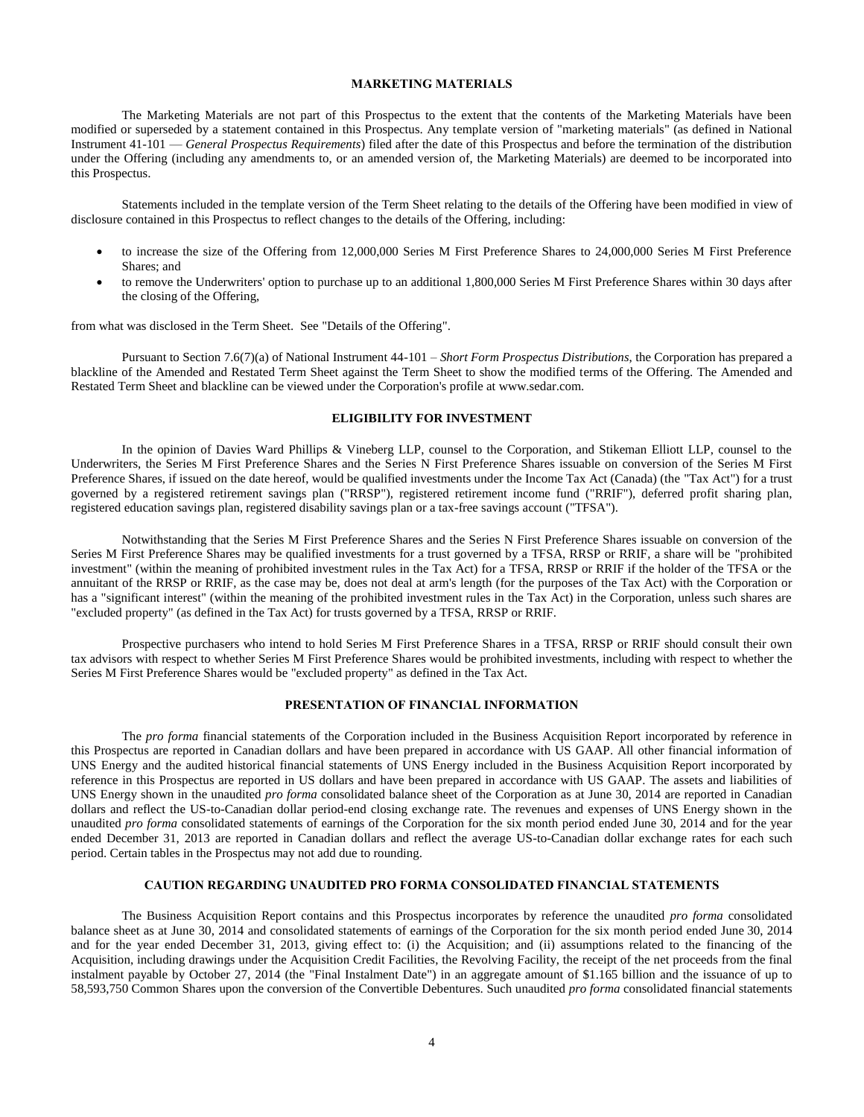## **MARKETING MATERIALS**

<span id="page-6-0"></span>The Marketing Materials are not part of this Prospectus to the extent that the contents of the Marketing Materials have been modified or superseded by a statement contained in this Prospectus. Any template version of "marketing materials" (as defined in National Instrument 41-101 — *General Prospectus Requirements*) filed after the date of this Prospectus and before the termination of the distribution under the Offering (including any amendments to, or an amended version of, the Marketing Materials) are deemed to be incorporated into this Prospectus.

Statements included in the template version of the Term Sheet relating to the details of the Offering have been modified in view of disclosure contained in this Prospectus to reflect changes to the details of the Offering, including:

- to increase the size of the Offering from 12,000,000 Series M First Preference Shares to 24,000,000 Series M First Preference Shares; and
- to remove the Underwriters' option to purchase up to an additional 1,800,000 Series M First Preference Shares within 30 days after the closing of the Offering,

from what was disclosed in the Term Sheet. See "Details of the Offering".

Pursuant to Section 7.6(7)(a) of National Instrument 44-101 – *Short Form Prospectus Distributions*, the Corporation has prepared a blackline of the Amended and Restated Term Sheet against the Term Sheet to show the modified terms of the Offering. The Amended and Restated Term Sheet and blackline can be viewed under the Corporation's profile at www.sedar.com.

## **ELIGIBILITY FOR INVESTMENT**

<span id="page-6-1"></span>In the opinion of Davies Ward Phillips & Vineberg LLP, counsel to the Corporation, and Stikeman Elliott LLP, counsel to the Underwriters, the Series M First Preference Shares and the Series N First Preference Shares issuable on conversion of the Series M First Preference Shares, if issued on the date hereof, would be qualified investments under the Income Tax Act (Canada) (the "Tax Act") for a trust governed by a registered retirement savings plan ("RRSP"), registered retirement income fund ("RRIF"), deferred profit sharing plan, registered education savings plan, registered disability savings plan or a tax-free savings account ("TFSA").

Notwithstanding that the Series M First Preference Shares and the Series N First Preference Shares issuable on conversion of the Series M First Preference Shares may be qualified investments for a trust governed by a TFSA, RRSP or RRIF, a share will be "prohibited investment" (within the meaning of prohibited investment rules in the Tax Act) for a TFSA, RRSP or RRIF if the holder of the TFSA or the annuitant of the RRSP or RRIF, as the case may be, does not deal at arm's length (for the purposes of the Tax Act) with the Corporation or has a "significant interest" (within the meaning of the prohibited investment rules in the Tax Act) in the Corporation, unless such shares are "excluded property" (as defined in the Tax Act) for trusts governed by a TFSA, RRSP or RRIF.

Prospective purchasers who intend to hold Series M First Preference Shares in a TFSA, RRSP or RRIF should consult their own tax advisors with respect to whether Series M First Preference Shares would be prohibited investments, including with respect to whether the Series M First Preference Shares would be "excluded property" as defined in the Tax Act.

# **PRESENTATION OF FINANCIAL INFORMATION**

<span id="page-6-2"></span>The *pro forma* financial statements of the Corporation included in the Business Acquisition Report incorporated by reference in this Prospectus are reported in Canadian dollars and have been prepared in accordance with US GAAP. All other financial information of UNS Energy and the audited historical financial statements of UNS Energy included in the Business Acquisition Report incorporated by reference in this Prospectus are reported in US dollars and have been prepared in accordance with US GAAP. The assets and liabilities of UNS Energy shown in the unaudited *pro forma* consolidated balance sheet of the Corporation as at June 30, 2014 are reported in Canadian dollars and reflect the US-to-Canadian dollar period-end closing exchange rate. The revenues and expenses of UNS Energy shown in the unaudited *pro forma* consolidated statements of earnings of the Corporation for the six month period ended June 30, 2014 and for the year ended December 31, 2013 are reported in Canadian dollars and reflect the average US-to-Canadian dollar exchange rates for each such period. Certain tables in the Prospectus may not add due to rounding.

## **CAUTION REGARDING UNAUDITED PRO FORMA CONSOLIDATED FINANCIAL STATEMENTS**

<span id="page-6-3"></span>The Business Acquisition Report contains and this Prospectus incorporates by reference the unaudited *pro forma* consolidated balance sheet as at June 30, 2014 and consolidated statements of earnings of the Corporation for the six month period ended June 30, 2014 and for the year ended December 31, 2013, giving effect to: (i) the Acquisition; and (ii) assumptions related to the financing of the Acquisition, including drawings under the Acquisition Credit Facilities, the Revolving Facility, the receipt of the net proceeds from the final instalment payable by October 27, 2014 (the "Final Instalment Date") in an aggregate amount of \$1.165 billion and the issuance of up to 58,593,750 Common Shares upon the conversion of the Convertible Debentures. Such unaudited *pro forma* consolidated financial statements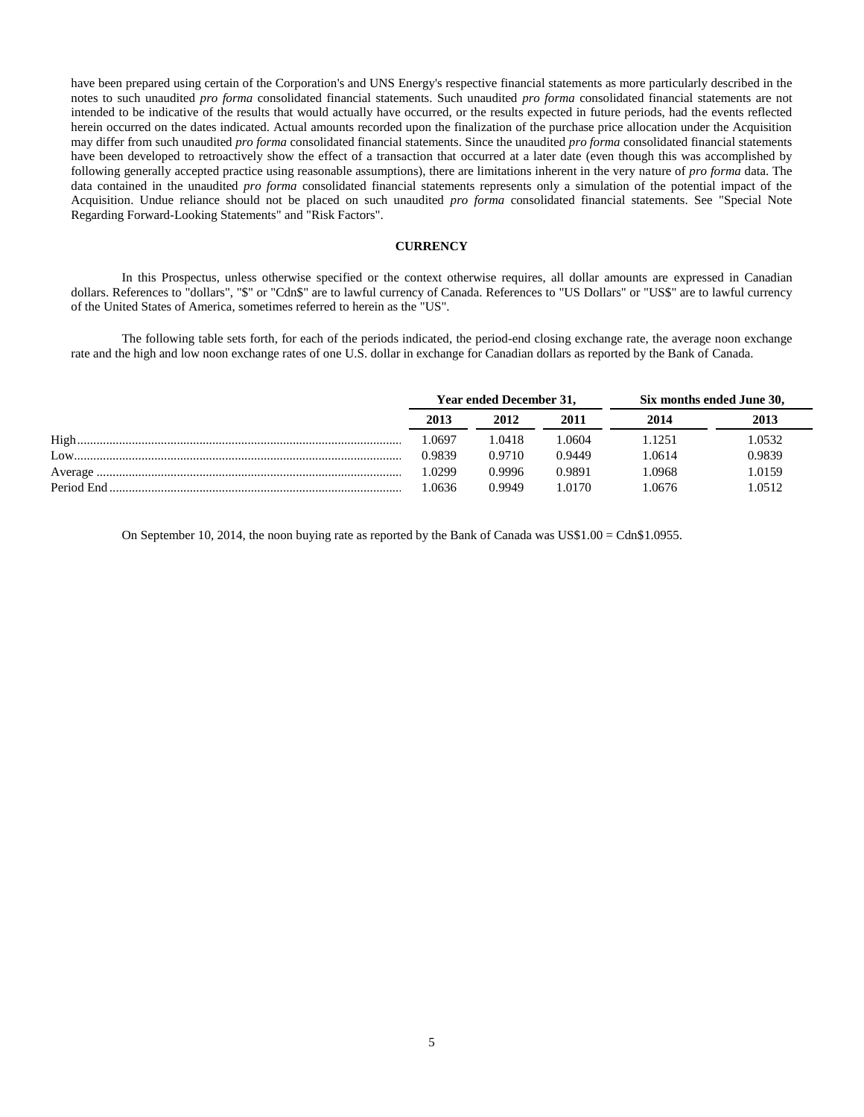have been prepared using certain of the Corporation's and UNS Energy's respective financial statements as more particularly described in the notes to such unaudited *pro forma* consolidated financial statements. Such unaudited *pro forma* consolidated financial statements are not intended to be indicative of the results that would actually have occurred, or the results expected in future periods, had the events reflected herein occurred on the dates indicated. Actual amounts recorded upon the finalization of the purchase price allocation under the Acquisition may differ from such unaudited *pro forma* consolidated financial statements. Since the unaudited *pro forma* consolidated financial statements have been developed to retroactively show the effect of a transaction that occurred at a later date (even though this was accomplished by following generally accepted practice using reasonable assumptions), there are limitations inherent in the very nature of *pro forma* data. The data contained in the unaudited *pro forma* consolidated financial statements represents only a simulation of the potential impact of the Acquisition. Undue reliance should not be placed on such unaudited *pro forma* consolidated financial statements. See "Special Note Regarding Forward-Looking Statements" and "Risk Factors".

#### **CURRENCY**

<span id="page-7-0"></span>In this Prospectus, unless otherwise specified or the context otherwise requires, all dollar amounts are expressed in Canadian dollars. References to "dollars", "\$" or "Cdn\$" are to lawful currency of Canada. References to "US Dollars" or "US\$" are to lawful currency of the United States of America, sometimes referred to herein as the "US".

The following table sets forth, for each of the periods indicated, the period-end closing exchange rate, the average noon exchange rate and the high and low noon exchange rates of one U.S. dollar in exchange for Canadian dollars as reported by the Bank of Canada.

|         | Year ended December 31, |        | Six months ended June 30, |        |        |
|---------|-------------------------|--------|---------------------------|--------|--------|
|         | 2013                    | 2012   | 2011                      | 2014   | 2013   |
| High    | .0697                   | 1.0418 | .0604                     | 1251   | .0532  |
| $Low$ . | 0.9839                  | 0.9710 | 0.9449                    | 1.0614 | 0.9839 |
|         | .0299                   | 0.9996 | 0.9891                    | .0968  | 1.0159 |
|         | .0636                   | 0.9949 | 0170                      | .0676  | .0512  |

On September 10, 2014, the noon buying rate as reported by the Bank of Canada was US\$1.00 = Cdn\$1.0955.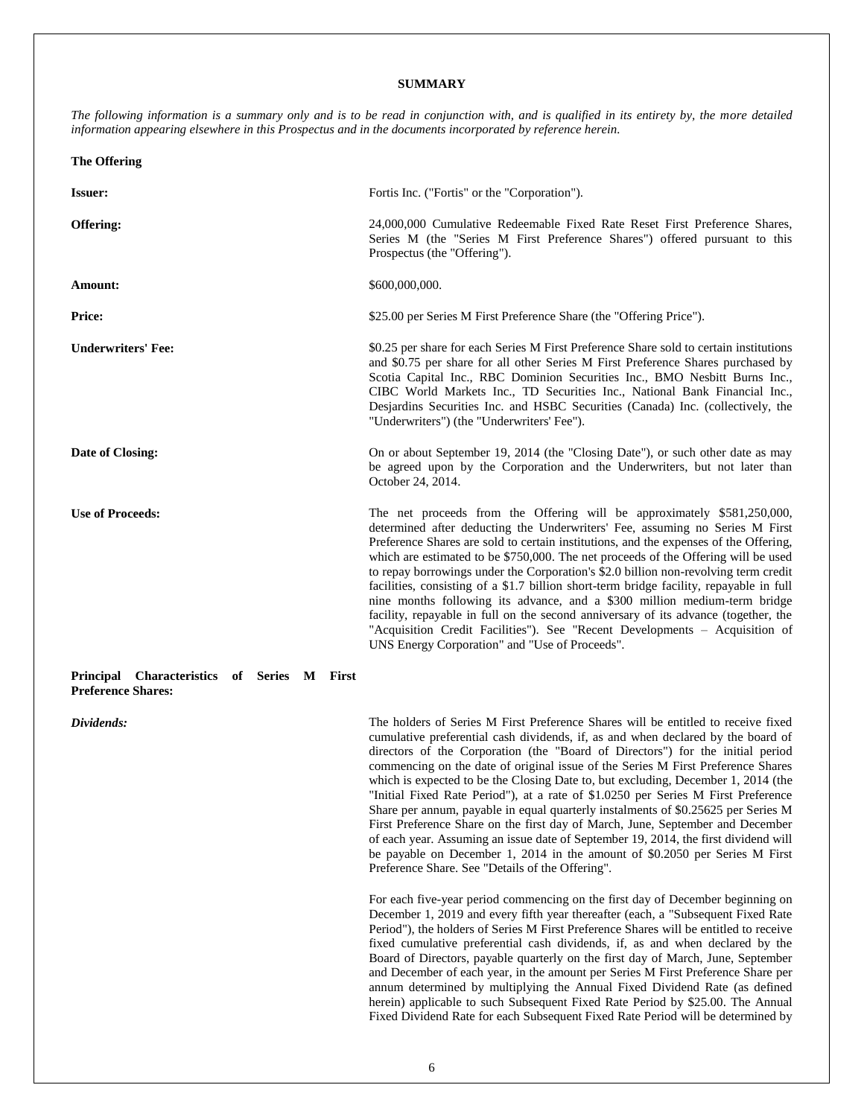## **SUMMARY**

<span id="page-8-0"></span>*The following information is a summary only and is to be read in conjunction with, and is qualified in its entirety by, the more detailed information appearing elsewhere in this Prospectus and in the documents incorporated by reference herein.*

| <b>The Offering</b>                                                      |                                                                                                                                                                                                                                                                                                                                                                                                                                                                                                                                                                                                                                                                                                                                                                                                                               |
|--------------------------------------------------------------------------|-------------------------------------------------------------------------------------------------------------------------------------------------------------------------------------------------------------------------------------------------------------------------------------------------------------------------------------------------------------------------------------------------------------------------------------------------------------------------------------------------------------------------------------------------------------------------------------------------------------------------------------------------------------------------------------------------------------------------------------------------------------------------------------------------------------------------------|
| <b>Issuer:</b>                                                           | Fortis Inc. ("Fortis" or the "Corporation").                                                                                                                                                                                                                                                                                                                                                                                                                                                                                                                                                                                                                                                                                                                                                                                  |
| Offering:                                                                | 24,000,000 Cumulative Redeemable Fixed Rate Reset First Preference Shares,<br>Series M (the "Series M First Preference Shares") offered pursuant to this<br>Prospectus (the "Offering").                                                                                                                                                                                                                                                                                                                                                                                                                                                                                                                                                                                                                                      |
| Amount:                                                                  | \$600,000,000.                                                                                                                                                                                                                                                                                                                                                                                                                                                                                                                                                                                                                                                                                                                                                                                                                |
| Price:                                                                   | \$25.00 per Series M First Preference Share (the "Offering Price").                                                                                                                                                                                                                                                                                                                                                                                                                                                                                                                                                                                                                                                                                                                                                           |
| <b>Underwriters' Fee:</b>                                                | \$0.25 per share for each Series M First Preference Share sold to certain institutions<br>and \$0.75 per share for all other Series M First Preference Shares purchased by<br>Scotia Capital Inc., RBC Dominion Securities Inc., BMO Nesbitt Burns Inc.,<br>CIBC World Markets Inc., TD Securities Inc., National Bank Financial Inc.,<br>Desjardins Securities Inc. and HSBC Securities (Canada) Inc. (collectively, the<br>"Underwriters") (the "Underwriters' Fee").                                                                                                                                                                                                                                                                                                                                                       |
| Date of Closing:                                                         | On or about September 19, 2014 (the "Closing Date"), or such other date as may<br>be agreed upon by the Corporation and the Underwriters, but not later than<br>October 24, 2014.                                                                                                                                                                                                                                                                                                                                                                                                                                                                                                                                                                                                                                             |
| <b>Use of Proceeds:</b>                                                  | The net proceeds from the Offering will be approximately \$581,250,000,<br>determined after deducting the Underwriters' Fee, assuming no Series M First<br>Preference Shares are sold to certain institutions, and the expenses of the Offering,<br>which are estimated to be \$750,000. The net proceeds of the Offering will be used<br>to repay borrowings under the Corporation's \$2.0 billion non-revolving term credit<br>facilities, consisting of a \$1.7 billion short-term bridge facility, repayable in full<br>nine months following its advance, and a \$300 million medium-term bridge<br>facility, repayable in full on the second anniversary of its advance (together, the<br>"Acquisition Credit Facilities"). See "Recent Developments – Acquisition of<br>UNS Energy Corporation" and "Use of Proceeds". |
| Principal Characteristics of Series M First<br><b>Preference Shares:</b> |                                                                                                                                                                                                                                                                                                                                                                                                                                                                                                                                                                                                                                                                                                                                                                                                                               |

**Dividends:** The holders of Series M First Preference Shares will be entitled to receive fixed cumulative preferential cash dividends, if, as and when declared by the board of directors of the Corporation (the "Board of Directors") for the initial period commencing on the date of original issue of the Series M First Preference Shares which is expected to be the Closing Date to, but excluding, December 1, 2014 (the "Initial Fixed Rate Period"), at a rate of \$1.0250 per Series M First Preference Share per annum, payable in equal quarterly instalments of \$0.25625 per Series M First Preference Share on the first day of March, June, September and December of each year. Assuming an issue date of September 19, 2014, the first dividend will be payable on December 1, 2014 in the amount of \$0.2050 per Series M First Preference Share. See "Details of the Offering".

> For each five-year period commencing on the first day of December beginning on December 1, 2019 and every fifth year thereafter (each, a "Subsequent Fixed Rate Period"), the holders of Series M First Preference Shares will be entitled to receive fixed cumulative preferential cash dividends, if, as and when declared by the Board of Directors, payable quarterly on the first day of March, June, September and December of each year, in the amount per Series M First Preference Share per annum determined by multiplying the Annual Fixed Dividend Rate (as defined herein) applicable to such Subsequent Fixed Rate Period by \$25.00. The Annual Fixed Dividend Rate for each Subsequent Fixed Rate Period will be determined by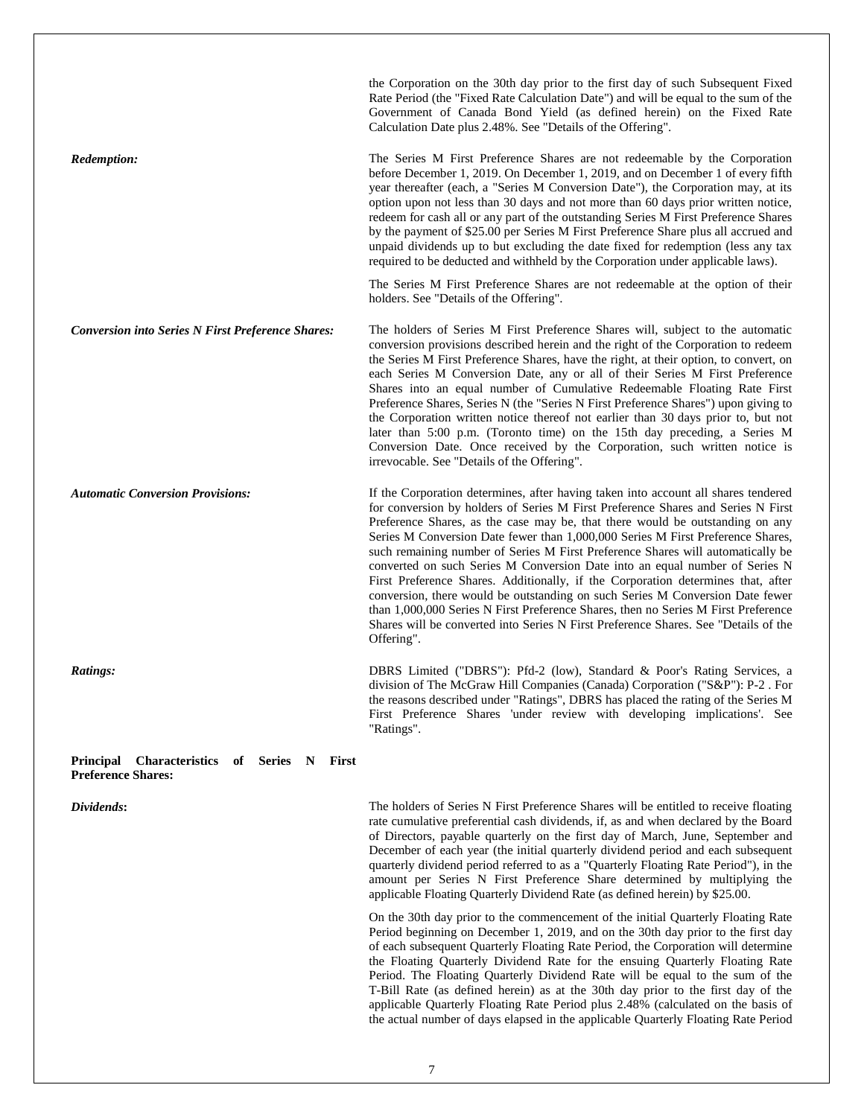|                                                                                                 | the Corporation on the 30th day prior to the first day of such Subsequent Fixed<br>Rate Period (the "Fixed Rate Calculation Date") and will be equal to the sum of the<br>Government of Canada Bond Yield (as defined herein) on the Fixed Rate<br>Calculation Date plus 2.48%. See "Details of the Offering".                                                                                                                                                                                                                                                                                                                                                                                                                                                                                                                                                               |
|-------------------------------------------------------------------------------------------------|------------------------------------------------------------------------------------------------------------------------------------------------------------------------------------------------------------------------------------------------------------------------------------------------------------------------------------------------------------------------------------------------------------------------------------------------------------------------------------------------------------------------------------------------------------------------------------------------------------------------------------------------------------------------------------------------------------------------------------------------------------------------------------------------------------------------------------------------------------------------------|
| Redemption:                                                                                     | The Series M First Preference Shares are not redeemable by the Corporation<br>before December 1, 2019. On December 1, 2019, and on December 1 of every fifth<br>year thereafter (each, a "Series M Conversion Date"), the Corporation may, at its<br>option upon not less than 30 days and not more than 60 days prior written notice,<br>redeem for cash all or any part of the outstanding Series M First Preference Shares<br>by the payment of \$25.00 per Series M First Preference Share plus all accrued and<br>unpaid dividends up to but excluding the date fixed for redemption (less any tax<br>required to be deducted and withheld by the Corporation under applicable laws).                                                                                                                                                                                   |
|                                                                                                 | The Series M First Preference Shares are not redeemable at the option of their<br>holders. See "Details of the Offering".                                                                                                                                                                                                                                                                                                                                                                                                                                                                                                                                                                                                                                                                                                                                                    |
| <b>Conversion into Series N First Preference Shares:</b>                                        | The holders of Series M First Preference Shares will, subject to the automatic<br>conversion provisions described herein and the right of the Corporation to redeem<br>the Series M First Preference Shares, have the right, at their option, to convert, on<br>each Series M Conversion Date, any or all of their Series M First Preference<br>Shares into an equal number of Cumulative Redeemable Floating Rate First<br>Preference Shares, Series N (the "Series N First Preference Shares") upon giving to<br>the Corporation written notice thereof not earlier than 30 days prior to, but not<br>later than 5:00 p.m. (Toronto time) on the 15th day preceding, a Series M<br>Conversion Date. Once received by the Corporation, such written notice is<br>irrevocable. See "Details of the Offering".                                                                |
| <b>Automatic Conversion Provisions:</b>                                                         | If the Corporation determines, after having taken into account all shares tendered<br>for conversion by holders of Series M First Preference Shares and Series N First<br>Preference Shares, as the case may be, that there would be outstanding on any<br>Series M Conversion Date fewer than 1,000,000 Series M First Preference Shares,<br>such remaining number of Series M First Preference Shares will automatically be<br>converted on such Series M Conversion Date into an equal number of Series N<br>First Preference Shares. Additionally, if the Corporation determines that, after<br>conversion, there would be outstanding on such Series M Conversion Date fewer<br>than 1,000,000 Series N First Preference Shares, then no Series M First Preference<br>Shares will be converted into Series N First Preference Shares. See "Details of the<br>Offering". |
| Ratings:                                                                                        | DBRS Limited ("DBRS"): Pfd-2 (low), Standard & Poor's Rating Services, a<br>division of The McGraw Hill Companies (Canada) Corporation ("S&P"): P-2. For<br>the reasons described under "Ratings", DBRS has placed the rating of the Series M<br>First Preference Shares 'under review with developing implications'. See<br>"Ratings".                                                                                                                                                                                                                                                                                                                                                                                                                                                                                                                                      |
| <b>Characteristics</b><br>of Series N<br>First<br><b>Principal</b><br><b>Preference Shares:</b> |                                                                                                                                                                                                                                                                                                                                                                                                                                                                                                                                                                                                                                                                                                                                                                                                                                                                              |
| Dividends:                                                                                      | The holders of Series N First Preference Shares will be entitled to receive floating<br>rate cumulative preferential cash dividends, if, as and when declared by the Board<br>of Directors, payable quarterly on the first day of March, June, September and<br>December of each year (the initial quarterly dividend period and each subsequent<br>quarterly dividend period referred to as a "Quarterly Floating Rate Period"), in the<br>amount per Series N First Preference Share determined by multiplying the<br>applicable Floating Quarterly Dividend Rate (as defined herein) by \$25.00.                                                                                                                                                                                                                                                                          |
|                                                                                                 | On the 30th day prior to the commencement of the initial Quarterly Floating Rate<br>Period beginning on December 1, 2019, and on the 30th day prior to the first day<br>of each subsequent Quarterly Floating Rate Period, the Corporation will determine<br>the Floating Quarterly Dividend Rate for the ensuing Quarterly Floating Rate<br>Period. The Floating Quarterly Dividend Rate will be equal to the sum of the<br>T-Bill Rate (as defined herein) as at the 30th day prior to the first day of the<br>applicable Quarterly Floating Rate Period plus 2.48% (calculated on the basis of                                                                                                                                                                                                                                                                            |

the actual number of days elapsed in the applicable Quarterly Floating Rate Period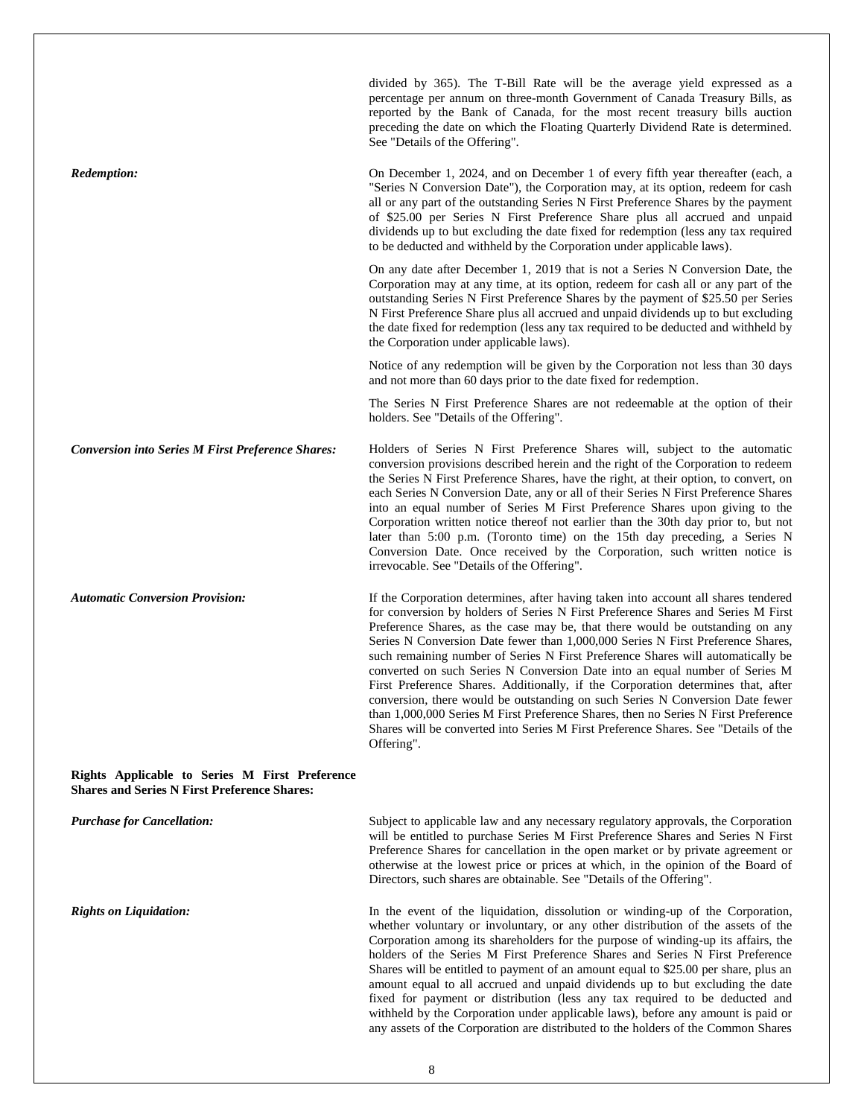|                                                                                                       | divided by 365). The T-Bill Rate will be the average yield expressed as a<br>percentage per annum on three-month Government of Canada Treasury Bills, as<br>reported by the Bank of Canada, for the most recent treasury bills auction<br>preceding the date on which the Floating Quarterly Dividend Rate is determined.<br>See "Details of the Offering".                                                                                                                                                                                                                                                                                                                                                                                                                                                                                                                  |
|-------------------------------------------------------------------------------------------------------|------------------------------------------------------------------------------------------------------------------------------------------------------------------------------------------------------------------------------------------------------------------------------------------------------------------------------------------------------------------------------------------------------------------------------------------------------------------------------------------------------------------------------------------------------------------------------------------------------------------------------------------------------------------------------------------------------------------------------------------------------------------------------------------------------------------------------------------------------------------------------|
| Redemption:                                                                                           | On December 1, 2024, and on December 1 of every fifth year thereafter (each, a<br>"Series N Conversion Date"), the Corporation may, at its option, redeem for cash<br>all or any part of the outstanding Series N First Preference Shares by the payment<br>of \$25.00 per Series N First Preference Share plus all accrued and unpaid<br>dividends up to but excluding the date fixed for redemption (less any tax required<br>to be deducted and withheld by the Corporation under applicable laws).                                                                                                                                                                                                                                                                                                                                                                       |
|                                                                                                       | On any date after December 1, 2019 that is not a Series N Conversion Date, the<br>Corporation may at any time, at its option, redeem for cash all or any part of the<br>outstanding Series N First Preference Shares by the payment of \$25.50 per Series<br>N First Preference Share plus all accrued and unpaid dividends up to but excluding<br>the date fixed for redemption (less any tax required to be deducted and withheld by<br>the Corporation under applicable laws).                                                                                                                                                                                                                                                                                                                                                                                            |
|                                                                                                       | Notice of any redemption will be given by the Corporation not less than 30 days<br>and not more than 60 days prior to the date fixed for redemption.                                                                                                                                                                                                                                                                                                                                                                                                                                                                                                                                                                                                                                                                                                                         |
|                                                                                                       | The Series N First Preference Shares are not redeemable at the option of their<br>holders. See "Details of the Offering".                                                                                                                                                                                                                                                                                                                                                                                                                                                                                                                                                                                                                                                                                                                                                    |
| <b>Conversion into Series M First Preference Shares:</b>                                              | Holders of Series N First Preference Shares will, subject to the automatic<br>conversion provisions described herein and the right of the Corporation to redeem<br>the Series N First Preference Shares, have the right, at their option, to convert, on<br>each Series N Conversion Date, any or all of their Series N First Preference Shares<br>into an equal number of Series M First Preference Shares upon giving to the<br>Corporation written notice thereof not earlier than the 30th day prior to, but not<br>later than 5:00 p.m. (Toronto time) on the 15th day preceding, a Series N<br>Conversion Date. Once received by the Corporation, such written notice is<br>irrevocable. See "Details of the Offering".                                                                                                                                                |
| <b>Automatic Conversion Provision:</b>                                                                | If the Corporation determines, after having taken into account all shares tendered<br>for conversion by holders of Series N First Preference Shares and Series M First<br>Preference Shares, as the case may be, that there would be outstanding on any<br>Series N Conversion Date fewer than 1,000,000 Series N First Preference Shares,<br>such remaining number of Series N First Preference Shares will automatically be<br>converted on such Series N Conversion Date into an equal number of Series M<br>First Preference Shares. Additionally, if the Corporation determines that, after<br>conversion, there would be outstanding on such Series N Conversion Date fewer<br>than 1,000,000 Series M First Preference Shares, then no Series N First Preference<br>Shares will be converted into Series M First Preference Shares. See "Details of the<br>Offering". |
| Rights Applicable to Series M First Preference<br><b>Shares and Series N First Preference Shares:</b> |                                                                                                                                                                                                                                                                                                                                                                                                                                                                                                                                                                                                                                                                                                                                                                                                                                                                              |
| <b>Purchase for Cancellation:</b>                                                                     | Subject to applicable law and any necessary regulatory approvals, the Corporation<br>will be entitled to purchase Series M First Preference Shares and Series N First<br>Preference Shares for cancellation in the open market or by private agreement or<br>otherwise at the lowest price or prices at which, in the opinion of the Board of<br>Directors, such shares are obtainable. See "Details of the Offering".                                                                                                                                                                                                                                                                                                                                                                                                                                                       |
| <b>Rights on Liquidation:</b>                                                                         | In the event of the liquidation, dissolution or winding-up of the Corporation,<br>whether voluntary or involuntary, or any other distribution of the assets of the<br>Corporation among its shareholders for the purpose of winding-up its affairs, the<br>holders of the Series M First Preference Shares and Series N First Preference<br>Shares will be entitled to payment of an amount equal to \$25.00 per share, plus an<br>amount equal to all accrued and unpaid dividends up to but excluding the date<br>fixed for payment or distribution (less any tax required to be deducted and<br>withheld by the Corporation under applicable laws), before any amount is paid or<br>any assets of the Corporation are distributed to the holders of the Common Shares                                                                                                     |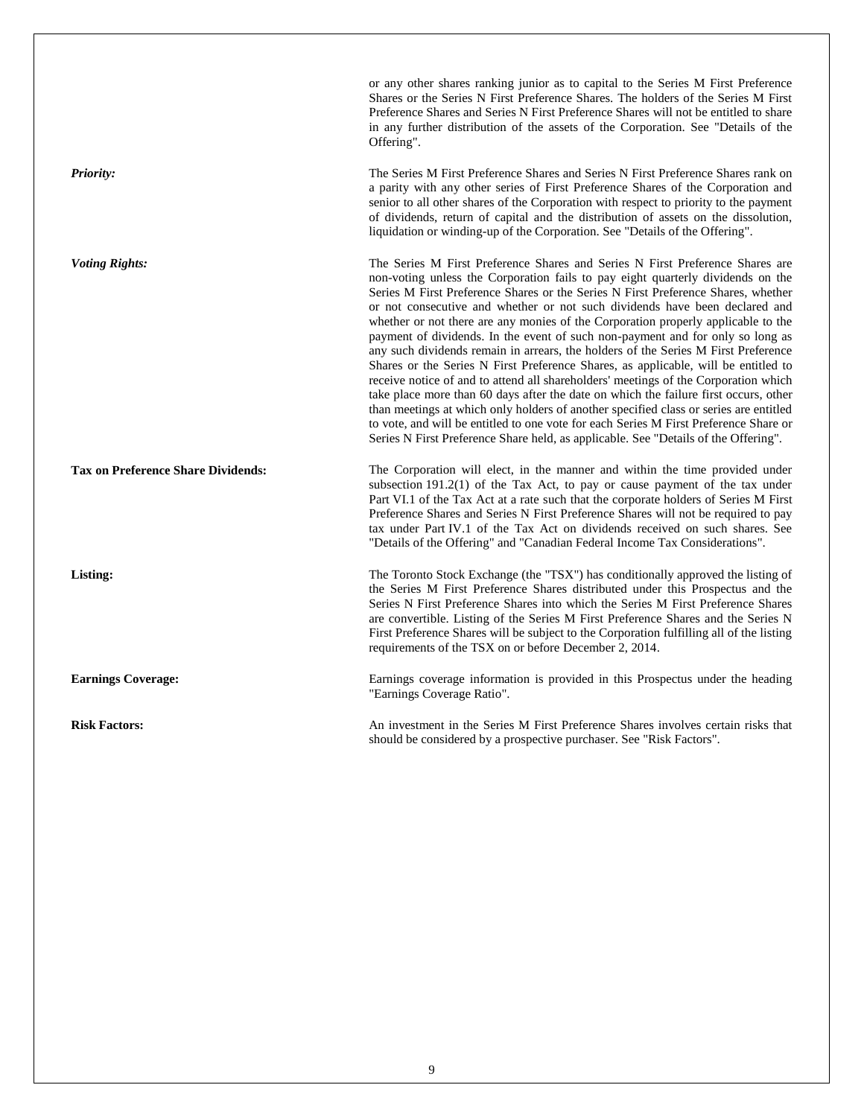|                                           | or any other shares ranking junior as to capital to the Series M First Preference<br>Shares or the Series N First Preference Shares. The holders of the Series M First<br>Preference Shares and Series N First Preference Shares will not be entitled to share<br>in any further distribution of the assets of the Corporation. See "Details of the<br>Offering".                                                                                                                                                                                                                                                                                                                                                                                                                                                                                                                                                                                                                                                                                                                                                                               |
|-------------------------------------------|-------------------------------------------------------------------------------------------------------------------------------------------------------------------------------------------------------------------------------------------------------------------------------------------------------------------------------------------------------------------------------------------------------------------------------------------------------------------------------------------------------------------------------------------------------------------------------------------------------------------------------------------------------------------------------------------------------------------------------------------------------------------------------------------------------------------------------------------------------------------------------------------------------------------------------------------------------------------------------------------------------------------------------------------------------------------------------------------------------------------------------------------------|
| <b>Priority:</b>                          | The Series M First Preference Shares and Series N First Preference Shares rank on<br>a parity with any other series of First Preference Shares of the Corporation and<br>senior to all other shares of the Corporation with respect to priority to the payment<br>of dividends, return of capital and the distribution of assets on the dissolution,<br>liquidation or winding-up of the Corporation. See "Details of the Offering".                                                                                                                                                                                                                                                                                                                                                                                                                                                                                                                                                                                                                                                                                                            |
| <b>Voting Rights:</b>                     | The Series M First Preference Shares and Series N First Preference Shares are<br>non-voting unless the Corporation fails to pay eight quarterly dividends on the<br>Series M First Preference Shares or the Series N First Preference Shares, whether<br>or not consecutive and whether or not such dividends have been declared and<br>whether or not there are any monies of the Corporation properly applicable to the<br>payment of dividends. In the event of such non-payment and for only so long as<br>any such dividends remain in arrears, the holders of the Series M First Preference<br>Shares or the Series N First Preference Shares, as applicable, will be entitled to<br>receive notice of and to attend all shareholders' meetings of the Corporation which<br>take place more than 60 days after the date on which the failure first occurs, other<br>than meetings at which only holders of another specified class or series are entitled<br>to vote, and will be entitled to one vote for each Series M First Preference Share or<br>Series N First Preference Share held, as applicable. See "Details of the Offering". |
| <b>Tax on Preference Share Dividends:</b> | The Corporation will elect, in the manner and within the time provided under<br>subsection $191.2(1)$ of the Tax Act, to pay or cause payment of the tax under<br>Part VI.1 of the Tax Act at a rate such that the corporate holders of Series M First<br>Preference Shares and Series N First Preference Shares will not be required to pay<br>tax under Part IV.1 of the Tax Act on dividends received on such shares. See<br>"Details of the Offering" and "Canadian Federal Income Tax Considerations".                                                                                                                                                                                                                                                                                                                                                                                                                                                                                                                                                                                                                                     |
| Listing:                                  | The Toronto Stock Exchange (the "TSX") has conditionally approved the listing of<br>the Series M First Preference Shares distributed under this Prospectus and the<br>Series N First Preference Shares into which the Series M First Preference Shares<br>are convertible. Listing of the Series M First Preference Shares and the Series N<br>First Preference Shares will be subject to the Corporation fulfilling all of the listing<br>requirements of the TSX on or before December 2, 2014.                                                                                                                                                                                                                                                                                                                                                                                                                                                                                                                                                                                                                                               |
| <b>Earnings Coverage:</b>                 | Earnings coverage information is provided in this Prospectus under the heading<br>"Earnings Coverage Ratio".                                                                                                                                                                                                                                                                                                                                                                                                                                                                                                                                                                                                                                                                                                                                                                                                                                                                                                                                                                                                                                    |
| <b>Risk Factors:</b>                      | An investment in the Series M First Preference Shares involves certain risks that                                                                                                                                                                                                                                                                                                                                                                                                                                                                                                                                                                                                                                                                                                                                                                                                                                                                                                                                                                                                                                                               |

should be considered by a prospective purchaser. See "Risk Factors".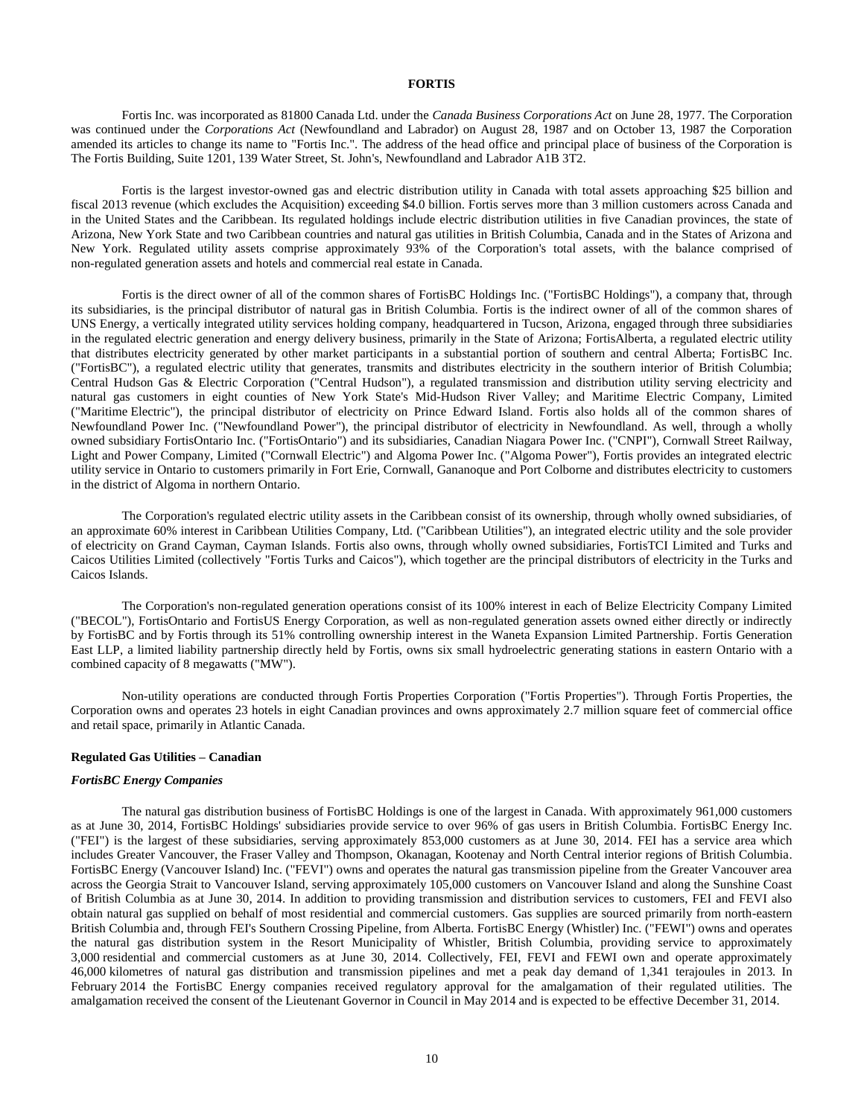## **FORTIS**

<span id="page-12-0"></span>Fortis Inc. was incorporated as 81800 Canada Ltd. under the *Canada Business Corporations Act* on June 28, 1977. The Corporation was continued under the *Corporations Act* (Newfoundland and Labrador) on August 28, 1987 and on October 13, 1987 the Corporation amended its articles to change its name to "Fortis Inc.". The address of the head office and principal place of business of the Corporation is The Fortis Building, Suite 1201, 139 Water Street, St. John's, Newfoundland and Labrador A1B 3T2.

Fortis is the largest investor-owned gas and electric distribution utility in Canada with total assets approaching \$25 billion and fiscal 2013 revenue (which excludes the Acquisition) exceeding \$4.0 billion. Fortis serves more than 3 million customers across Canada and in the United States and the Caribbean. Its regulated holdings include electric distribution utilities in five Canadian provinces, the state of Arizona, New York State and two Caribbean countries and natural gas utilities in British Columbia, Canada and in the States of Arizona and New York. Regulated utility assets comprise approximately 93% of the Corporation's total assets, with the balance comprised of non-regulated generation assets and hotels and commercial real estate in Canada.

Fortis is the direct owner of all of the common shares of FortisBC Holdings Inc. ("FortisBC Holdings"), a company that, through its subsidiaries, is the principal distributor of natural gas in British Columbia. Fortis is the indirect owner of all of the common shares of UNS Energy, a vertically integrated utility services holding company, headquartered in Tucson, Arizona, engaged through three subsidiaries in the regulated electric generation and energy delivery business, primarily in the State of Arizona; FortisAlberta, a regulated electric utility that distributes electricity generated by other market participants in a substantial portion of southern and central Alberta; FortisBC Inc. ("FortisBC"), a regulated electric utility that generates, transmits and distributes electricity in the southern interior of British Columbia; Central Hudson Gas & Electric Corporation ("Central Hudson"), a regulated transmission and distribution utility serving electricity and natural gas customers in eight counties of New York State's Mid-Hudson River Valley; and Maritime Electric Company, Limited ("Maritime Electric"), the principal distributor of electricity on Prince Edward Island. Fortis also holds all of the common shares of Newfoundland Power Inc. ("Newfoundland Power"), the principal distributor of electricity in Newfoundland. As well, through a wholly owned subsidiary FortisOntario Inc. ("FortisOntario") and its subsidiaries, Canadian Niagara Power Inc. ("CNPI"), Cornwall Street Railway, Light and Power Company, Limited ("Cornwall Electric") and Algoma Power Inc. ("Algoma Power"), Fortis provides an integrated electric utility service in Ontario to customers primarily in Fort Erie, Cornwall, Gananoque and Port Colborne and distributes electricity to customers in the district of Algoma in northern Ontario.

The Corporation's regulated electric utility assets in the Caribbean consist of its ownership, through wholly owned subsidiaries, of an approximate 60% interest in Caribbean Utilities Company, Ltd. ("Caribbean Utilities"), an integrated electric utility and the sole provider of electricity on Grand Cayman, Cayman Islands. Fortis also owns, through wholly owned subsidiaries, FortisTCI Limited and Turks and Caicos Utilities Limited (collectively "Fortis Turks and Caicos"), which together are the principal distributors of electricity in the Turks and Caicos Islands.

The Corporation's non-regulated generation operations consist of its 100% interest in each of Belize Electricity Company Limited ("BECOL"), FortisOntario and FortisUS Energy Corporation, as well as non-regulated generation assets owned either directly or indirectly by FortisBC and by Fortis through its 51% controlling ownership interest in the Waneta Expansion Limited Partnership. Fortis Generation East LLP, a limited liability partnership directly held by Fortis, owns six small hydroelectric generating stations in eastern Ontario with a combined capacity of 8 megawatts ("MW").

Non-utility operations are conducted through Fortis Properties Corporation ("Fortis Properties"). Through Fortis Properties, the Corporation owns and operates 23 hotels in eight Canadian provinces and owns approximately 2.7 million square feet of commercial office and retail space, primarily in Atlantic Canada.

#### **Regulated Gas Utilities – Canadian**

#### *FortisBC Energy Companies*

The natural gas distribution business of FortisBC Holdings is one of the largest in Canada. With approximately 961,000 customers as at June 30, 2014, FortisBC Holdings' subsidiaries provide service to over 96% of gas users in British Columbia. FortisBC Energy Inc. ("FEI") is the largest of these subsidiaries, serving approximately 853,000 customers as at June 30, 2014. FEI has a service area which includes Greater Vancouver, the Fraser Valley and Thompson, Okanagan, Kootenay and North Central interior regions of British Columbia. FortisBC Energy (Vancouver Island) Inc. ("FEVI") owns and operates the natural gas transmission pipeline from the Greater Vancouver area across the Georgia Strait to Vancouver Island, serving approximately 105,000 customers on Vancouver Island and along the Sunshine Coast of British Columbia as at June 30, 2014. In addition to providing transmission and distribution services to customers, FEI and FEVI also obtain natural gas supplied on behalf of most residential and commercial customers. Gas supplies are sourced primarily from north-eastern British Columbia and, through FEI's Southern Crossing Pipeline, from Alberta. FortisBC Energy (Whistler) Inc. ("FEWI") owns and operates the natural gas distribution system in the Resort Municipality of Whistler, British Columbia, providing service to approximately 3,000 residential and commercial customers as at June 30, 2014. Collectively, FEI, FEVI and FEWI own and operate approximately 46,000 kilometres of natural gas distribution and transmission pipelines and met a peak day demand of 1,341 terajoules in 2013. In February 2014 the FortisBC Energy companies received regulatory approval for the amalgamation of their regulated utilities. The amalgamation received the consent of the Lieutenant Governor in Council in May 2014 and is expected to be effective December 31, 2014.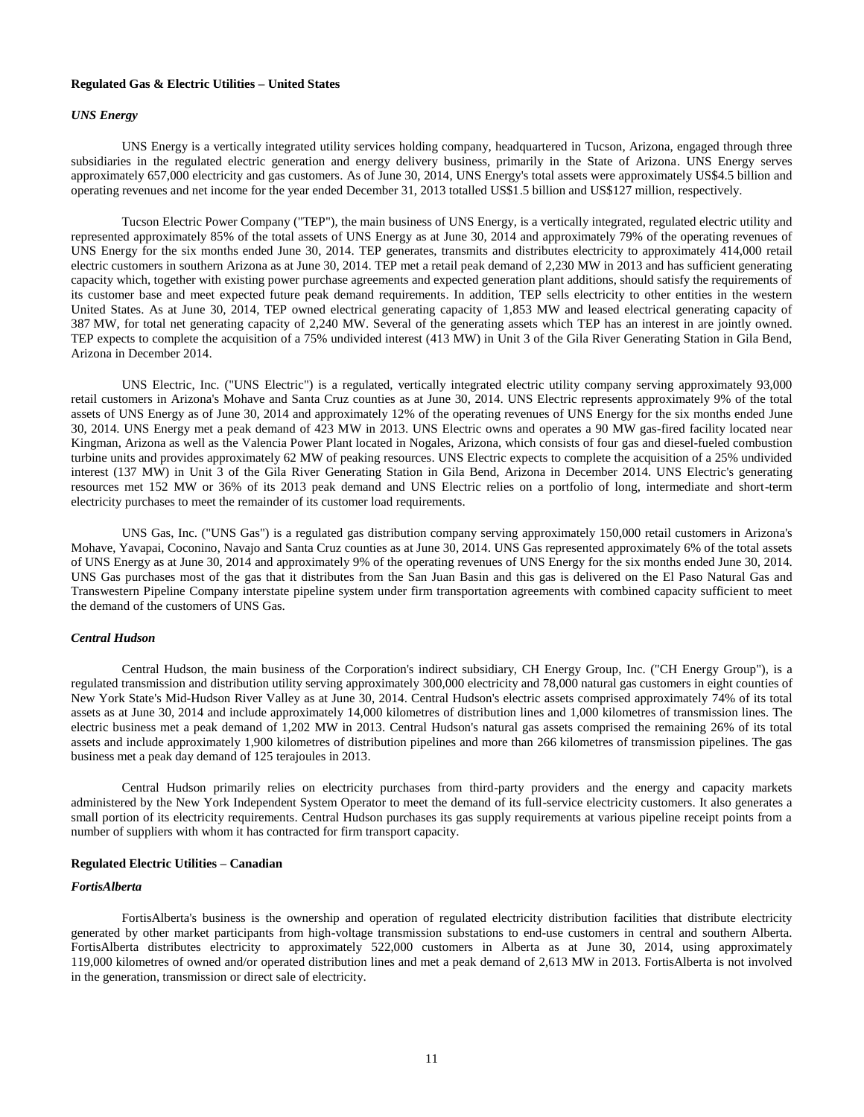## **Regulated Gas & Electric Utilities – United States**

## *UNS Energy*

UNS Energy is a vertically integrated utility services holding company, headquartered in Tucson, Arizona, engaged through three subsidiaries in the regulated electric generation and energy delivery business, primarily in the State of Arizona. UNS Energy serves approximately 657,000 electricity and gas customers. As of June 30, 2014, UNS Energy's total assets were approximately US\$4.5 billion and operating revenues and net income for the year ended December 31, 2013 totalled US\$1.5 billion and US\$127 million, respectively.

Tucson Electric Power Company ("TEP"), the main business of UNS Energy, is a vertically integrated, regulated electric utility and represented approximately 85% of the total assets of UNS Energy as at June 30, 2014 and approximately 79% of the operating revenues of UNS Energy for the six months ended June 30, 2014. TEP generates, transmits and distributes electricity to approximately 414,000 retail electric customers in southern Arizona as at June 30, 2014. TEP met a retail peak demand of 2,230 MW in 2013 and has sufficient generating capacity which, together with existing power purchase agreements and expected generation plant additions, should satisfy the requirements of its customer base and meet expected future peak demand requirements. In addition, TEP sells electricity to other entities in the western United States. As at June 30, 2014, TEP owned electrical generating capacity of 1,853 MW and leased electrical generating capacity of 387 MW, for total net generating capacity of 2,240 MW. Several of the generating assets which TEP has an interest in are jointly owned. TEP expects to complete the acquisition of a 75% undivided interest (413 MW) in Unit 3 of the Gila River Generating Station in Gila Bend, Arizona in December 2014.

UNS Electric, Inc. ("UNS Electric") is a regulated, vertically integrated electric utility company serving approximately 93,000 retail customers in Arizona's Mohave and Santa Cruz counties as at June 30, 2014. UNS Electric represents approximately 9% of the total assets of UNS Energy as of June 30, 2014 and approximately 12% of the operating revenues of UNS Energy for the six months ended June 30, 2014. UNS Energy met a peak demand of 423 MW in 2013. UNS Electric owns and operates a 90 MW gas-fired facility located near Kingman, Arizona as well as the Valencia Power Plant located in Nogales, Arizona, which consists of four gas and diesel-fueled combustion turbine units and provides approximately 62 MW of peaking resources. UNS Electric expects to complete the acquisition of a 25% undivided interest (137 MW) in Unit 3 of the Gila River Generating Station in Gila Bend, Arizona in December 2014. UNS Electric's generating resources met 152 MW or 36% of its 2013 peak demand and UNS Electric relies on a portfolio of long, intermediate and short-term electricity purchases to meet the remainder of its customer load requirements.

UNS Gas, Inc. ("UNS Gas") is a regulated gas distribution company serving approximately 150,000 retail customers in Arizona's Mohave, Yavapai, Coconino, Navajo and Santa Cruz counties as at June 30, 2014. UNS Gas represented approximately 6% of the total assets of UNS Energy as at June 30, 2014 and approximately 9% of the operating revenues of UNS Energy for the six months ended June 30, 2014. UNS Gas purchases most of the gas that it distributes from the San Juan Basin and this gas is delivered on the El Paso Natural Gas and Transwestern Pipeline Company interstate pipeline system under firm transportation agreements with combined capacity sufficient to meet the demand of the customers of UNS Gas.

## *Central Hudson*

Central Hudson, the main business of the Corporation's indirect subsidiary, CH Energy Group, Inc. ("CH Energy Group"), is a regulated transmission and distribution utility serving approximately 300,000 electricity and 78,000 natural gas customers in eight counties of New York State's Mid-Hudson River Valley as at June 30, 2014. Central Hudson's electric assets comprised approximately 74% of its total assets as at June 30, 2014 and include approximately 14,000 kilometres of distribution lines and 1,000 kilometres of transmission lines. The electric business met a peak demand of 1,202 MW in 2013. Central Hudson's natural gas assets comprised the remaining 26% of its total assets and include approximately 1,900 kilometres of distribution pipelines and more than 266 kilometres of transmission pipelines. The gas business met a peak day demand of 125 terajoules in 2013.

Central Hudson primarily relies on electricity purchases from third-party providers and the energy and capacity markets administered by the New York Independent System Operator to meet the demand of its full-service electricity customers. It also generates a small portion of its electricity requirements. Central Hudson purchases its gas supply requirements at various pipeline receipt points from a number of suppliers with whom it has contracted for firm transport capacity.

#### **Regulated Electric Utilities – Canadian**

## *FortisAlberta*

FortisAlberta's business is the ownership and operation of regulated electricity distribution facilities that distribute electricity generated by other market participants from high-voltage transmission substations to end-use customers in central and southern Alberta. FortisAlberta distributes electricity to approximately 522,000 customers in Alberta as at June 30, 2014, using approximately 119,000 kilometres of owned and/or operated distribution lines and met a peak demand of 2,613 MW in 2013. FortisAlberta is not involved in the generation, transmission or direct sale of electricity.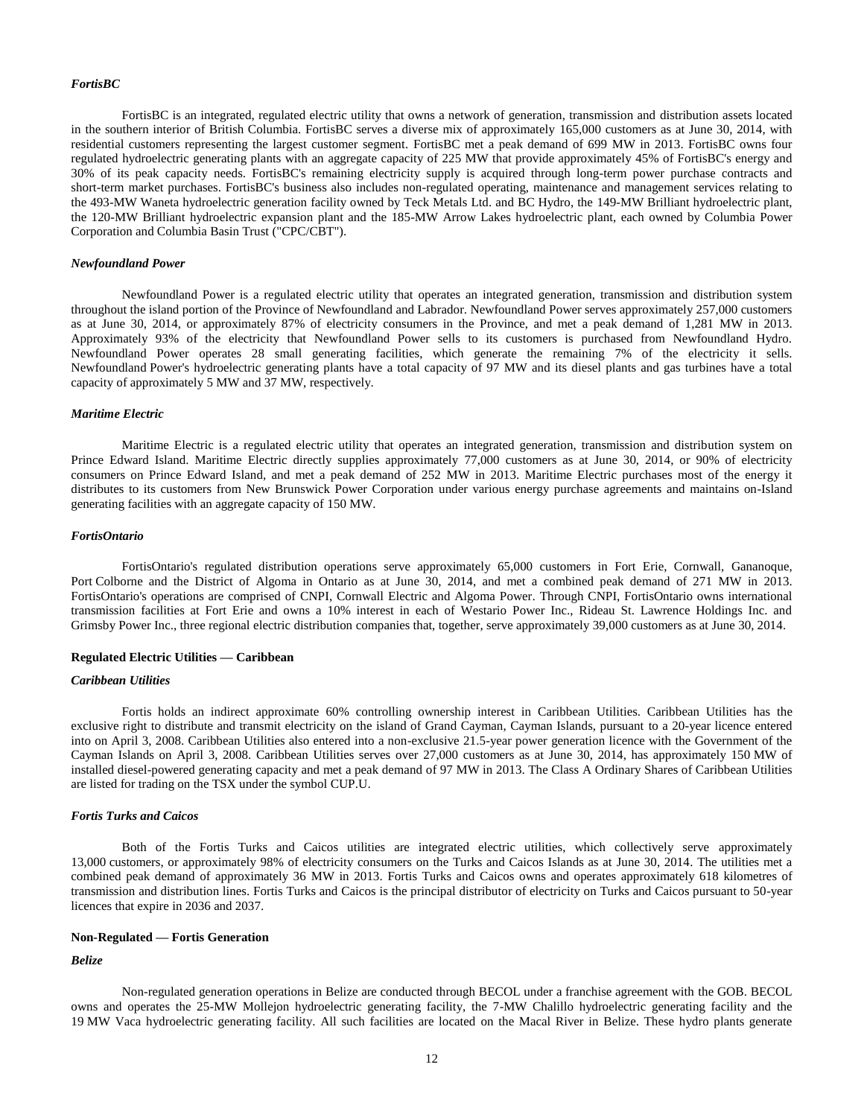#### *FortisBC*

FortisBC is an integrated, regulated electric utility that owns a network of generation, transmission and distribution assets located in the southern interior of British Columbia. FortisBC serves a diverse mix of approximately 165,000 customers as at June 30, 2014, with residential customers representing the largest customer segment. FortisBC met a peak demand of 699 MW in 2013. FortisBC owns four regulated hydroelectric generating plants with an aggregate capacity of 225 MW that provide approximately 45% of FortisBC's energy and 30% of its peak capacity needs. FortisBC's remaining electricity supply is acquired through long-term power purchase contracts and short-term market purchases. FortisBC's business also includes non-regulated operating, maintenance and management services relating to the 493-MW Waneta hydroelectric generation facility owned by Teck Metals Ltd. and BC Hydro, the 149-MW Brilliant hydroelectric plant, the 120-MW Brilliant hydroelectric expansion plant and the 185-MW Arrow Lakes hydroelectric plant, each owned by Columbia Power Corporation and Columbia Basin Trust ("CPC/CBT").

#### *Newfoundland Power*

Newfoundland Power is a regulated electric utility that operates an integrated generation, transmission and distribution system throughout the island portion of the Province of Newfoundland and Labrador. Newfoundland Power serves approximately 257,000 customers as at June 30, 2014, or approximately 87% of electricity consumers in the Province, and met a peak demand of 1,281 MW in 2013. Approximately 93% of the electricity that Newfoundland Power sells to its customers is purchased from Newfoundland Hydro. Newfoundland Power operates 28 small generating facilities, which generate the remaining 7% of the electricity it sells. Newfoundland Power's hydroelectric generating plants have a total capacity of 97 MW and its diesel plants and gas turbines have a total capacity of approximately 5 MW and 37 MW, respectively.

#### *Maritime Electric*

Maritime Electric is a regulated electric utility that operates an integrated generation, transmission and distribution system on Prince Edward Island. Maritime Electric directly supplies approximately 77,000 customers as at June 30, 2014, or 90% of electricity consumers on Prince Edward Island, and met a peak demand of 252 MW in 2013. Maritime Electric purchases most of the energy it distributes to its customers from New Brunswick Power Corporation under various energy purchase agreements and maintains on-Island generating facilities with an aggregate capacity of 150 MW.

#### *FortisOntario*

FortisOntario's regulated distribution operations serve approximately 65,000 customers in Fort Erie, Cornwall, Gananoque, Port Colborne and the District of Algoma in Ontario as at June 30, 2014, and met a combined peak demand of 271 MW in 2013. FortisOntario's operations are comprised of CNPI, Cornwall Electric and Algoma Power. Through CNPI, FortisOntario owns international transmission facilities at Fort Erie and owns a 10% interest in each of Westario Power Inc., Rideau St. Lawrence Holdings Inc. and Grimsby Power Inc., three regional electric distribution companies that, together, serve approximately 39,000 customers as at June 30, 2014.

#### **Regulated Electric Utilities — Caribbean**

#### *Caribbean Utilities*

Fortis holds an indirect approximate 60% controlling ownership interest in Caribbean Utilities. Caribbean Utilities has the exclusive right to distribute and transmit electricity on the island of Grand Cayman, Cayman Islands, pursuant to a 20-year licence entered into on April 3, 2008. Caribbean Utilities also entered into a non-exclusive 21.5-year power generation licence with the Government of the Cayman Islands on April 3, 2008. Caribbean Utilities serves over 27,000 customers as at June 30, 2014, has approximately 150 MW of installed diesel-powered generating capacity and met a peak demand of 97 MW in 2013. The Class A Ordinary Shares of Caribbean Utilities are listed for trading on the TSX under the symbol CUP.U.

## *Fortis Turks and Caicos*

Both of the Fortis Turks and Caicos utilities are integrated electric utilities, which collectively serve approximately 13,000 customers, or approximately 98% of electricity consumers on the Turks and Caicos Islands as at June 30, 2014. The utilities met a combined peak demand of approximately 36 MW in 2013. Fortis Turks and Caicos owns and operates approximately 618 kilometres of transmission and distribution lines. Fortis Turks and Caicos is the principal distributor of electricity on Turks and Caicos pursuant to 50-year licences that expire in 2036 and 2037.

#### **Non-Regulated — Fortis Generation**

## *Belize*

Non-regulated generation operations in Belize are conducted through BECOL under a franchise agreement with the GOB. BECOL owns and operates the 25-MW Mollejon hydroelectric generating facility, the 7-MW Chalillo hydroelectric generating facility and the 19 MW Vaca hydroelectric generating facility. All such facilities are located on the Macal River in Belize. These hydro plants generate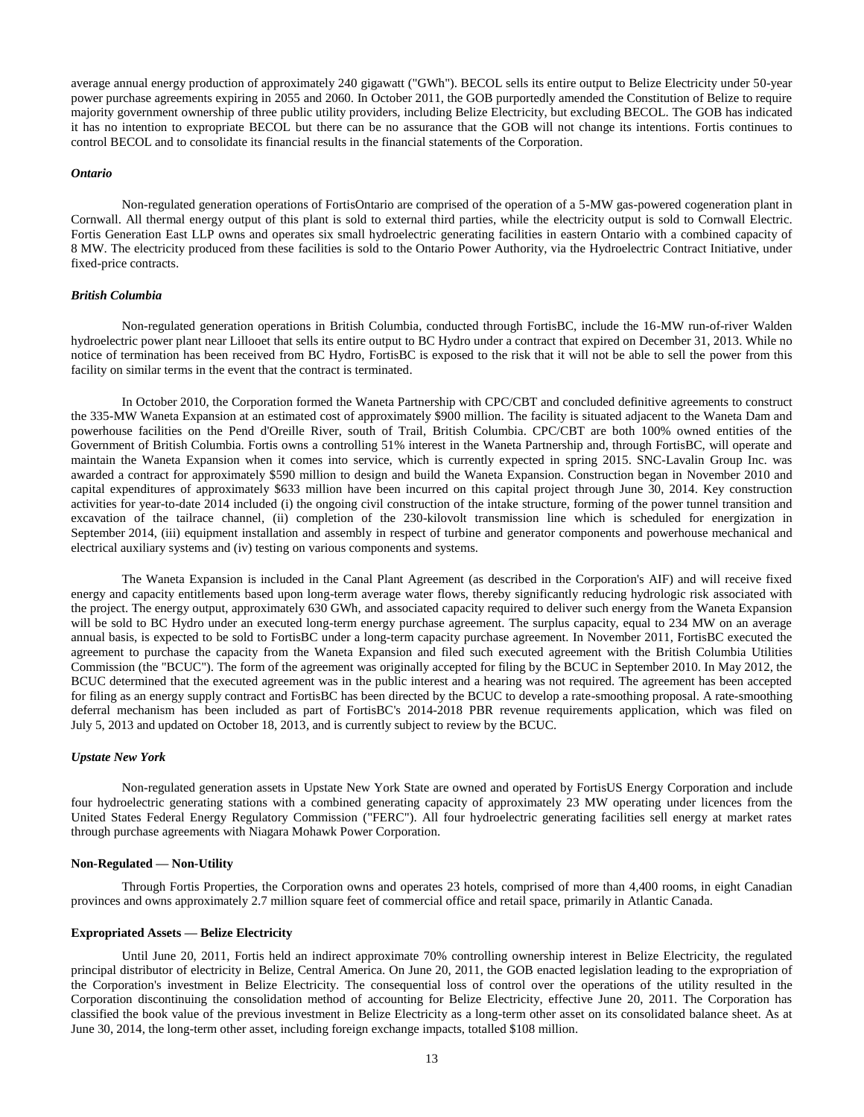average annual energy production of approximately 240 gigawatt ("GWh"). BECOL sells its entire output to Belize Electricity under 50-year power purchase agreements expiring in 2055 and 2060. In October 2011, the GOB purportedly amended the Constitution of Belize to require majority government ownership of three public utility providers, including Belize Electricity, but excluding BECOL. The GOB has indicated it has no intention to expropriate BECOL but there can be no assurance that the GOB will not change its intentions. Fortis continues to control BECOL and to consolidate its financial results in the financial statements of the Corporation.

#### *Ontario*

Non-regulated generation operations of FortisOntario are comprised of the operation of a 5-MW gas-powered cogeneration plant in Cornwall. All thermal energy output of this plant is sold to external third parties, while the electricity output is sold to Cornwall Electric. Fortis Generation East LLP owns and operates six small hydroelectric generating facilities in eastern Ontario with a combined capacity of 8 MW. The electricity produced from these facilities is sold to the Ontario Power Authority, via the Hydroelectric Contract Initiative, under fixed-price contracts.

#### *British Columbia*

Non-regulated generation operations in British Columbia, conducted through FortisBC, include the 16-MW run-of-river Walden hydroelectric power plant near Lillooet that sells its entire output to BC Hydro under a contract that expired on December 31, 2013. While no notice of termination has been received from BC Hydro, FortisBC is exposed to the risk that it will not be able to sell the power from this facility on similar terms in the event that the contract is terminated.

In October 2010, the Corporation formed the Waneta Partnership with CPC/CBT and concluded definitive agreements to construct the 335-MW Waneta Expansion at an estimated cost of approximately \$900 million. The facility is situated adjacent to the Waneta Dam and powerhouse facilities on the Pend d'Oreille River, south of Trail, British Columbia. CPC/CBT are both 100% owned entities of the Government of British Columbia. Fortis owns a controlling 51% interest in the Waneta Partnership and, through FortisBC, will operate and maintain the Waneta Expansion when it comes into service, which is currently expected in spring 2015. SNC-Lavalin Group Inc. was awarded a contract for approximately \$590 million to design and build the Waneta Expansion. Construction began in November 2010 and capital expenditures of approximately \$633 million have been incurred on this capital project through June 30, 2014. Key construction activities for year-to-date 2014 included (i) the ongoing civil construction of the intake structure, forming of the power tunnel transition and excavation of the tailrace channel, (ii) completion of the 230-kilovolt transmission line which is scheduled for energization in September 2014, (iii) equipment installation and assembly in respect of turbine and generator components and powerhouse mechanical and electrical auxiliary systems and (iv) testing on various components and systems.

The Waneta Expansion is included in the Canal Plant Agreement (as described in the Corporation's AIF) and will receive fixed energy and capacity entitlements based upon long-term average water flows, thereby significantly reducing hydrologic risk associated with the project. The energy output, approximately 630 GWh, and associated capacity required to deliver such energy from the Waneta Expansion will be sold to BC Hydro under an executed long-term energy purchase agreement. The surplus capacity, equal to 234 MW on an average annual basis, is expected to be sold to FortisBC under a long-term capacity purchase agreement. In November 2011, FortisBC executed the agreement to purchase the capacity from the Waneta Expansion and filed such executed agreement with the British Columbia Utilities Commission (the "BCUC"). The form of the agreement was originally accepted for filing by the BCUC in September 2010. In May 2012, the BCUC determined that the executed agreement was in the public interest and a hearing was not required. The agreement has been accepted for filing as an energy supply contract and FortisBC has been directed by the BCUC to develop a rate-smoothing proposal. A rate-smoothing deferral mechanism has been included as part of FortisBC's 2014-2018 PBR revenue requirements application, which was filed on July 5, 2013 and updated on October 18, 2013, and is currently subject to review by the BCUC.

#### *Upstate New York*

Non-regulated generation assets in Upstate New York State are owned and operated by FortisUS Energy Corporation and include four hydroelectric generating stations with a combined generating capacity of approximately 23 MW operating under licences from the United States Federal Energy Regulatory Commission ("FERC"). All four hydroelectric generating facilities sell energy at market rates through purchase agreements with Niagara Mohawk Power Corporation.

#### **Non-Regulated — Non-Utility**

Through Fortis Properties, the Corporation owns and operates 23 hotels, comprised of more than 4,400 rooms, in eight Canadian provinces and owns approximately 2.7 million square feet of commercial office and retail space, primarily in Atlantic Canada.

## **Expropriated Assets — Belize Electricity**

Until June 20, 2011, Fortis held an indirect approximate 70% controlling ownership interest in Belize Electricity, the regulated principal distributor of electricity in Belize, Central America. On June 20, 2011, the GOB enacted legislation leading to the expropriation of the Corporation's investment in Belize Electricity. The consequential loss of control over the operations of the utility resulted in the Corporation discontinuing the consolidation method of accounting for Belize Electricity, effective June 20, 2011. The Corporation has classified the book value of the previous investment in Belize Electricity as a long-term other asset on its consolidated balance sheet. As at June 30, 2014, the long-term other asset, including foreign exchange impacts, totalled \$108 million.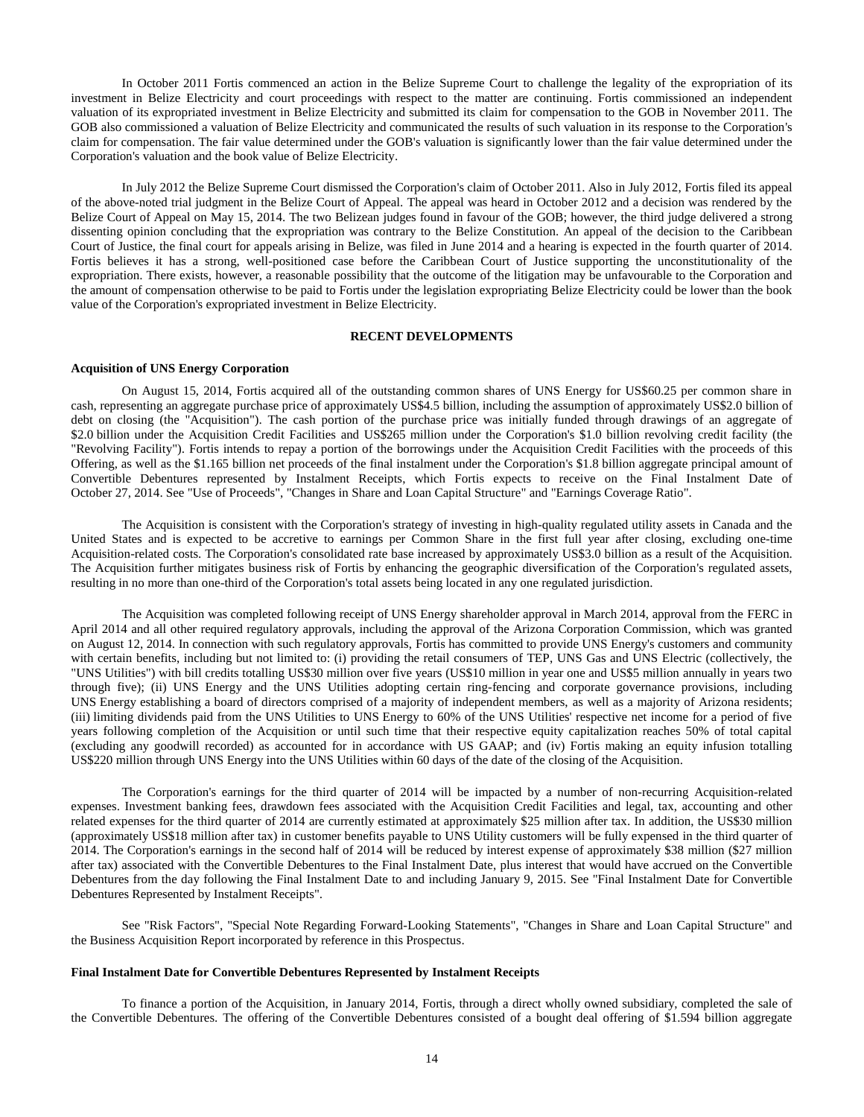In October 2011 Fortis commenced an action in the Belize Supreme Court to challenge the legality of the expropriation of its investment in Belize Electricity and court proceedings with respect to the matter are continuing. Fortis commissioned an independent valuation of its expropriated investment in Belize Electricity and submitted its claim for compensation to the GOB in November 2011. The GOB also commissioned a valuation of Belize Electricity and communicated the results of such valuation in its response to the Corporation's claim for compensation. The fair value determined under the GOB's valuation is significantly lower than the fair value determined under the Corporation's valuation and the book value of Belize Electricity.

In July 2012 the Belize Supreme Court dismissed the Corporation's claim of October 2011. Also in July 2012, Fortis filed its appeal of the above-noted trial judgment in the Belize Court of Appeal. The appeal was heard in October 2012 and a decision was rendered by the Belize Court of Appeal on May 15, 2014. The two Belizean judges found in favour of the GOB; however, the third judge delivered a strong dissenting opinion concluding that the expropriation was contrary to the Belize Constitution. An appeal of the decision to the Caribbean Court of Justice, the final court for appeals arising in Belize, was filed in June 2014 and a hearing is expected in the fourth quarter of 2014. Fortis believes it has a strong, well-positioned case before the Caribbean Court of Justice supporting the unconstitutionality of the expropriation. There exists, however, a reasonable possibility that the outcome of the litigation may be unfavourable to the Corporation and the amount of compensation otherwise to be paid to Fortis under the legislation expropriating Belize Electricity could be lower than the book value of the Corporation's expropriated investment in Belize Electricity.

## **RECENT DEVELOPMENTS**

#### <span id="page-16-0"></span>**Acquisition of UNS Energy Corporation**

On August 15, 2014, Fortis acquired all of the outstanding common shares of UNS Energy for US\$60.25 per common share in cash, representing an aggregate purchase price of approximately US\$4.5 billion, including the assumption of approximately US\$2.0 billion of debt on closing (the "Acquisition"). The cash portion of the purchase price was initially funded through drawings of an aggregate of \$2.0 billion under the Acquisition Credit Facilities and US\$265 million under the Corporation's \$1.0 billion revolving credit facility (the "Revolving Facility"). Fortis intends to repay a portion of the borrowings under the Acquisition Credit Facilities with the proceeds of this Offering, as well as the \$1.165 billion net proceeds of the final instalment under the Corporation's \$1.8 billion aggregate principal amount of Convertible Debentures represented by Instalment Receipts, which Fortis expects to receive on the Final Instalment Date of October 27, 2014. See "Use of Proceeds", "Changes in Share and Loan Capital Structure" and "Earnings Coverage Ratio".

The Acquisition is consistent with the Corporation's strategy of investing in high-quality regulated utility assets in Canada and the United States and is expected to be accretive to earnings per Common Share in the first full year after closing, excluding one-time Acquisition-related costs. The Corporation's consolidated rate base increased by approximately US\$3.0 billion as a result of the Acquisition. The Acquisition further mitigates business risk of Fortis by enhancing the geographic diversification of the Corporation's regulated assets, resulting in no more than one-third of the Corporation's total assets being located in any one regulated jurisdiction.

The Acquisition was completed following receipt of UNS Energy shareholder approval in March 2014, approval from the FERC in April 2014 and all other required regulatory approvals, including the approval of the Arizona Corporation Commission, which was granted on August 12, 2014. In connection with such regulatory approvals, Fortis has committed to provide UNS Energy's customers and community with certain benefits, including but not limited to: (i) providing the retail consumers of TEP, UNS Gas and UNS Electric (collectively, the "UNS Utilities") with bill credits totalling US\$30 million over five years (US\$10 million in year one and US\$5 million annually in years two through five); (ii) UNS Energy and the UNS Utilities adopting certain ring-fencing and corporate governance provisions, including UNS Energy establishing a board of directors comprised of a majority of independent members, as well as a majority of Arizona residents; (iii) limiting dividends paid from the UNS Utilities to UNS Energy to 60% of the UNS Utilities' respective net income for a period of five years following completion of the Acquisition or until such time that their respective equity capitalization reaches 50% of total capital (excluding any goodwill recorded) as accounted for in accordance with US GAAP; and (iv) Fortis making an equity infusion totalling US\$220 million through UNS Energy into the UNS Utilities within 60 days of the date of the closing of the Acquisition.

The Corporation's earnings for the third quarter of 2014 will be impacted by a number of non-recurring Acquisition-related expenses. Investment banking fees, drawdown fees associated with the Acquisition Credit Facilities and legal, tax, accounting and other related expenses for the third quarter of 2014 are currently estimated at approximately \$25 million after tax. In addition, the US\$30 million (approximately US\$18 million after tax) in customer benefits payable to UNS Utility customers will be fully expensed in the third quarter of 2014. The Corporation's earnings in the second half of 2014 will be reduced by interest expense of approximately \$38 million (\$27 million after tax) associated with the Convertible Debentures to the Final Instalment Date, plus interest that would have accrued on the Convertible Debentures from the day following the Final Instalment Date to and including January 9, 2015. See "Final Instalment Date for Convertible Debentures Represented by Instalment Receipts".

See "Risk Factors", "Special Note Regarding Forward-Looking Statements", "Changes in Share and Loan Capital Structure" and the Business Acquisition Report incorporated by reference in this Prospectus.

## **Final Instalment Date for Convertible Debentures Represented by Instalment Receipts**

To finance a portion of the Acquisition, in January 2014, Fortis, through a direct wholly owned subsidiary, completed the sale of the Convertible Debentures. The offering of the Convertible Debentures consisted of a bought deal offering of \$1.594 billion aggregate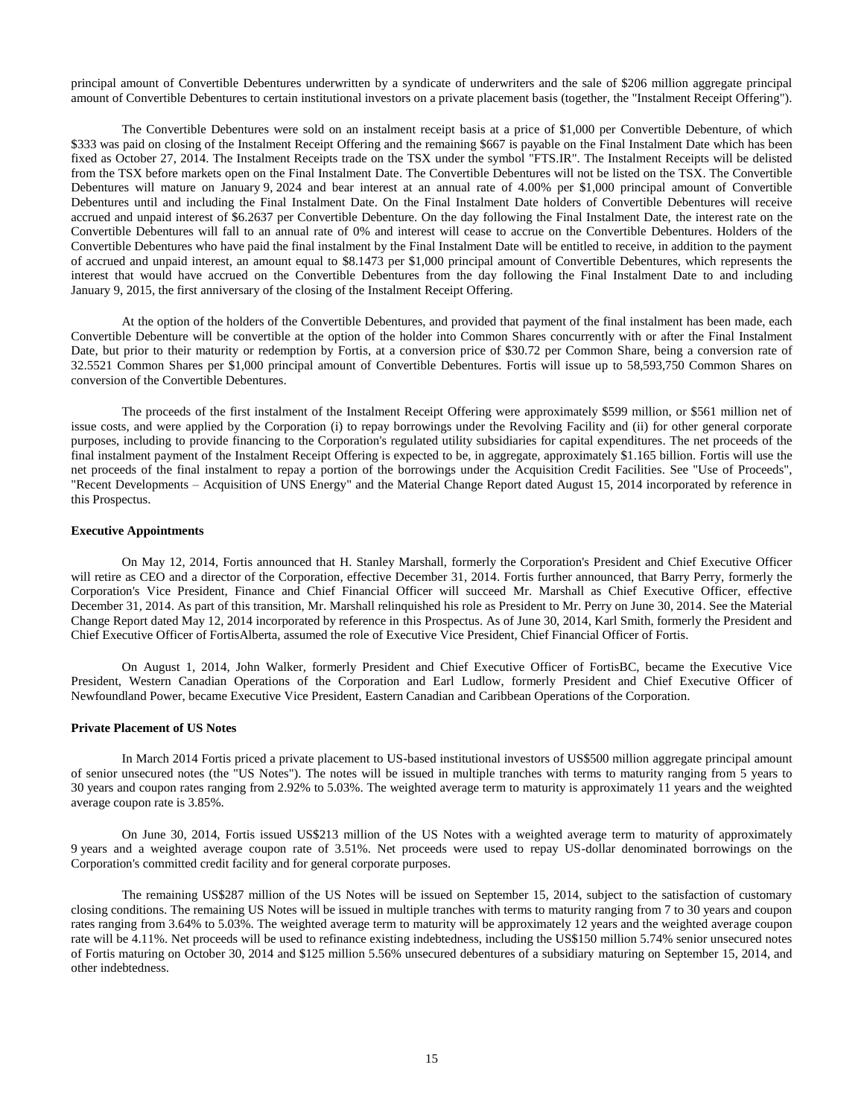principal amount of Convertible Debentures underwritten by a syndicate of underwriters and the sale of \$206 million aggregate principal amount of Convertible Debentures to certain institutional investors on a private placement basis (together, the "Instalment Receipt Offering").

The Convertible Debentures were sold on an instalment receipt basis at a price of \$1,000 per Convertible Debenture, of which \$333 was paid on closing of the Instalment Receipt Offering and the remaining \$667 is payable on the Final Instalment Date which has been fixed as October 27, 2014. The Instalment Receipts trade on the TSX under the symbol "FTS.IR". The Instalment Receipts will be delisted from the TSX before markets open on the Final Instalment Date. The Convertible Debentures will not be listed on the TSX. The Convertible Debentures will mature on January 9, 2024 and bear interest at an annual rate of 4.00% per \$1,000 principal amount of Convertible Debentures until and including the Final Instalment Date. On the Final Instalment Date holders of Convertible Debentures will receive accrued and unpaid interest of \$6.2637 per Convertible Debenture. On the day following the Final Instalment Date, the interest rate on the Convertible Debentures will fall to an annual rate of 0% and interest will cease to accrue on the Convertible Debentures. Holders of the Convertible Debentures who have paid the final instalment by the Final Instalment Date will be entitled to receive, in addition to the payment of accrued and unpaid interest, an amount equal to \$8.1473 per \$1,000 principal amount of Convertible Debentures, which represents the interest that would have accrued on the Convertible Debentures from the day following the Final Instalment Date to and including January 9, 2015, the first anniversary of the closing of the Instalment Receipt Offering.

At the option of the holders of the Convertible Debentures, and provided that payment of the final instalment has been made, each Convertible Debenture will be convertible at the option of the holder into Common Shares concurrently with or after the Final Instalment Date, but prior to their maturity or redemption by Fortis, at a conversion price of \$30.72 per Common Share, being a conversion rate of 32.5521 Common Shares per \$1,000 principal amount of Convertible Debentures. Fortis will issue up to 58,593,750 Common Shares on conversion of the Convertible Debentures.

The proceeds of the first instalment of the Instalment Receipt Offering were approximately \$599 million, or \$561 million net of issue costs, and were applied by the Corporation (i) to repay borrowings under the Revolving Facility and (ii) for other general corporate purposes, including to provide financing to the Corporation's regulated utility subsidiaries for capital expenditures. The net proceeds of the final instalment payment of the Instalment Receipt Offering is expected to be, in aggregate, approximately \$1.165 billion. Fortis will use the net proceeds of the final instalment to repay a portion of the borrowings under the Acquisition Credit Facilities. See "Use of Proceeds", "Recent Developments – Acquisition of UNS Energy" and the Material Change Report dated August 15, 2014 incorporated by reference in this Prospectus.

#### **Executive Appointments**

On May 12, 2014, Fortis announced that H. Stanley Marshall, formerly the Corporation's President and Chief Executive Officer will retire as CEO and a director of the Corporation, effective December 31, 2014. Fortis further announced, that Barry Perry, formerly the Corporation's Vice President, Finance and Chief Financial Officer will succeed Mr. Marshall as Chief Executive Officer, effective December 31, 2014. As part of this transition, Mr. Marshall relinquished his role as President to Mr. Perry on June 30, 2014. See the Material Change Report dated May 12, 2014 incorporated by reference in this Prospectus. As of June 30, 2014, Karl Smith, formerly the President and Chief Executive Officer of FortisAlberta, assumed the role of Executive Vice President, Chief Financial Officer of Fortis.

On August 1, 2014, John Walker, formerly President and Chief Executive Officer of FortisBC, became the Executive Vice President, Western Canadian Operations of the Corporation and Earl Ludlow, formerly President and Chief Executive Officer of Newfoundland Power, became Executive Vice President, Eastern Canadian and Caribbean Operations of the Corporation.

#### **Private Placement of US Notes**

In March 2014 Fortis priced a private placement to US-based institutional investors of US\$500 million aggregate principal amount of senior unsecured notes (the "US Notes"). The notes will be issued in multiple tranches with terms to maturity ranging from 5 years to 30 years and coupon rates ranging from 2.92% to 5.03%. The weighted average term to maturity is approximately 11 years and the weighted average coupon rate is 3.85%.

On June 30, 2014, Fortis issued US\$213 million of the US Notes with a weighted average term to maturity of approximately 9 years and a weighted average coupon rate of 3.51%. Net proceeds were used to repay US-dollar denominated borrowings on the Corporation's committed credit facility and for general corporate purposes.

The remaining US\$287 million of the US Notes will be issued on September 15, 2014, subject to the satisfaction of customary closing conditions. The remaining US Notes will be issued in multiple tranches with terms to maturity ranging from 7 to 30 years and coupon rates ranging from 3.64% to 5.03%. The weighted average term to maturity will be approximately 12 years and the weighted average coupon rate will be 4.11%. Net proceeds will be used to refinance existing indebtedness, including the US\$150 million 5.74% senior unsecured notes of Fortis maturing on October 30, 2014 and \$125 million 5.56% unsecured debentures of a subsidiary maturing on September 15, 2014, and other indebtedness.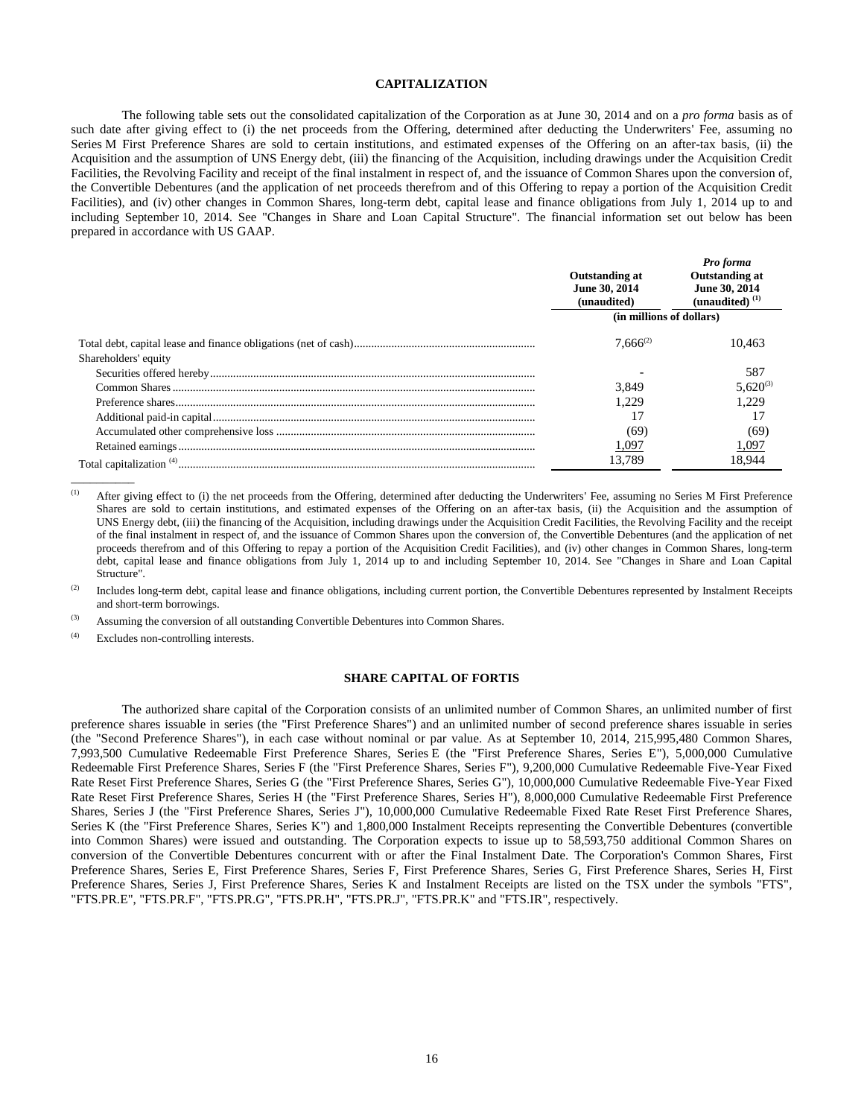## **CAPITALIZATION**

<span id="page-18-0"></span>The following table sets out the consolidated capitalization of the Corporation as at June 30, 2014 and on a *pro forma* basis as of such date after giving effect to (i) the net proceeds from the Offering, determined after deducting the Underwriters' Fee, assuming no Series M First Preference Shares are sold to certain institutions, and estimated expenses of the Offering on an after-tax basis, (ii) the Acquisition and the assumption of UNS Energy debt, (iii) the financing of the Acquisition, including drawings under the Acquisition Credit Facilities, the Revolving Facility and receipt of the final instalment in respect of, and the issuance of Common Shares upon the conversion of, the Convertible Debentures (and the application of net proceeds therefrom and of this Offering to repay a portion of the Acquisition Credit Facilities), and (iv) other changes in Common Shares, long-term debt, capital lease and finance obligations from July 1, 2014 up to and including September 10, 2014. See "Changes in Share and Loan Capital Structure". The financial information set out below has been prepared in accordance with US GAAP.

|                      | Outstanding at<br>June 30, 2014<br>(unaudited) | Pro forma<br><b>Outstanding at</b><br>June 30, 2014<br>(unaudited) $(1)$ |
|----------------------|------------------------------------------------|--------------------------------------------------------------------------|
|                      | (in millions of dollars)                       |                                                                          |
|                      | $7.666^{(2)}$                                  | 10.463                                                                   |
| Shareholders' equity |                                                |                                                                          |
|                      |                                                | 587                                                                      |
|                      | 3.849                                          | $5.620^{(3)}$                                                            |
|                      | 1.229                                          | 1.229                                                                    |
|                      |                                                |                                                                          |
|                      | (69                                            | (69)                                                                     |
|                      | 1,097                                          | 1,097                                                                    |
|                      | 13.789                                         | 18.944                                                                   |

<sup>(1)</sup> After giving effect to (i) the net proceeds from the Offering, determined after deducting the Underwriters' Fee, assuming no Series M First Preference Shares are sold to certain institutions, and estimated expenses of the Offering on an after-tax basis, (ii) the Acquisition and the assumption of UNS Energy debt, (iii) the financing of the Acquisition, including drawings under the Acquisition Credit Facilities, the Revolving Facility and the receipt of the final instalment in respect of, and the issuance of Common Shares upon the conversion of, the Convertible Debentures (and the application of net proceeds therefrom and of this Offering to repay a portion of the Acquisition Credit Facilities), and (iv) other changes in Common Shares, long-term debt, capital lease and finance obligations from July 1, 2014 up to and including September 10, 2014. See "Changes in Share and Loan Capital Structure".

(2) Includes long-term debt, capital lease and finance obligations, including current portion, the Convertible Debentures represented by Instalment Receipts and short-term borrowings.

(3) Assuming the conversion of all outstanding Convertible Debentures into Common Shares.

<span id="page-18-1"></span>(4) Excludes non-controlling interests.

\_\_\_\_\_\_\_\_\_\_

#### **SHARE CAPITAL OF FORTIS**

The authorized share capital of the Corporation consists of an unlimited number of Common Shares, an unlimited number of first preference shares issuable in series (the "First Preference Shares") and an unlimited number of second preference shares issuable in series (the "Second Preference Shares"), in each case without nominal or par value. As at September 10, 2014, 215,995,480 Common Shares, 7,993,500 Cumulative Redeemable First Preference Shares, Series E (the "First Preference Shares, Series E"), 5,000,000 Cumulative Redeemable First Preference Shares, Series F (the "First Preference Shares, Series F"), 9,200,000 Cumulative Redeemable Five-Year Fixed Rate Reset First Preference Shares, Series G (the "First Preference Shares, Series G"), 10,000,000 Cumulative Redeemable Five-Year Fixed Rate Reset First Preference Shares, Series H (the "First Preference Shares, Series H"), 8,000,000 Cumulative Redeemable First Preference Shares, Series J (the "First Preference Shares, Series J"), 10,000,000 Cumulative Redeemable Fixed Rate Reset First Preference Shares, Series K (the "First Preference Shares, Series K") and 1,800,000 Instalment Receipts representing the Convertible Debentures (convertible into Common Shares) were issued and outstanding. The Corporation expects to issue up to 58,593,750 additional Common Shares on conversion of the Convertible Debentures concurrent with or after the Final Instalment Date. The Corporation's Common Shares, First Preference Shares, Series E, First Preference Shares, Series F, First Preference Shares, Series G, First Preference Shares, Series H, First Preference Shares, Series J, First Preference Shares, Series K and Instalment Receipts are listed on the TSX under the symbols "FTS", "FTS.PR.E", "FTS.PR.F", "FTS.PR.G", "FTS.PR.H", "FTS.PR.J", "FTS.PR.K" and "FTS.IR", respectively.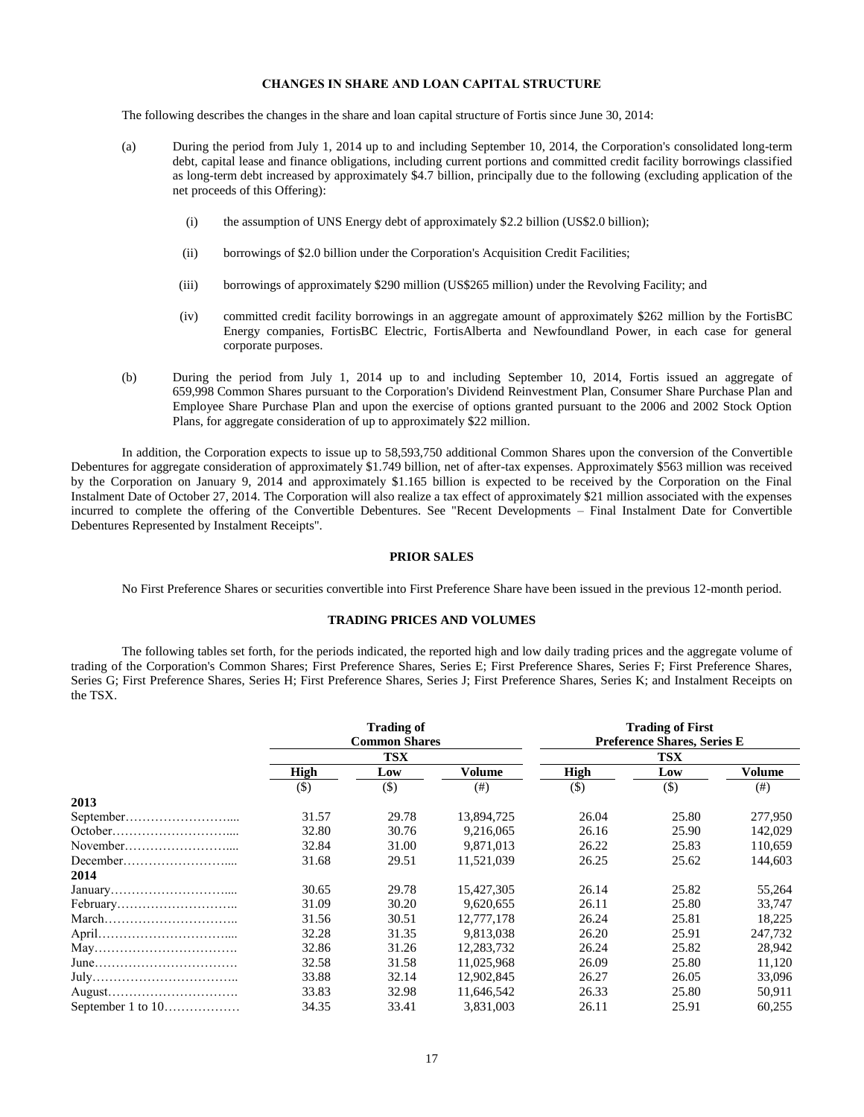## **CHANGES IN SHARE AND LOAN CAPITAL STRUCTURE**

<span id="page-19-0"></span>The following describes the changes in the share and loan capital structure of Fortis since June 30, 2014:

- (a) During the period from July 1, 2014 up to and including September 10, 2014, the Corporation's consolidated long-term debt, capital lease and finance obligations, including current portions and committed credit facility borrowings classified as long-term debt increased by approximately \$4.7 billion, principally due to the following (excluding application of the net proceeds of this Offering):
	- (i) the assumption of UNS Energy debt of approximately \$2.2 billion (US\$2.0 billion);
	- (ii) borrowings of \$2.0 billion under the Corporation's Acquisition Credit Facilities;
	- (iii) borrowings of approximately \$290 million (US\$265 million) under the Revolving Facility; and
	- (iv) committed credit facility borrowings in an aggregate amount of approximately \$262 million by the FortisBC Energy companies, FortisBC Electric, FortisAlberta and Newfoundland Power, in each case for general corporate purposes.
- (b) During the period from July 1, 2014 up to and including September 10, 2014, Fortis issued an aggregate of 659,998 Common Shares pursuant to the Corporation's Dividend Reinvestment Plan, Consumer Share Purchase Plan and Employee Share Purchase Plan and upon the exercise of options granted pursuant to the 2006 and 2002 Stock Option Plans, for aggregate consideration of up to approximately \$22 million.

In addition, the Corporation expects to issue up to 58,593,750 additional Common Shares upon the conversion of the Convertible Debentures for aggregate consideration of approximately \$1.749 billion, net of after-tax expenses. Approximately \$563 million was received by the Corporation on January 9, 2014 and approximately \$1.165 billion is expected to be received by the Corporation on the Final Instalment Date of October 27, 2014. The Corporation will also realize a tax effect of approximately \$21 million associated with the expenses incurred to complete the offering of the Convertible Debentures. See "Recent Developments – Final Instalment Date for Convertible Debentures Represented by Instalment Receipts".

## **PRIOR SALES**

<span id="page-19-1"></span>No First Preference Shares or securities convertible into First Preference Share have been issued in the previous 12-month period.

## **TRADING PRICES AND VOLUMES**

<span id="page-19-2"></span>The following tables set forth, for the periods indicated, the reported high and low daily trading prices and the aggregate volume of trading of the Corporation's Common Shares; First Preference Shares, Series E; First Preference Shares, Series F; First Preference Shares, Series G; First Preference Shares, Series H; First Preference Shares, Series J; First Preference Shares, Series K; and Instalment Receipts on the TSX.

|                                                                     | <b>Trading of</b><br><b>Common Shares</b> |            |            | <b>Trading of First</b><br><b>Preference Shares, Series E</b> |        |         |
|---------------------------------------------------------------------|-------------------------------------------|------------|------------|---------------------------------------------------------------|--------|---------|
|                                                                     |                                           | <b>TSX</b> |            | TSX                                                           |        |         |
|                                                                     | <b>High</b>                               | Low        | Volume     | High                                                          | Low    | Volume  |
|                                                                     | $($ \$)                                   | $(\$)$     | (# )       | $(\$)$                                                        | $($ \$ | (# )    |
| 2013                                                                |                                           |            |            |                                                               |        |         |
|                                                                     | 31.57                                     | 29.78      | 13,894,725 | 26.04                                                         | 25.80  | 277,950 |
|                                                                     | 32.80                                     | 30.76      | 9.216.065  | 26.16                                                         | 25.90  | 142,029 |
|                                                                     | 32.84                                     | 31.00      | 9.871.013  | 26.22                                                         | 25.83  | 110,659 |
|                                                                     | 31.68                                     | 29.51      | 11.521.039 | 26.25                                                         | 25.62  | 144,603 |
| 2014                                                                |                                           |            |            |                                                               |        |         |
|                                                                     | 30.65                                     | 29.78      | 15,427,305 | 26.14                                                         | 25.82  | 55,264  |
|                                                                     | 31.09                                     | 30.20      | 9,620,655  | 26.11                                                         | 25.80  | 33,747  |
| $March \dots \dots \dots \dots \dots \dots \dots \dots \dots \dots$ | 31.56                                     | 30.51      | 12,777,178 | 26.24                                                         | 25.81  | 18,225  |
|                                                                     | 32.28                                     | 31.35      | 9.813.038  | 26.20                                                         | 25.91  | 247.732 |
|                                                                     | 32.86                                     | 31.26      | 12.283.732 | 26.24                                                         | 25.82  | 28,942  |
| $June \dots 1000$                                                   | 32.58                                     | 31.58      | 11,025,968 | 26.09                                                         | 25.80  | 11,120  |
|                                                                     | 33.88                                     | 32.14      | 12.902.845 | 26.27                                                         | 26.05  | 33,096  |
|                                                                     | 33.83                                     | 32.98      | 11,646,542 | 26.33                                                         | 25.80  | 50,911  |
|                                                                     | 34.35                                     | 33.41      | 3,831,003  | 26.11                                                         | 25.91  | 60,255  |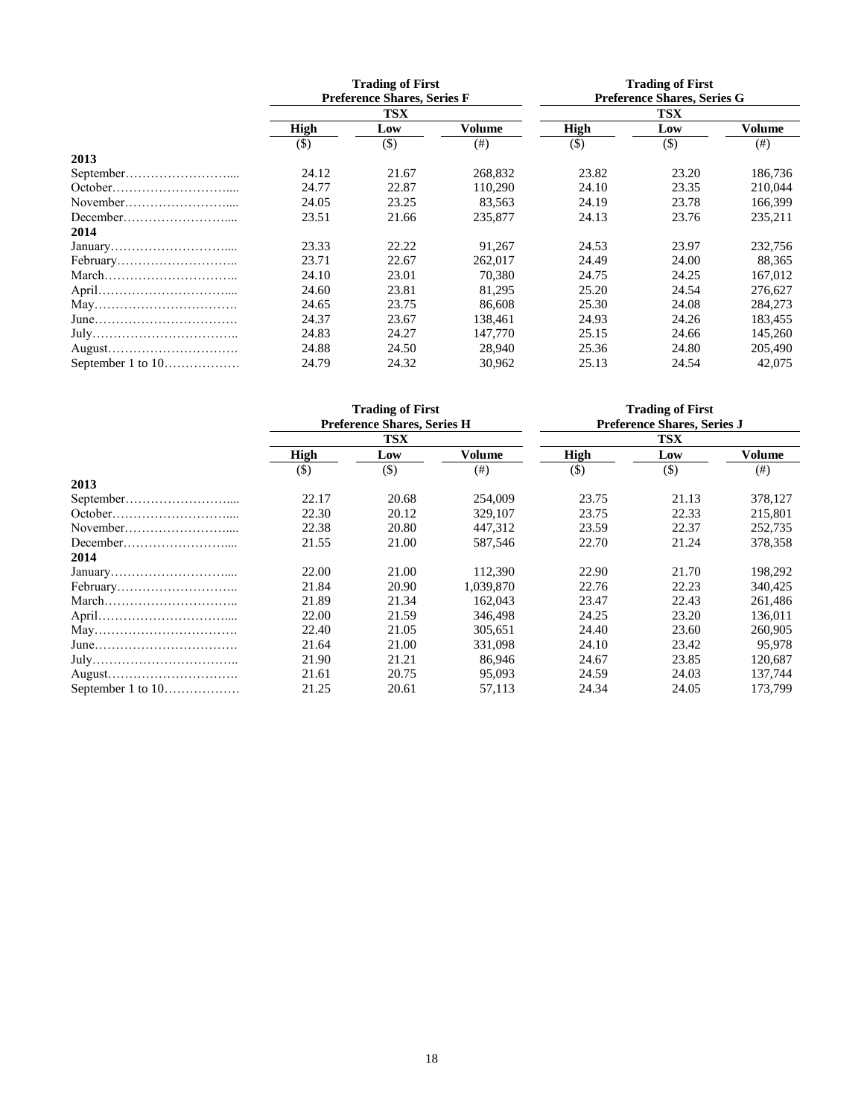|                                                                     | <b>Trading of First</b><br><b>Preference Shares, Series F</b> |            |         | <b>Trading of First</b><br>Preference Shares, Series G |       |         |
|---------------------------------------------------------------------|---------------------------------------------------------------|------------|---------|--------------------------------------------------------|-------|---------|
|                                                                     |                                                               | <b>TSX</b> |         | <b>TSX</b>                                             |       |         |
|                                                                     | <b>High</b>                                                   | Low        | Volume  | <b>High</b>                                            | Low   | Volume  |
|                                                                     | $(\$)$                                                        | $(\$)$     | (# )    | $($)$                                                  | $($)$ | (# )    |
| 2013                                                                |                                                               |            |         |                                                        |       |         |
|                                                                     | 24.12                                                         | 21.67      | 268,832 | 23.82                                                  | 23.20 | 186,736 |
| October                                                             | 24.77                                                         | 22.87      | 110.290 | 24.10                                                  | 23.35 | 210,044 |
|                                                                     | 24.05                                                         | 23.25      | 83,563  | 24.19                                                  | 23.78 | 166,399 |
|                                                                     | 23.51                                                         | 21.66      | 235,877 | 24.13                                                  | 23.76 | 235,211 |
| 2014                                                                |                                                               |            |         |                                                        |       |         |
|                                                                     | 23.33                                                         | 22.22      | 91.267  | 24.53                                                  | 23.97 | 232,756 |
|                                                                     | 23.71                                                         | 22.67      | 262,017 | 24.49                                                  | 24.00 | 88,365  |
| $March \dots \dots \dots \dots \dots \dots \dots \dots \dots \dots$ | 24.10                                                         | 23.01      | 70.380  | 24.75                                                  | 24.25 | 167,012 |
|                                                                     | 24.60                                                         | 23.81      | 81,295  | 25.20                                                  | 24.54 | 276,627 |
|                                                                     | 24.65                                                         | 23.75      | 86.608  | 25.30                                                  | 24.08 | 284,273 |
| $June \dots 1000$                                                   | 24.37                                                         | 23.67      | 138,461 | 24.93                                                  | 24.26 | 183,455 |
|                                                                     | 24.83                                                         | 24.27      | 147,770 | 25.15                                                  | 24.66 | 145,260 |
|                                                                     | 24.88                                                         | 24.50      | 28,940  | 25.36                                                  | 24.80 | 205,490 |
| September 1 to $10$                                                 | 24.79                                                         | 24.32      | 30,962  | 25.13                                                  | 24.54 | 42,075  |

|                                                                     | <b>Trading of First</b><br>Preference Shares, Series H |            |           | <b>Trading of First</b><br><b>Preference Shares, Series J</b> |         |         |  |
|---------------------------------------------------------------------|--------------------------------------------------------|------------|-----------|---------------------------------------------------------------|---------|---------|--|
|                                                                     |                                                        |            |           |                                                               |         |         |  |
|                                                                     |                                                        | <b>TSX</b> |           |                                                               | TSX     |         |  |
|                                                                     | <b>High</b>                                            | Low        | Volume    | High                                                          | Low     | Volume  |  |
|                                                                     | $(\$)$                                                 | $($)$      | (# )      | $(\$)$                                                        | $($ \$) | (# )    |  |
| 2013                                                                |                                                        |            |           |                                                               |         |         |  |
|                                                                     | 22.17                                                  | 20.68      | 254,009   | 23.75                                                         | 21.13   | 378,127 |  |
|                                                                     | 22.30                                                  | 20.12      | 329,107   | 23.75                                                         | 22.33   | 215,801 |  |
|                                                                     | 22.38                                                  | 20.80      | 447,312   | 23.59                                                         | 22.37   | 252,735 |  |
|                                                                     | 21.55                                                  | 21.00      | 587,546   | 22.70                                                         | 21.24   | 378,358 |  |
| 2014                                                                |                                                        |            |           |                                                               |         |         |  |
|                                                                     | 22.00                                                  | 21.00      | 112,390   | 22.90                                                         | 21.70   | 198,292 |  |
|                                                                     | 21.84                                                  | 20.90      | 1.039.870 | 22.76                                                         | 22.23   | 340,425 |  |
| $March \dots \dots \dots \dots \dots \dots \dots \dots \dots \dots$ | 21.89                                                  | 21.34      | 162,043   | 23.47                                                         | 22.43   | 261,486 |  |
|                                                                     | 22.00                                                  | 21.59      | 346,498   | 24.25                                                         | 23.20   | 136,011 |  |
|                                                                     | 22.40                                                  | 21.05      | 305,651   | 24.40                                                         | 23.60   | 260,905 |  |
|                                                                     | 21.64                                                  | 21.00      | 331,098   | 24.10                                                         | 23.42   | 95,978  |  |
|                                                                     | 21.90                                                  | 21.21      | 86,946    | 24.67                                                         | 23.85   | 120,687 |  |
|                                                                     | 21.61                                                  | 20.75      | 95,093    | 24.59                                                         | 24.03   | 137,744 |  |
| September 1 to 10                                                   | 21.25                                                  | 20.61      | 57.113    | 24.34                                                         | 24.05   | 173,799 |  |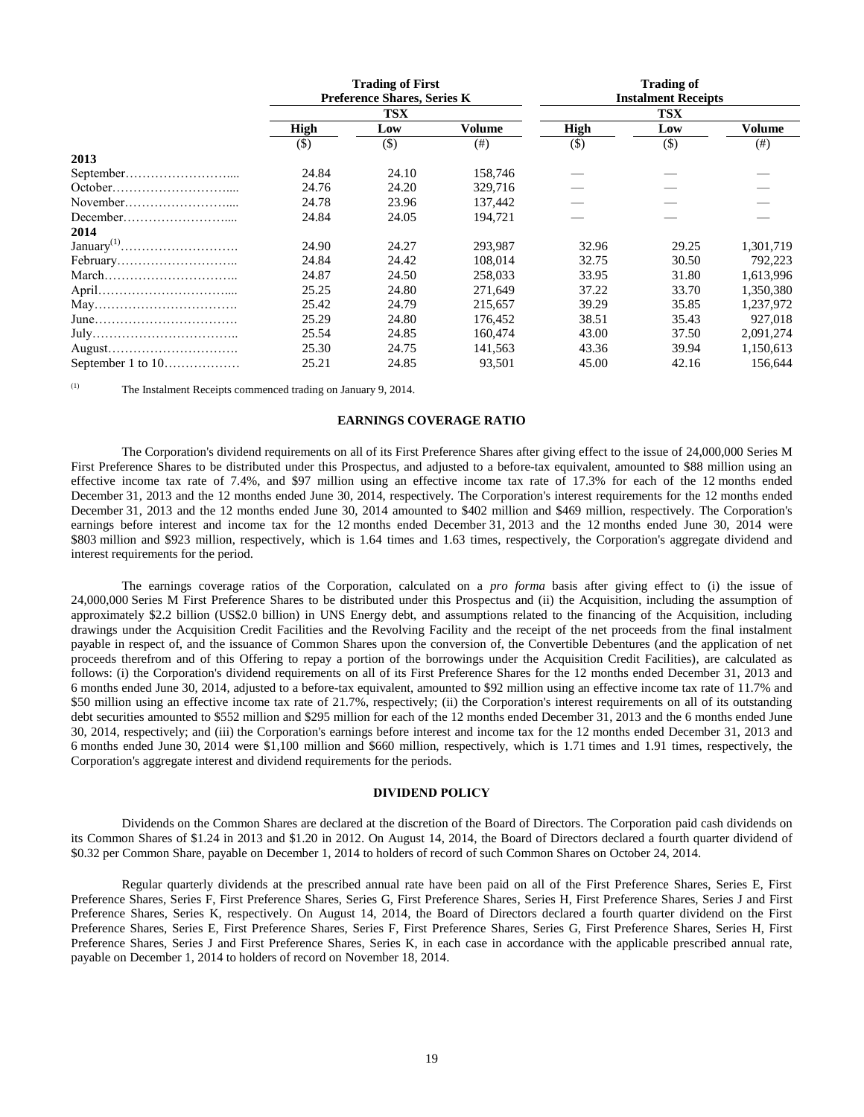|                                                                     | <b>Trading of First</b><br><b>Preference Shares, Series K</b> |            |         | <b>Trading of</b><br><b>Instalment Receipts</b> |            |           |  |
|---------------------------------------------------------------------|---------------------------------------------------------------|------------|---------|-------------------------------------------------|------------|-----------|--|
|                                                                     |                                                               |            |         |                                                 |            |           |  |
|                                                                     |                                                               | <b>TSX</b> |         |                                                 | <b>TSX</b> |           |  |
|                                                                     | <b>High</b>                                                   | Low        | Volume  | <b>High</b>                                     | Low        | Volume    |  |
|                                                                     | $($ \$                                                        | $(\$)$     | (# )    | $($ \$                                          | $($ \$)    | $($ # $)$ |  |
| 2013                                                                |                                                               |            |         |                                                 |            |           |  |
|                                                                     | 24.84                                                         | 24.10      | 158,746 |                                                 |            |           |  |
|                                                                     | 24.76                                                         | 24.20      | 329,716 |                                                 |            |           |  |
|                                                                     | 24.78                                                         | 23.96      | 137,442 |                                                 |            |           |  |
|                                                                     | 24.84                                                         | 24.05      | 194,721 |                                                 |            |           |  |
| 2014                                                                |                                                               |            |         |                                                 |            |           |  |
|                                                                     | 24.90                                                         | 24.27      | 293,987 | 32.96                                           | 29.25      | 1,301,719 |  |
|                                                                     | 24.84                                                         | 24.42      | 108,014 | 32.75                                           | 30.50      | 792.223   |  |
| $March \dots \dots \dots \dots \dots \dots \dots \dots \dots \dots$ | 24.87                                                         | 24.50      | 258,033 | 33.95                                           | 31.80      | 1,613,996 |  |
|                                                                     | 25.25                                                         | 24.80      | 271,649 | 37.22                                           | 33.70      | 1,350,380 |  |
|                                                                     | 25.42                                                         | 24.79      | 215.657 | 39.29                                           | 35.85      | 1,237,972 |  |
| $June \dots 1000$                                                   | 25.29                                                         | 24.80      | 176,452 | 38.51                                           | 35.43      | 927,018   |  |
|                                                                     | 25.54                                                         | 24.85      | 160,474 | 43.00                                           | 37.50      | 2,091,274 |  |
|                                                                     | 25.30                                                         | 24.75      | 141.563 | 43.36                                           | 39.94      | 1.150.613 |  |
| September 1 to 10                                                   | 25.21                                                         | 24.85      | 93,501  | 45.00                                           | 42.16      | 156,644   |  |

<span id="page-21-0"></span>(1) The Instalment Receipts commenced trading on January 9, 2014.

## **EARNINGS COVERAGE RATIO**

The Corporation's dividend requirements on all of its First Preference Shares after giving effect to the issue of 24,000,000 Series M First Preference Shares to be distributed under this Prospectus, and adjusted to a before-tax equivalent, amounted to \$88 million using an effective income tax rate of 7.4%, and \$97 million using an effective income tax rate of 17.3% for each of the 12 months ended December 31, 2013 and the 12 months ended June 30, 2014, respectively. The Corporation's interest requirements for the 12 months ended December 31, 2013 and the 12 months ended June 30, 2014 amounted to \$402 million and \$469 million, respectively. The Corporation's earnings before interest and income tax for the 12 months ended December 31, 2013 and the 12 months ended June 30, 2014 were \$803 million and \$923 million, respectively, which is 1.64 times and 1.63 times, respectively, the Corporation's aggregate dividend and interest requirements for the period.

The earnings coverage ratios of the Corporation, calculated on a *pro forma* basis after giving effect to (i) the issue of 24,000,000 Series M First Preference Shares to be distributed under this Prospectus and (ii) the Acquisition, including the assumption of approximately \$2.2 billion (US\$2.0 billion) in UNS Energy debt, and assumptions related to the financing of the Acquisition, including drawings under the Acquisition Credit Facilities and the Revolving Facility and the receipt of the net proceeds from the final instalment payable in respect of, and the issuance of Common Shares upon the conversion of, the Convertible Debentures (and the application of net proceeds therefrom and of this Offering to repay a portion of the borrowings under the Acquisition Credit Facilities), are calculated as follows: (i) the Corporation's dividend requirements on all of its First Preference Shares for the 12 months ended December 31, 2013 and 6 months ended June 30, 2014, adjusted to a before-tax equivalent, amounted to \$92 million using an effective income tax rate of 11.7% and \$50 million using an effective income tax rate of 21.7%, respectively; (ii) the Corporation's interest requirements on all of its outstanding debt securities amounted to \$552 million and \$295 million for each of the 12 months ended December 31, 2013 and the 6 months ended June 30, 2014, respectively; and (iii) the Corporation's earnings before interest and income tax for the 12 months ended December 31, 2013 and 6 months ended June 30, 2014 were \$1,100 million and \$660 million, respectively, which is 1.71 times and 1.91 times, respectively, the Corporation's aggregate interest and dividend requirements for the periods.

## **DIVIDEND POLICY**

<span id="page-21-1"></span>Dividends on the Common Shares are declared at the discretion of the Board of Directors. The Corporation paid cash dividends on its Common Shares of \$1.24 in 2013 and \$1.20 in 2012. On August 14, 2014, the Board of Directors declared a fourth quarter dividend of \$0.32 per Common Share, payable on December 1, 2014 to holders of record of such Common Shares on October 24, 2014.

Regular quarterly dividends at the prescribed annual rate have been paid on all of the First Preference Shares, Series E, First Preference Shares, Series F, First Preference Shares, Series G, First Preference Shares, Series H, First Preference Shares, Series J and First Preference Shares, Series K, respectively. On August 14, 2014, the Board of Directors declared a fourth quarter dividend on the First Preference Shares, Series E, First Preference Shares, Series F, First Preference Shares, Series G, First Preference Shares, Series H, First Preference Shares, Series J and First Preference Shares, Series K, in each case in accordance with the applicable prescribed annual rate, payable on December 1, 2014 to holders of record on November 18, 2014.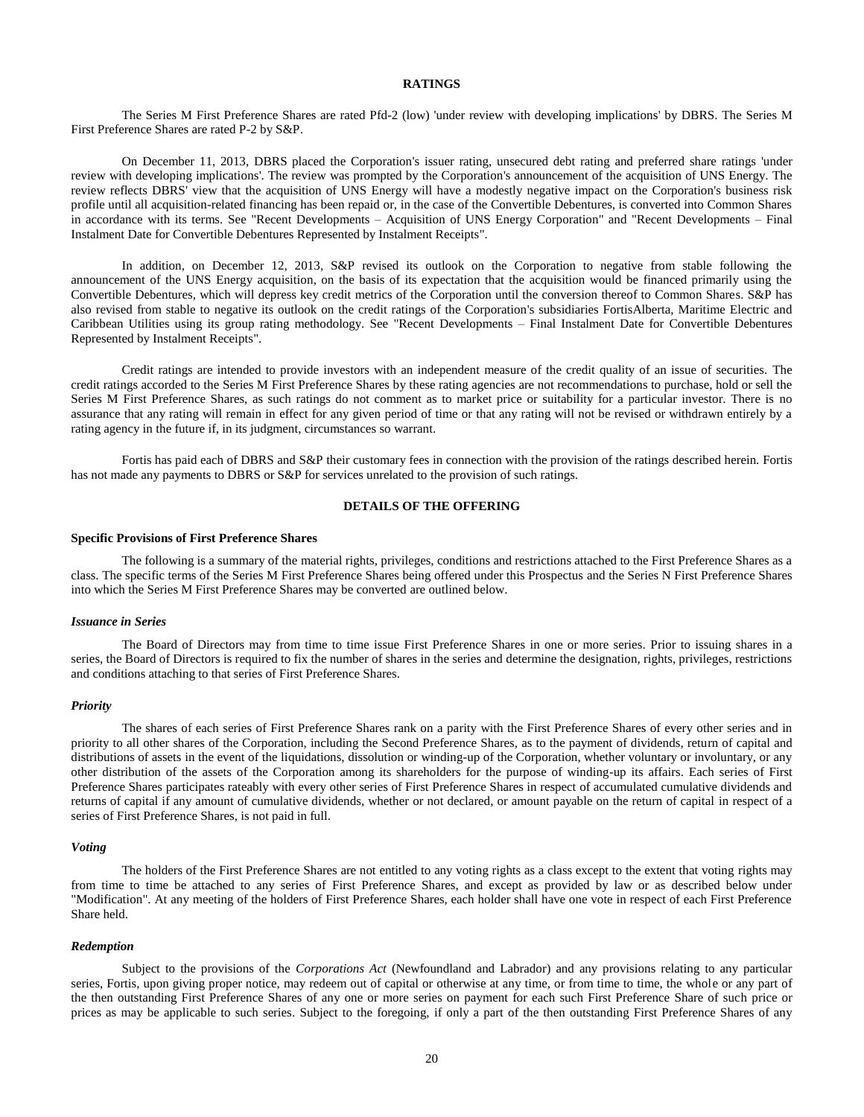## **RATINGS**

<span id="page-22-0"></span>The Series M First Preference Shares are rated Pfd-2 (low) 'under review with developing implications' by DBRS. The Series M First Preference Shares are rated P-2 by S&P.

On December 11, 2013, DBRS placed the Corporation's issuer rating, unsecured debt rating and preferred share ratings 'under review with developing implications'. The review was prompted by the Corporation's announcement of the acquisition of UNS Energy. The review reflects DBRS' view that the acquisition of UNS Energy will have a modestly negative impact on the Corporation's business risk profile until all acquisition-related financing has been repaid or, in the case of the Convertible Debentures, is converted into Common Shares in accordance with its terms. See "Recent Developments – Acquisition of UNS Energy Corporation" and "Recent Developments – Final Instalment Date for Convertible Debentures Represented by Instalment Receipts".

In addition, on December 12, 2013, S&P revised its outlook on the Corporation to negative from stable following the announcement of the UNS Energy acquisition, on the basis of its expectation that the acquisition would be financed primarily using the Convertible Debentures, which will depress key credit metrics of the Corporation until the conversion thereof to Common Shares. S&P has also revised from stable to negative its outlook on the credit ratings of the Corporation's subsidiaries FortisAlberta, Maritime Electric and Caribbean Utilities using its group rating methodology. See "Recent Developments – Final Instalment Date for Convertible Debentures Represented by Instalment Receipts".

Credit ratings are intended to provide investors with an independent measure of the credit quality of an issue of securities. The credit ratings accorded to the Series M First Preference Shares by these rating agencies are not recommendations to purchase, hold or sell the Series M First Preference Shares, as such ratings do not comment as to market price or suitability for a particular investor. There is no assurance that any rating will remain in effect for any given period of time or that any rating will not be revised or withdrawn entirely by a rating agency in the future if, in its judgment, circumstances so warrant.

Fortis has paid each of DBRS and S&P their customary fees in connection with the provision of the ratings described herein. Fortis has not made any payments to DBRS or S&P for services unrelated to the provision of such ratings.

#### **DETAILS OF THE OFFERING**

#### <span id="page-22-1"></span>**Specific Provisions of First Preference Shares**

The following is a summary of the material rights, privileges, conditions and restrictions attached to the First Preference Shares as a class. The specific terms of the Series M First Preference Shares being offered under this Prospectus and the Series N First Preference Shares into which the Series M First Preference Shares may be converted are outlined below.

#### *Issuance in Series*

The Board of Directors may from time to time issue First Preference Shares in one or more series. Prior to issuing shares in a series, the Board of Directors is required to fix the number of shares in the series and determine the designation, rights, privileges, restrictions and conditions attaching to that series of First Preference Shares.

#### *Priority*

The shares of each series of First Preference Shares rank on a parity with the First Preference Shares of every other series and in priority to all other shares of the Corporation, including the Second Preference Shares, as to the payment of dividends, return of capital and distributions of assets in the event of the liquidations, dissolution or winding-up of the Corporation, whether voluntary or involuntary, or any other distribution of the assets of the Corporation among its shareholders for the purpose of winding-up its affairs. Each series of First Preference Shares participates rateably with every other series of First Preference Shares in respect of accumulated cumulative dividends and returns of capital if any amount of cumulative dividends, whether or not declared, or amount payable on the return of capital in respect of a series of First Preference Shares, is not paid in full.

#### *Voting*

The holders of the First Preference Shares are not entitled to any voting rights as a class except to the extent that voting rights may from time to time be attached to any series of First Preference Shares, and except as provided by law or as described below under "Modification". At any meeting of the holders of First Preference Shares, each holder shall have one vote in respect of each First Preference Share held.

#### *Redemption*

Subject to the provisions of the *Corporations Act* (Newfoundland and Labrador) and any provisions relating to any particular series, Fortis, upon giving proper notice, may redeem out of capital or otherwise at any time, or from time to time, the whole or any part of the then outstanding First Preference Shares of any one or more series on payment for each such First Preference Share of such price or prices as may be applicable to such series. Subject to the foregoing, if only a part of the then outstanding First Preference Shares of any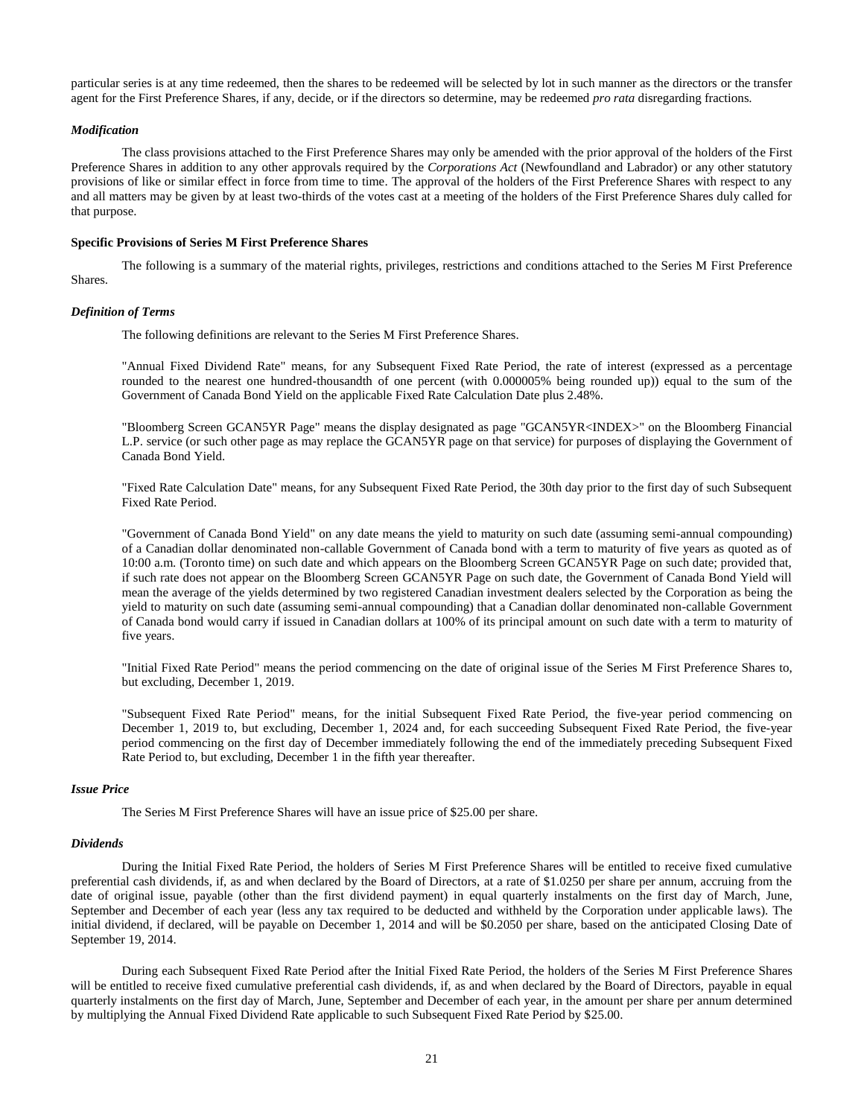particular series is at any time redeemed, then the shares to be redeemed will be selected by lot in such manner as the directors or the transfer agent for the First Preference Shares, if any, decide, or if the directors so determine, may be redeemed *pro rata* disregarding fractions.

## *Modification*

The class provisions attached to the First Preference Shares may only be amended with the prior approval of the holders of the First Preference Shares in addition to any other approvals required by the *Corporations Act* (Newfoundland and Labrador) or any other statutory provisions of like or similar effect in force from time to time. The approval of the holders of the First Preference Shares with respect to any and all matters may be given by at least two-thirds of the votes cast at a meeting of the holders of the First Preference Shares duly called for that purpose.

#### **Specific Provisions of Series M First Preference Shares**

The following is a summary of the material rights, privileges, restrictions and conditions attached to the Series M First Preference Shares.

## *Definition of Terms*

The following definitions are relevant to the Series M First Preference Shares.

"Annual Fixed Dividend Rate" means, for any Subsequent Fixed Rate Period, the rate of interest (expressed as a percentage rounded to the nearest one hundred-thousandth of one percent (with 0.000005% being rounded up)) equal to the sum of the Government of Canada Bond Yield on the applicable Fixed Rate Calculation Date plus 2.48%.

"Bloomberg Screen GCAN5YR Page" means the display designated as page "GCAN5YR<INDEX>" on the Bloomberg Financial L.P. service (or such other page as may replace the GCAN5YR page on that service) for purposes of displaying the Government of Canada Bond Yield.

"Fixed Rate Calculation Date" means, for any Subsequent Fixed Rate Period, the 30th day prior to the first day of such Subsequent Fixed Rate Period.

"Government of Canada Bond Yield" on any date means the yield to maturity on such date (assuming semi-annual compounding) of a Canadian dollar denominated non-callable Government of Canada bond with a term to maturity of five years as quoted as of 10:00 a.m. (Toronto time) on such date and which appears on the Bloomberg Screen GCAN5YR Page on such date; provided that, if such rate does not appear on the Bloomberg Screen GCAN5YR Page on such date, the Government of Canada Bond Yield will mean the average of the yields determined by two registered Canadian investment dealers selected by the Corporation as being the yield to maturity on such date (assuming semi-annual compounding) that a Canadian dollar denominated non-callable Government of Canada bond would carry if issued in Canadian dollars at 100% of its principal amount on such date with a term to maturity of five years.

"Initial Fixed Rate Period" means the period commencing on the date of original issue of the Series M First Preference Shares to, but excluding, December 1, 2019.

"Subsequent Fixed Rate Period" means, for the initial Subsequent Fixed Rate Period, the five-year period commencing on December 1, 2019 to, but excluding, December 1, 2024 and, for each succeeding Subsequent Fixed Rate Period, the five-year period commencing on the first day of December immediately following the end of the immediately preceding Subsequent Fixed Rate Period to, but excluding, December 1 in the fifth year thereafter.

## *Issue Price*

The Series M First Preference Shares will have an issue price of \$25.00 per share.

#### *Dividends*

During the Initial Fixed Rate Period, the holders of Series M First Preference Shares will be entitled to receive fixed cumulative preferential cash dividends, if, as and when declared by the Board of Directors, at a rate of \$1.0250 per share per annum, accruing from the date of original issue, payable (other than the first dividend payment) in equal quarterly instalments on the first day of March, June, September and December of each year (less any tax required to be deducted and withheld by the Corporation under applicable laws). The initial dividend, if declared, will be payable on December 1, 2014 and will be \$0.2050 per share, based on the anticipated Closing Date of September 19, 2014.

During each Subsequent Fixed Rate Period after the Initial Fixed Rate Period, the holders of the Series M First Preference Shares will be entitled to receive fixed cumulative preferential cash dividends, if, as and when declared by the Board of Directors, payable in equal quarterly instalments on the first day of March, June, September and December of each year, in the amount per share per annum determined by multiplying the Annual Fixed Dividend Rate applicable to such Subsequent Fixed Rate Period by \$25.00.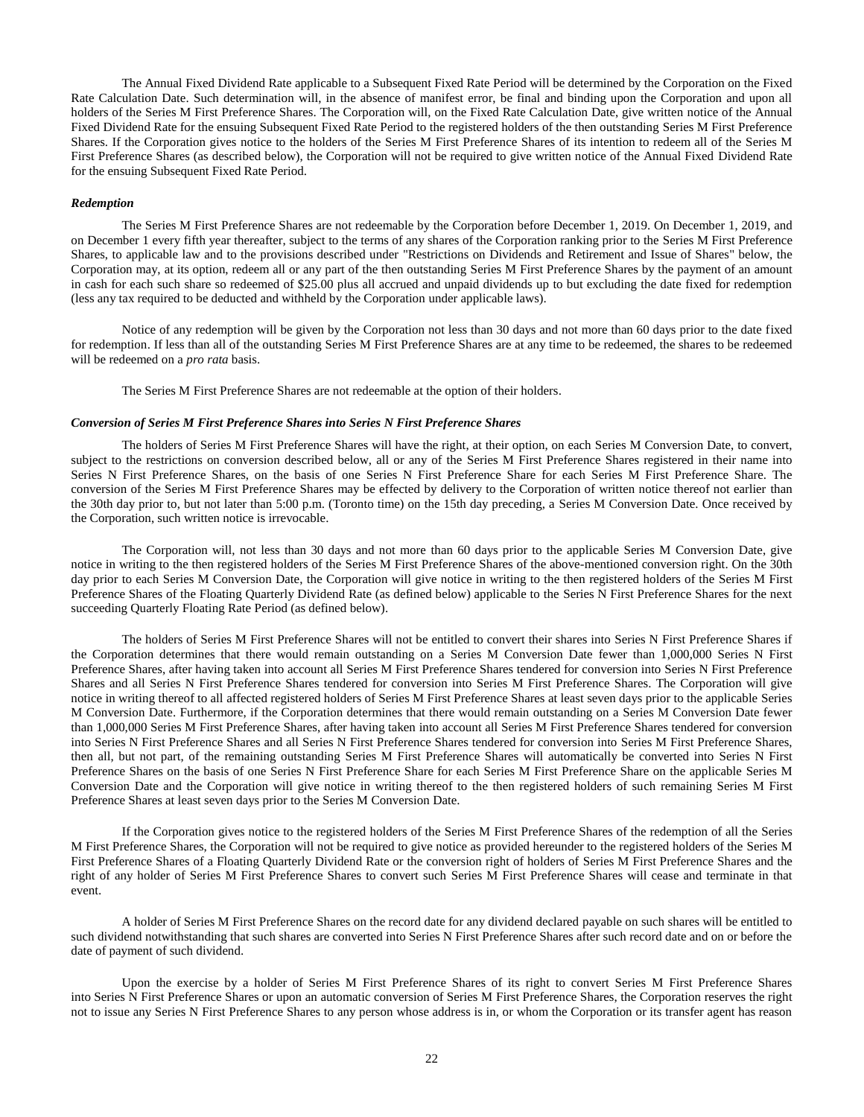The Annual Fixed Dividend Rate applicable to a Subsequent Fixed Rate Period will be determined by the Corporation on the Fixed Rate Calculation Date. Such determination will, in the absence of manifest error, be final and binding upon the Corporation and upon all holders of the Series M First Preference Shares. The Corporation will, on the Fixed Rate Calculation Date, give written notice of the Annual Fixed Dividend Rate for the ensuing Subsequent Fixed Rate Period to the registered holders of the then outstanding Series M First Preference Shares. If the Corporation gives notice to the holders of the Series M First Preference Shares of its intention to redeem all of the Series M First Preference Shares (as described below), the Corporation will not be required to give written notice of the Annual Fixed Dividend Rate for the ensuing Subsequent Fixed Rate Period.

#### *Redemption*

The Series M First Preference Shares are not redeemable by the Corporation before December 1, 2019. On December 1, 2019, and on December 1 every fifth year thereafter, subject to the terms of any shares of the Corporation ranking prior to the Series M First Preference Shares, to applicable law and to the provisions described under "Restrictions on Dividends and Retirement and Issue of Shares" below, the Corporation may, at its option, redeem all or any part of the then outstanding Series M First Preference Shares by the payment of an amount in cash for each such share so redeemed of \$25.00 plus all accrued and unpaid dividends up to but excluding the date fixed for redemption (less any tax required to be deducted and withheld by the Corporation under applicable laws).

Notice of any redemption will be given by the Corporation not less than 30 days and not more than 60 days prior to the date fixed for redemption. If less than all of the outstanding Series M First Preference Shares are at any time to be redeemed, the shares to be redeemed will be redeemed on a *pro rata* basis.

The Series M First Preference Shares are not redeemable at the option of their holders.

#### *Conversion of Series M First Preference Shares into Series N First Preference Shares*

The holders of Series M First Preference Shares will have the right, at their option, on each Series M Conversion Date, to convert, subject to the restrictions on conversion described below, all or any of the Series M First Preference Shares registered in their name into Series N First Preference Shares, on the basis of one Series N First Preference Share for each Series M First Preference Share. The conversion of the Series M First Preference Shares may be effected by delivery to the Corporation of written notice thereof not earlier than the 30th day prior to, but not later than 5:00 p.m. (Toronto time) on the 15th day preceding, a Series M Conversion Date. Once received by the Corporation, such written notice is irrevocable.

The Corporation will, not less than 30 days and not more than 60 days prior to the applicable Series M Conversion Date, give notice in writing to the then registered holders of the Series M First Preference Shares of the above-mentioned conversion right. On the 30th day prior to each Series M Conversion Date, the Corporation will give notice in writing to the then registered holders of the Series M First Preference Shares of the Floating Quarterly Dividend Rate (as defined below) applicable to the Series N First Preference Shares for the next succeeding Quarterly Floating Rate Period (as defined below).

The holders of Series M First Preference Shares will not be entitled to convert their shares into Series N First Preference Shares if the Corporation determines that there would remain outstanding on a Series M Conversion Date fewer than 1,000,000 Series N First Preference Shares, after having taken into account all Series M First Preference Shares tendered for conversion into Series N First Preference Shares and all Series N First Preference Shares tendered for conversion into Series M First Preference Shares. The Corporation will give notice in writing thereof to all affected registered holders of Series M First Preference Shares at least seven days prior to the applicable Series M Conversion Date. Furthermore, if the Corporation determines that there would remain outstanding on a Series M Conversion Date fewer than 1,000,000 Series M First Preference Shares, after having taken into account all Series M First Preference Shares tendered for conversion into Series N First Preference Shares and all Series N First Preference Shares tendered for conversion into Series M First Preference Shares, then all, but not part, of the remaining outstanding Series M First Preference Shares will automatically be converted into Series N First Preference Shares on the basis of one Series N First Preference Share for each Series M First Preference Share on the applicable Series M Conversion Date and the Corporation will give notice in writing thereof to the then registered holders of such remaining Series M First Preference Shares at least seven days prior to the Series M Conversion Date.

If the Corporation gives notice to the registered holders of the Series M First Preference Shares of the redemption of all the Series M First Preference Shares, the Corporation will not be required to give notice as provided hereunder to the registered holders of the Series M First Preference Shares of a Floating Quarterly Dividend Rate or the conversion right of holders of Series M First Preference Shares and the right of any holder of Series M First Preference Shares to convert such Series M First Preference Shares will cease and terminate in that event.

A holder of Series M First Preference Shares on the record date for any dividend declared payable on such shares will be entitled to such dividend notwithstanding that such shares are converted into Series N First Preference Shares after such record date and on or before the date of payment of such dividend.

Upon the exercise by a holder of Series M First Preference Shares of its right to convert Series M First Preference Shares into Series N First Preference Shares or upon an automatic conversion of Series M First Preference Shares, the Corporation reserves the right not to issue any Series N First Preference Shares to any person whose address is in, or whom the Corporation or its transfer agent has reason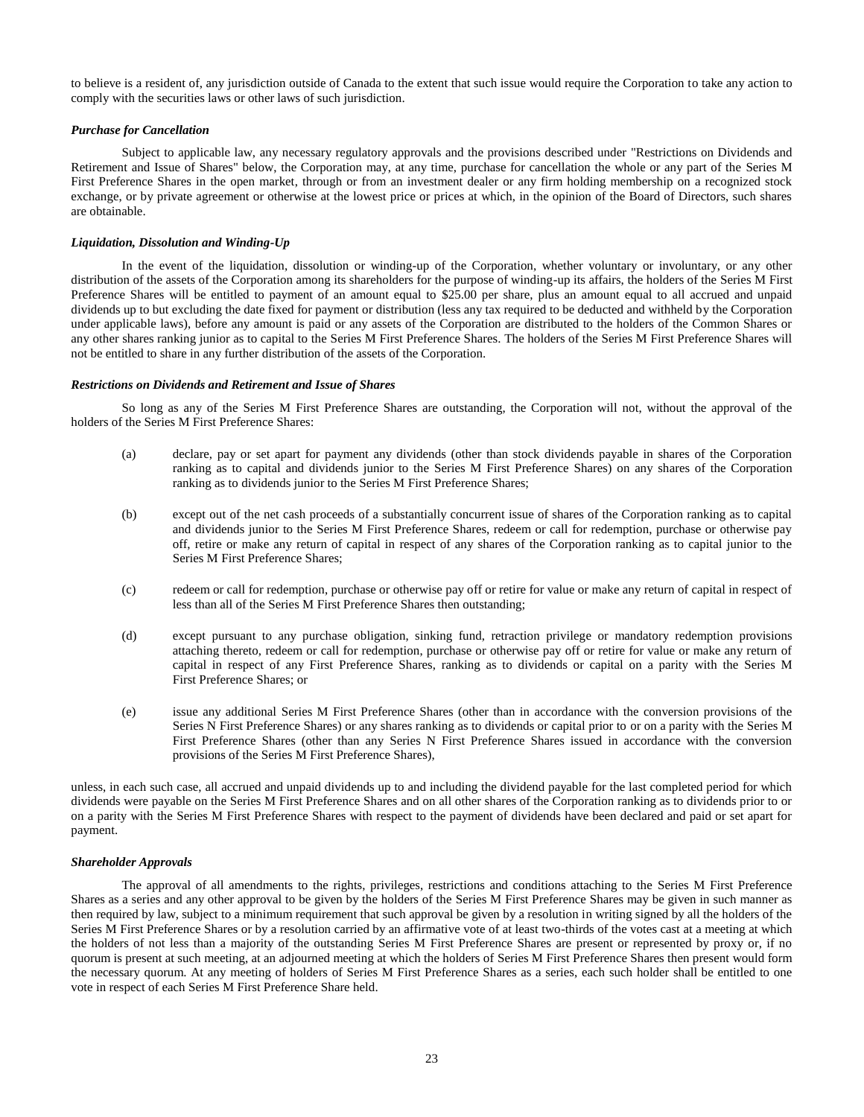to believe is a resident of, any jurisdiction outside of Canada to the extent that such issue would require the Corporation to take any action to comply with the securities laws or other laws of such jurisdiction.

## *Purchase for Cancellation*

Subject to applicable law, any necessary regulatory approvals and the provisions described under "Restrictions on Dividends and Retirement and Issue of Shares" below, the Corporation may, at any time, purchase for cancellation the whole or any part of the Series M First Preference Shares in the open market, through or from an investment dealer or any firm holding membership on a recognized stock exchange, or by private agreement or otherwise at the lowest price or prices at which, in the opinion of the Board of Directors, such shares are obtainable.

## *Liquidation, Dissolution and Winding-Up*

In the event of the liquidation, dissolution or winding-up of the Corporation, whether voluntary or involuntary, or any other distribution of the assets of the Corporation among its shareholders for the purpose of winding-up its affairs, the holders of the Series M First Preference Shares will be entitled to payment of an amount equal to \$25.00 per share, plus an amount equal to all accrued and unpaid dividends up to but excluding the date fixed for payment or distribution (less any tax required to be deducted and withheld by the Corporation under applicable laws), before any amount is paid or any assets of the Corporation are distributed to the holders of the Common Shares or any other shares ranking junior as to capital to the Series M First Preference Shares. The holders of the Series M First Preference Shares will not be entitled to share in any further distribution of the assets of the Corporation.

## *Restrictions on Dividends and Retirement and Issue of Shares*

So long as any of the Series M First Preference Shares are outstanding, the Corporation will not, without the approval of the holders of the Series M First Preference Shares:

- (a) declare, pay or set apart for payment any dividends (other than stock dividends payable in shares of the Corporation ranking as to capital and dividends junior to the Series M First Preference Shares) on any shares of the Corporation ranking as to dividends junior to the Series M First Preference Shares;
- (b) except out of the net cash proceeds of a substantially concurrent issue of shares of the Corporation ranking as to capital and dividends junior to the Series M First Preference Shares, redeem or call for redemption, purchase or otherwise pay off, retire or make any return of capital in respect of any shares of the Corporation ranking as to capital junior to the Series M First Preference Shares;
- (c) redeem or call for redemption, purchase or otherwise pay off or retire for value or make any return of capital in respect of less than all of the Series M First Preference Shares then outstanding;
- (d) except pursuant to any purchase obligation, sinking fund, retraction privilege or mandatory redemption provisions attaching thereto, redeem or call for redemption, purchase or otherwise pay off or retire for value or make any return of capital in respect of any First Preference Shares, ranking as to dividends or capital on a parity with the Series M First Preference Shares; or
- (e) issue any additional Series M First Preference Shares (other than in accordance with the conversion provisions of the Series N First Preference Shares) or any shares ranking as to dividends or capital prior to or on a parity with the Series M First Preference Shares (other than any Series N First Preference Shares issued in accordance with the conversion provisions of the Series M First Preference Shares),

unless, in each such case, all accrued and unpaid dividends up to and including the dividend payable for the last completed period for which dividends were payable on the Series M First Preference Shares and on all other shares of the Corporation ranking as to dividends prior to or on a parity with the Series M First Preference Shares with respect to the payment of dividends have been declared and paid or set apart for payment.

## *Shareholder Approvals*

The approval of all amendments to the rights, privileges, restrictions and conditions attaching to the Series M First Preference Shares as a series and any other approval to be given by the holders of the Series M First Preference Shares may be given in such manner as then required by law, subject to a minimum requirement that such approval be given by a resolution in writing signed by all the holders of the Series M First Preference Shares or by a resolution carried by an affirmative vote of at least two-thirds of the votes cast at a meeting at which the holders of not less than a majority of the outstanding Series M First Preference Shares are present or represented by proxy or, if no quorum is present at such meeting, at an adjourned meeting at which the holders of Series M First Preference Shares then present would form the necessary quorum. At any meeting of holders of Series M First Preference Shares as a series, each such holder shall be entitled to one vote in respect of each Series M First Preference Share held.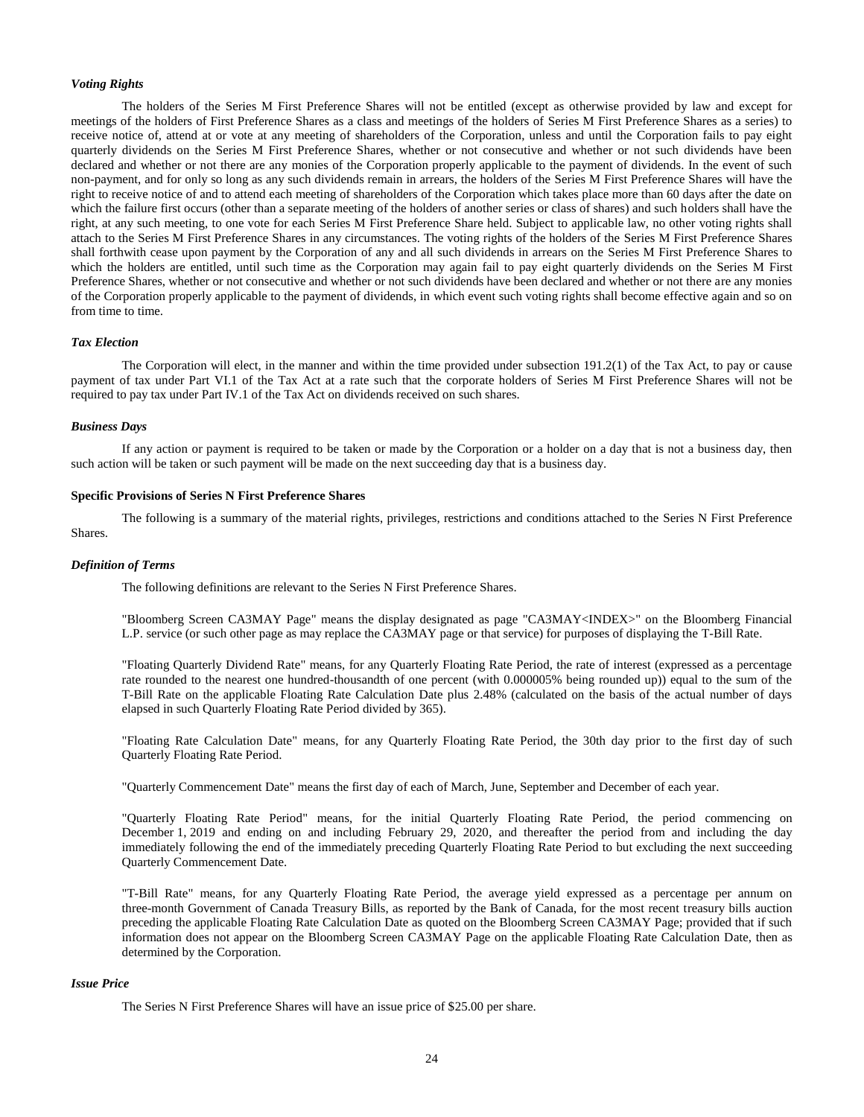#### *Voting Rights*

The holders of the Series M First Preference Shares will not be entitled (except as otherwise provided by law and except for meetings of the holders of First Preference Shares as a class and meetings of the holders of Series M First Preference Shares as a series) to receive notice of, attend at or vote at any meeting of shareholders of the Corporation, unless and until the Corporation fails to pay eight quarterly dividends on the Series M First Preference Shares, whether or not consecutive and whether or not such dividends have been declared and whether or not there are any monies of the Corporation properly applicable to the payment of dividends. In the event of such non-payment, and for only so long as any such dividends remain in arrears, the holders of the Series M First Preference Shares will have the right to receive notice of and to attend each meeting of shareholders of the Corporation which takes place more than 60 days after the date on which the failure first occurs (other than a separate meeting of the holders of another series or class of shares) and such holders shall have the right, at any such meeting, to one vote for each Series M First Preference Share held. Subject to applicable law, no other voting rights shall attach to the Series M First Preference Shares in any circumstances. The voting rights of the holders of the Series M First Preference Shares shall forthwith cease upon payment by the Corporation of any and all such dividends in arrears on the Series M First Preference Shares to which the holders are entitled, until such time as the Corporation may again fail to pay eight quarterly dividends on the Series M First Preference Shares, whether or not consecutive and whether or not such dividends have been declared and whether or not there are any monies of the Corporation properly applicable to the payment of dividends, in which event such voting rights shall become effective again and so on from time to time.

#### *Tax Election*

The Corporation will elect, in the manner and within the time provided under subsection 191.2(1) of the Tax Act, to pay or cause payment of tax under Part VI.1 of the Tax Act at a rate such that the corporate holders of Series M First Preference Shares will not be required to pay tax under Part IV.1 of the Tax Act on dividends received on such shares.

## *Business Days*

If any action or payment is required to be taken or made by the Corporation or a holder on a day that is not a business day, then such action will be taken or such payment will be made on the next succeeding day that is a business day.

## **Specific Provisions of Series N First Preference Shares**

The following is a summary of the material rights, privileges, restrictions and conditions attached to the Series N First Preference Shares.

#### *Definition of Terms*

The following definitions are relevant to the Series N First Preference Shares.

"Bloomberg Screen CA3MAY Page" means the display designated as page "CA3MAY<INDEX>" on the Bloomberg Financial L.P. service (or such other page as may replace the CA3MAY page or that service) for purposes of displaying the T-Bill Rate.

"Floating Quarterly Dividend Rate" means, for any Quarterly Floating Rate Period, the rate of interest (expressed as a percentage rate rounded to the nearest one hundred-thousandth of one percent (with 0.000005% being rounded up)) equal to the sum of the T-Bill Rate on the applicable Floating Rate Calculation Date plus 2.48% (calculated on the basis of the actual number of days elapsed in such Quarterly Floating Rate Period divided by 365).

"Floating Rate Calculation Date" means, for any Quarterly Floating Rate Period, the 30th day prior to the first day of such Quarterly Floating Rate Period.

"Quarterly Commencement Date" means the first day of each of March, June, September and December of each year.

"Quarterly Floating Rate Period" means, for the initial Quarterly Floating Rate Period, the period commencing on December 1, 2019 and ending on and including February 29, 2020, and thereafter the period from and including the day immediately following the end of the immediately preceding Quarterly Floating Rate Period to but excluding the next succeeding Quarterly Commencement Date.

"T-Bill Rate" means, for any Quarterly Floating Rate Period, the average yield expressed as a percentage per annum on three-month Government of Canada Treasury Bills, as reported by the Bank of Canada, for the most recent treasury bills auction preceding the applicable Floating Rate Calculation Date as quoted on the Bloomberg Screen CA3MAY Page; provided that if such information does not appear on the Bloomberg Screen CA3MAY Page on the applicable Floating Rate Calculation Date, then as determined by the Corporation.

## *Issue Price*

The Series N First Preference Shares will have an issue price of \$25.00 per share.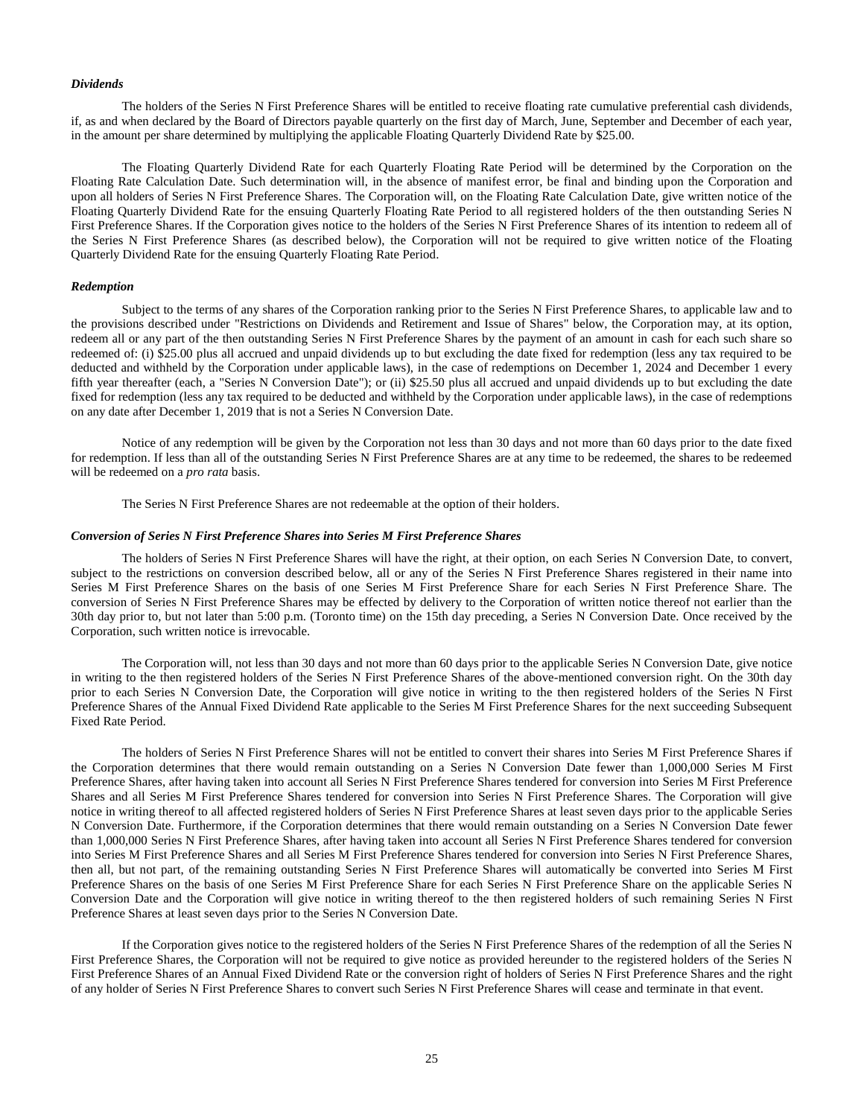#### *Dividends*

The holders of the Series N First Preference Shares will be entitled to receive floating rate cumulative preferential cash dividends, if, as and when declared by the Board of Directors payable quarterly on the first day of March, June, September and December of each year, in the amount per share determined by multiplying the applicable Floating Quarterly Dividend Rate by \$25.00.

The Floating Quarterly Dividend Rate for each Quarterly Floating Rate Period will be determined by the Corporation on the Floating Rate Calculation Date. Such determination will, in the absence of manifest error, be final and binding upon the Corporation and upon all holders of Series N First Preference Shares. The Corporation will, on the Floating Rate Calculation Date, give written notice of the Floating Quarterly Dividend Rate for the ensuing Quarterly Floating Rate Period to all registered holders of the then outstanding Series N First Preference Shares. If the Corporation gives notice to the holders of the Series N First Preference Shares of its intention to redeem all of the Series N First Preference Shares (as described below), the Corporation will not be required to give written notice of the Floating Quarterly Dividend Rate for the ensuing Quarterly Floating Rate Period.

## *Redemption*

Subject to the terms of any shares of the Corporation ranking prior to the Series N First Preference Shares, to applicable law and to the provisions described under "Restrictions on Dividends and Retirement and Issue of Shares" below, the Corporation may, at its option, redeem all or any part of the then outstanding Series N First Preference Shares by the payment of an amount in cash for each such share so redeemed of: (i) \$25.00 plus all accrued and unpaid dividends up to but excluding the date fixed for redemption (less any tax required to be deducted and withheld by the Corporation under applicable laws), in the case of redemptions on December 1, 2024 and December 1 every fifth year thereafter (each, a "Series N Conversion Date"); or (ii) \$25.50 plus all accrued and unpaid dividends up to but excluding the date fixed for redemption (less any tax required to be deducted and withheld by the Corporation under applicable laws), in the case of redemptions on any date after December 1, 2019 that is not a Series N Conversion Date.

Notice of any redemption will be given by the Corporation not less than 30 days and not more than 60 days prior to the date fixed for redemption. If less than all of the outstanding Series N First Preference Shares are at any time to be redeemed, the shares to be redeemed will be redeemed on a *pro rata* basis.

The Series N First Preference Shares are not redeemable at the option of their holders.

#### *Conversion of Series N First Preference Shares into Series M First Preference Shares*

The holders of Series N First Preference Shares will have the right, at their option, on each Series N Conversion Date, to convert, subject to the restrictions on conversion described below, all or any of the Series N First Preference Shares registered in their name into Series M First Preference Shares on the basis of one Series M First Preference Share for each Series N First Preference Share. The conversion of Series N First Preference Shares may be effected by delivery to the Corporation of written notice thereof not earlier than the 30th day prior to, but not later than 5:00 p.m. (Toronto time) on the 15th day preceding, a Series N Conversion Date. Once received by the Corporation, such written notice is irrevocable.

The Corporation will, not less than 30 days and not more than 60 days prior to the applicable Series N Conversion Date, give notice in writing to the then registered holders of the Series N First Preference Shares of the above-mentioned conversion right. On the 30th day prior to each Series N Conversion Date, the Corporation will give notice in writing to the then registered holders of the Series N First Preference Shares of the Annual Fixed Dividend Rate applicable to the Series M First Preference Shares for the next succeeding Subsequent Fixed Rate Period.

The holders of Series N First Preference Shares will not be entitled to convert their shares into Series M First Preference Shares if the Corporation determines that there would remain outstanding on a Series N Conversion Date fewer than 1,000,000 Series M First Preference Shares, after having taken into account all Series N First Preference Shares tendered for conversion into Series M First Preference Shares and all Series M First Preference Shares tendered for conversion into Series N First Preference Shares. The Corporation will give notice in writing thereof to all affected registered holders of Series N First Preference Shares at least seven days prior to the applicable Series N Conversion Date. Furthermore, if the Corporation determines that there would remain outstanding on a Series N Conversion Date fewer than 1,000,000 Series N First Preference Shares, after having taken into account all Series N First Preference Shares tendered for conversion into Series M First Preference Shares and all Series M First Preference Shares tendered for conversion into Series N First Preference Shares, then all, but not part, of the remaining outstanding Series N First Preference Shares will automatically be converted into Series M First Preference Shares on the basis of one Series M First Preference Share for each Series N First Preference Share on the applicable Series N Conversion Date and the Corporation will give notice in writing thereof to the then registered holders of such remaining Series N First Preference Shares at least seven days prior to the Series N Conversion Date.

If the Corporation gives notice to the registered holders of the Series N First Preference Shares of the redemption of all the Series N First Preference Shares, the Corporation will not be required to give notice as provided hereunder to the registered holders of the Series N First Preference Shares of an Annual Fixed Dividend Rate or the conversion right of holders of Series N First Preference Shares and the right of any holder of Series N First Preference Shares to convert such Series N First Preference Shares will cease and terminate in that event.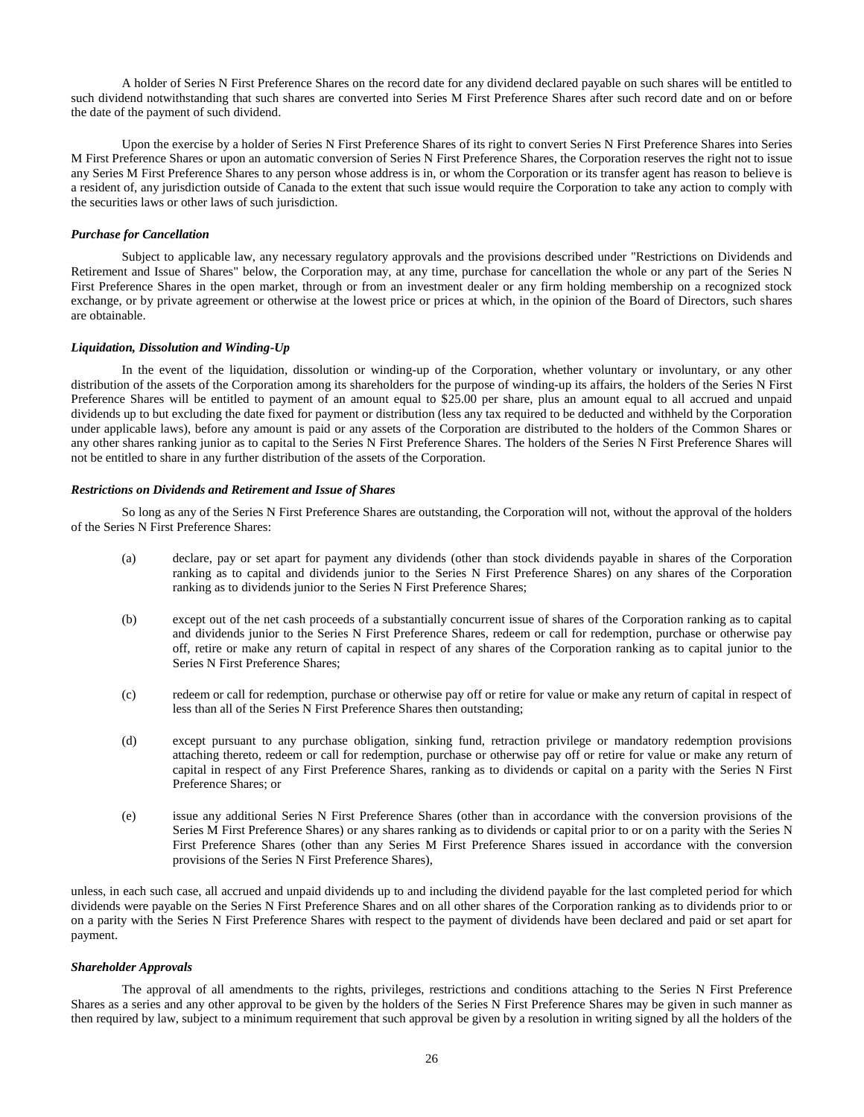A holder of Series N First Preference Shares on the record date for any dividend declared payable on such shares will be entitled to such dividend notwithstanding that such shares are converted into Series M First Preference Shares after such record date and on or before the date of the payment of such dividend.

Upon the exercise by a holder of Series N First Preference Shares of its right to convert Series N First Preference Shares into Series M First Preference Shares or upon an automatic conversion of Series N First Preference Shares, the Corporation reserves the right not to issue any Series M First Preference Shares to any person whose address is in, or whom the Corporation or its transfer agent has reason to believe is a resident of, any jurisdiction outside of Canada to the extent that such issue would require the Corporation to take any action to comply with the securities laws or other laws of such jurisdiction.

#### *Purchase for Cancellation*

Subject to applicable law, any necessary regulatory approvals and the provisions described under "Restrictions on Dividends and Retirement and Issue of Shares" below, the Corporation may, at any time, purchase for cancellation the whole or any part of the Series N First Preference Shares in the open market, through or from an investment dealer or any firm holding membership on a recognized stock exchange, or by private agreement or otherwise at the lowest price or prices at which, in the opinion of the Board of Directors, such shares are obtainable.

## *Liquidation, Dissolution and Winding-Up*

In the event of the liquidation, dissolution or winding-up of the Corporation, whether voluntary or involuntary, or any other distribution of the assets of the Corporation among its shareholders for the purpose of winding-up its affairs, the holders of the Series N First Preference Shares will be entitled to payment of an amount equal to \$25.00 per share, plus an amount equal to all accrued and unpaid dividends up to but excluding the date fixed for payment or distribution (less any tax required to be deducted and withheld by the Corporation under applicable laws), before any amount is paid or any assets of the Corporation are distributed to the holders of the Common Shares or any other shares ranking junior as to capital to the Series N First Preference Shares. The holders of the Series N First Preference Shares will not be entitled to share in any further distribution of the assets of the Corporation.

## *Restrictions on Dividends and Retirement and Issue of Shares*

So long as any of the Series N First Preference Shares are outstanding, the Corporation will not, without the approval of the holders of the Series N First Preference Shares:

- (a) declare, pay or set apart for payment any dividends (other than stock dividends payable in shares of the Corporation ranking as to capital and dividends junior to the Series N First Preference Shares) on any shares of the Corporation ranking as to dividends junior to the Series N First Preference Shares;
- (b) except out of the net cash proceeds of a substantially concurrent issue of shares of the Corporation ranking as to capital and dividends junior to the Series N First Preference Shares, redeem or call for redemption, purchase or otherwise pay off, retire or make any return of capital in respect of any shares of the Corporation ranking as to capital junior to the Series N First Preference Shares;
- (c) redeem or call for redemption, purchase or otherwise pay off or retire for value or make any return of capital in respect of less than all of the Series N First Preference Shares then outstanding;
- (d) except pursuant to any purchase obligation, sinking fund, retraction privilege or mandatory redemption provisions attaching thereto, redeem or call for redemption, purchase or otherwise pay off or retire for value or make any return of capital in respect of any First Preference Shares, ranking as to dividends or capital on a parity with the Series N First Preference Shares; or
- (e) issue any additional Series N First Preference Shares (other than in accordance with the conversion provisions of the Series M First Preference Shares) or any shares ranking as to dividends or capital prior to or on a parity with the Series N First Preference Shares (other than any Series M First Preference Shares issued in accordance with the conversion provisions of the Series N First Preference Shares),

unless, in each such case, all accrued and unpaid dividends up to and including the dividend payable for the last completed period for which dividends were payable on the Series N First Preference Shares and on all other shares of the Corporation ranking as to dividends prior to or on a parity with the Series N First Preference Shares with respect to the payment of dividends have been declared and paid or set apart for payment.

## *Shareholder Approvals*

The approval of all amendments to the rights, privileges, restrictions and conditions attaching to the Series N First Preference Shares as a series and any other approval to be given by the holders of the Series N First Preference Shares may be given in such manner as then required by law, subject to a minimum requirement that such approval be given by a resolution in writing signed by all the holders of the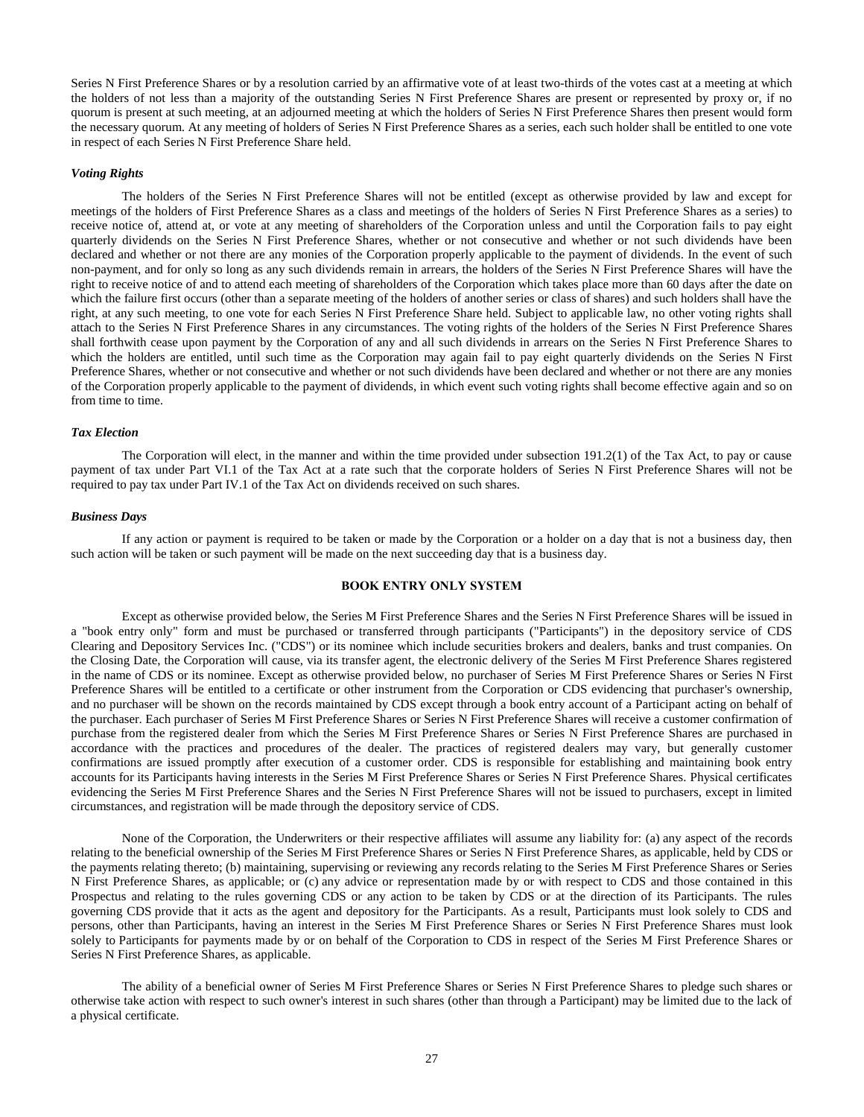Series N First Preference Shares or by a resolution carried by an affirmative vote of at least two-thirds of the votes cast at a meeting at which the holders of not less than a majority of the outstanding Series N First Preference Shares are present or represented by proxy or, if no quorum is present at such meeting, at an adjourned meeting at which the holders of Series N First Preference Shares then present would form the necessary quorum. At any meeting of holders of Series N First Preference Shares as a series, each such holder shall be entitled to one vote in respect of each Series N First Preference Share held.

#### *Voting Rights*

The holders of the Series N First Preference Shares will not be entitled (except as otherwise provided by law and except for meetings of the holders of First Preference Shares as a class and meetings of the holders of Series N First Preference Shares as a series) to receive notice of, attend at, or vote at any meeting of shareholders of the Corporation unless and until the Corporation fails to pay eight quarterly dividends on the Series N First Preference Shares, whether or not consecutive and whether or not such dividends have been declared and whether or not there are any monies of the Corporation properly applicable to the payment of dividends. In the event of such non-payment, and for only so long as any such dividends remain in arrears, the holders of the Series N First Preference Shares will have the right to receive notice of and to attend each meeting of shareholders of the Corporation which takes place more than 60 days after the date on which the failure first occurs (other than a separate meeting of the holders of another series or class of shares) and such holders shall have the right, at any such meeting, to one vote for each Series N First Preference Share held. Subject to applicable law, no other voting rights shall attach to the Series N First Preference Shares in any circumstances. The voting rights of the holders of the Series N First Preference Shares shall forthwith cease upon payment by the Corporation of any and all such dividends in arrears on the Series N First Preference Shares to which the holders are entitled, until such time as the Corporation may again fail to pay eight quarterly dividends on the Series N First Preference Shares, whether or not consecutive and whether or not such dividends have been declared and whether or not there are any monies of the Corporation properly applicable to the payment of dividends, in which event such voting rights shall become effective again and so on from time to time.

#### *Tax Election*

The Corporation will elect, in the manner and within the time provided under subsection 191.2(1) of the Tax Act, to pay or cause payment of tax under Part VI.1 of the Tax Act at a rate such that the corporate holders of Series N First Preference Shares will not be required to pay tax under Part IV.1 of the Tax Act on dividends received on such shares.

#### *Business Days*

If any action or payment is required to be taken or made by the Corporation or a holder on a day that is not a business day, then such action will be taken or such payment will be made on the next succeeding day that is a business day.

## **BOOK ENTRY ONLY SYSTEM**

<span id="page-29-0"></span>Except as otherwise provided below, the Series M First Preference Shares and the Series N First Preference Shares will be issued in a "book entry only" form and must be purchased or transferred through participants ("Participants") in the depository service of CDS Clearing and Depository Services Inc. ("CDS") or its nominee which include securities brokers and dealers, banks and trust companies. On the Closing Date, the Corporation will cause, via its transfer agent, the electronic delivery of the Series M First Preference Shares registered in the name of CDS or its nominee. Except as otherwise provided below, no purchaser of Series M First Preference Shares or Series N First Preference Shares will be entitled to a certificate or other instrument from the Corporation or CDS evidencing that purchaser's ownership, and no purchaser will be shown on the records maintained by CDS except through a book entry account of a Participant acting on behalf of the purchaser. Each purchaser of Series M First Preference Shares or Series N First Preference Shares will receive a customer confirmation of purchase from the registered dealer from which the Series M First Preference Shares or Series N First Preference Shares are purchased in accordance with the practices and procedures of the dealer. The practices of registered dealers may vary, but generally customer confirmations are issued promptly after execution of a customer order. CDS is responsible for establishing and maintaining book entry accounts for its Participants having interests in the Series M First Preference Shares or Series N First Preference Shares. Physical certificates evidencing the Series M First Preference Shares and the Series N First Preference Shares will not be issued to purchasers, except in limited circumstances, and registration will be made through the depository service of CDS.

None of the Corporation, the Underwriters or their respective affiliates will assume any liability for: (a) any aspect of the records relating to the beneficial ownership of the Series M First Preference Shares or Series N First Preference Shares, as applicable, held by CDS or the payments relating thereto; (b) maintaining, supervising or reviewing any records relating to the Series M First Preference Shares or Series N First Preference Shares, as applicable; or (c) any advice or representation made by or with respect to CDS and those contained in this Prospectus and relating to the rules governing CDS or any action to be taken by CDS or at the direction of its Participants. The rules governing CDS provide that it acts as the agent and depository for the Participants. As a result, Participants must look solely to CDS and persons, other than Participants, having an interest in the Series M First Preference Shares or Series N First Preference Shares must look solely to Participants for payments made by or on behalf of the Corporation to CDS in respect of the Series M First Preference Shares or Series N First Preference Shares, as applicable.

The ability of a beneficial owner of Series M First Preference Shares or Series N First Preference Shares to pledge such shares or otherwise take action with respect to such owner's interest in such shares (other than through a Participant) may be limited due to the lack of a physical certificate.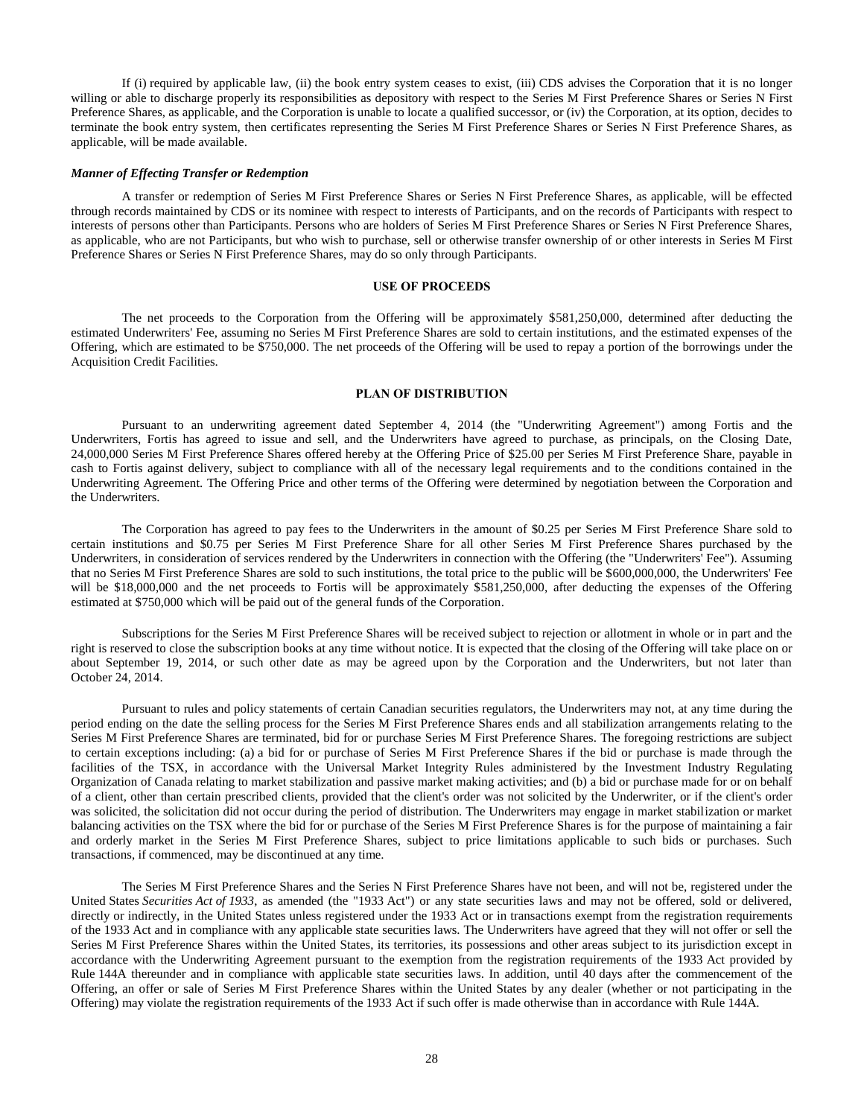If (i) required by applicable law, (ii) the book entry system ceases to exist, (iii) CDS advises the Corporation that it is no longer willing or able to discharge properly its responsibilities as depository with respect to the Series M First Preference Shares or Series N First Preference Shares, as applicable, and the Corporation is unable to locate a qualified successor, or (iv) the Corporation, at its option, decides to terminate the book entry system, then certificates representing the Series M First Preference Shares or Series N First Preference Shares, as applicable, will be made available.

#### *Manner of Effecting Transfer or Redemption*

A transfer or redemption of Series M First Preference Shares or Series N First Preference Shares, as applicable, will be effected through records maintained by CDS or its nominee with respect to interests of Participants, and on the records of Participants with respect to interests of persons other than Participants. Persons who are holders of Series M First Preference Shares or Series N First Preference Shares, as applicable, who are not Participants, but who wish to purchase, sell or otherwise transfer ownership of or other interests in Series M First Preference Shares or Series N First Preference Shares, may do so only through Participants.

## **USE OF PROCEEDS**

<span id="page-30-0"></span>The net proceeds to the Corporation from the Offering will be approximately \$581,250,000, determined after deducting the estimated Underwriters' Fee, assuming no Series M First Preference Shares are sold to certain institutions, and the estimated expenses of the Offering, which are estimated to be \$750,000. The net proceeds of the Offering will be used to repay a portion of the borrowings under the Acquisition Credit Facilities.

## **PLAN OF DISTRIBUTION**

<span id="page-30-1"></span>Pursuant to an underwriting agreement dated September 4, 2014 (the "Underwriting Agreement") among Fortis and the Underwriters, Fortis has agreed to issue and sell, and the Underwriters have agreed to purchase, as principals, on the Closing Date, 24,000,000 Series M First Preference Shares offered hereby at the Offering Price of \$25.00 per Series M First Preference Share, payable in cash to Fortis against delivery, subject to compliance with all of the necessary legal requirements and to the conditions contained in the Underwriting Agreement. The Offering Price and other terms of the Offering were determined by negotiation between the Corporation and the Underwriters.

The Corporation has agreed to pay fees to the Underwriters in the amount of \$0.25 per Series M First Preference Share sold to certain institutions and \$0.75 per Series M First Preference Share for all other Series M First Preference Shares purchased by the Underwriters, in consideration of services rendered by the Underwriters in connection with the Offering (the "Underwriters' Fee"). Assuming that no Series M First Preference Shares are sold to such institutions, the total price to the public will be \$600,000,000, the Underwriters' Fee will be \$18,000,000 and the net proceeds to Fortis will be approximately \$581,250,000, after deducting the expenses of the Offering estimated at \$750,000 which will be paid out of the general funds of the Corporation.

Subscriptions for the Series M First Preference Shares will be received subject to rejection or allotment in whole or in part and the right is reserved to close the subscription books at any time without notice. It is expected that the closing of the Offering will take place on or about September 19, 2014, or such other date as may be agreed upon by the Corporation and the Underwriters, but not later than October 24, 2014.

Pursuant to rules and policy statements of certain Canadian securities regulators, the Underwriters may not, at any time during the period ending on the date the selling process for the Series M First Preference Shares ends and all stabilization arrangements relating to the Series M First Preference Shares are terminated, bid for or purchase Series M First Preference Shares. The foregoing restrictions are subject to certain exceptions including: (a) a bid for or purchase of Series M First Preference Shares if the bid or purchase is made through the facilities of the TSX, in accordance with the Universal Market Integrity Rules administered by the Investment Industry Regulating Organization of Canada relating to market stabilization and passive market making activities; and (b) a bid or purchase made for or on behalf of a client, other than certain prescribed clients, provided that the client's order was not solicited by the Underwriter, or if the client's order was solicited, the solicitation did not occur during the period of distribution. The Underwriters may engage in market stabilization or market balancing activities on the TSX where the bid for or purchase of the Series M First Preference Shares is for the purpose of maintaining a fair and orderly market in the Series M First Preference Shares, subject to price limitations applicable to such bids or purchases. Such transactions, if commenced, may be discontinued at any time.

The Series M First Preference Shares and the Series N First Preference Shares have not been, and will not be, registered under the United States *Securities Act of 1933*, as amended (the "1933 Act") or any state securities laws and may not be offered, sold or delivered, directly or indirectly, in the United States unless registered under the 1933 Act or in transactions exempt from the registration requirements of the 1933 Act and in compliance with any applicable state securities laws. The Underwriters have agreed that they will not offer or sell the Series M First Preference Shares within the United States, its territories, its possessions and other areas subject to its jurisdiction except in accordance with the Underwriting Agreement pursuant to the exemption from the registration requirements of the 1933 Act provided by Rule 144A thereunder and in compliance with applicable state securities laws. In addition, until 40 days after the commencement of the Offering, an offer or sale of Series M First Preference Shares within the United States by any dealer (whether or not participating in the Offering) may violate the registration requirements of the 1933 Act if such offer is made otherwise than in accordance with Rule 144A.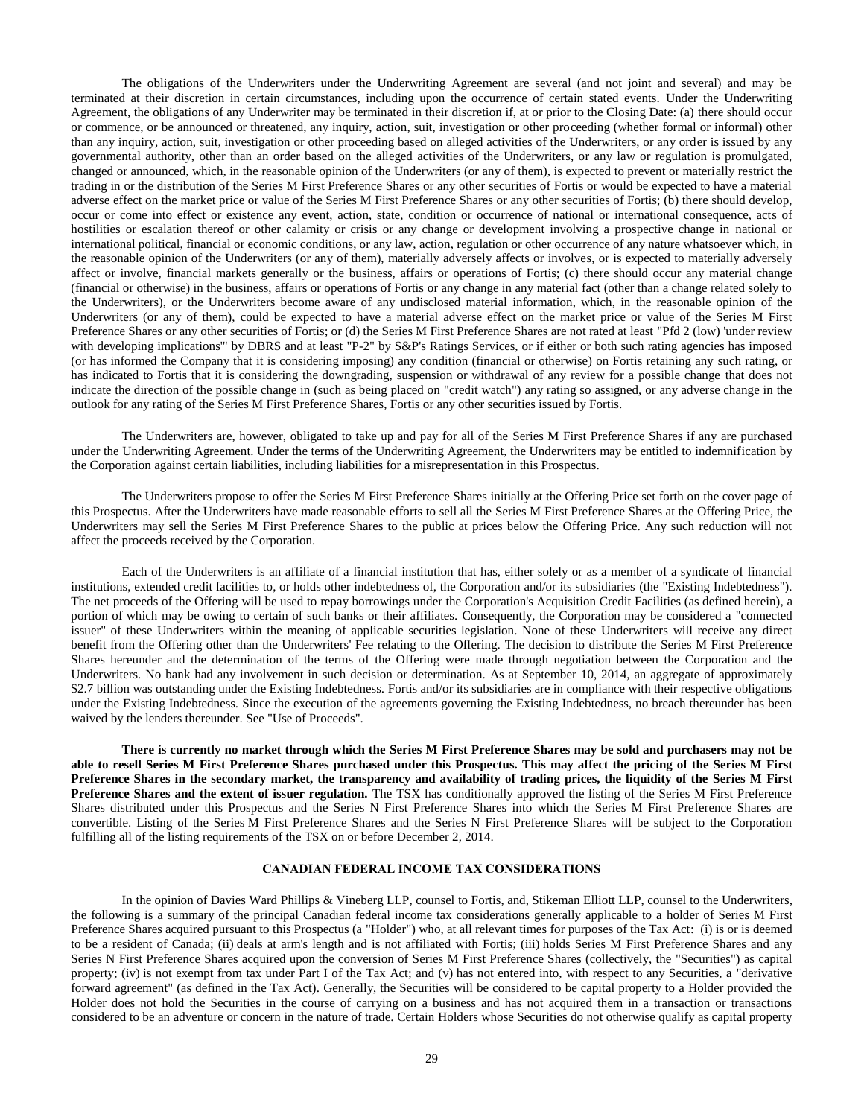The obligations of the Underwriters under the Underwriting Agreement are several (and not joint and several) and may be terminated at their discretion in certain circumstances, including upon the occurrence of certain stated events. Under the Underwriting Agreement, the obligations of any Underwriter may be terminated in their discretion if, at or prior to the Closing Date: (a) there should occur or commence, or be announced or threatened, any inquiry, action, suit, investigation or other proceeding (whether formal or informal) other than any inquiry, action, suit, investigation or other proceeding based on alleged activities of the Underwriters, or any order is issued by any governmental authority, other than an order based on the alleged activities of the Underwriters, or any law or regulation is promulgated, changed or announced, which, in the reasonable opinion of the Underwriters (or any of them), is expected to prevent or materially restrict the trading in or the distribution of the Series M First Preference Shares or any other securities of Fortis or would be expected to have a material adverse effect on the market price or value of the Series M First Preference Shares or any other securities of Fortis; (b) there should develop, occur or come into effect or existence any event, action, state, condition or occurrence of national or international consequence, acts of hostilities or escalation thereof or other calamity or crisis or any change or development involving a prospective change in national or international political, financial or economic conditions, or any law, action, regulation or other occurrence of any nature whatsoever which, in the reasonable opinion of the Underwriters (or any of them), materially adversely affects or involves, or is expected to materially adversely affect or involve, financial markets generally or the business, affairs or operations of Fortis; (c) there should occur any material change (financial or otherwise) in the business, affairs or operations of Fortis or any change in any material fact (other than a change related solely to the Underwriters), or the Underwriters become aware of any undisclosed material information, which, in the reasonable opinion of the Underwriters (or any of them), could be expected to have a material adverse effect on the market price or value of the Series M First Preference Shares or any other securities of Fortis; or (d) the Series M First Preference Shares are not rated at least "Pfd 2 (low) 'under review with developing implications" by DBRS and at least "P-2" by S&P's Ratings Services, or if either or both such rating agencies has imposed (or has informed the Company that it is considering imposing) any condition (financial or otherwise) on Fortis retaining any such rating, or has indicated to Fortis that it is considering the downgrading, suspension or withdrawal of any review for a possible change that does not indicate the direction of the possible change in (such as being placed on "credit watch") any rating so assigned, or any adverse change in the outlook for any rating of the Series M First Preference Shares, Fortis or any other securities issued by Fortis.

The Underwriters are, however, obligated to take up and pay for all of the Series M First Preference Shares if any are purchased under the Underwriting Agreement. Under the terms of the Underwriting Agreement, the Underwriters may be entitled to indemnification by the Corporation against certain liabilities, including liabilities for a misrepresentation in this Prospectus.

The Underwriters propose to offer the Series M First Preference Shares initially at the Offering Price set forth on the cover page of this Prospectus. After the Underwriters have made reasonable efforts to sell all the Series M First Preference Shares at the Offering Price, the Underwriters may sell the Series M First Preference Shares to the public at prices below the Offering Price. Any such reduction will not affect the proceeds received by the Corporation.

Each of the Underwriters is an affiliate of a financial institution that has, either solely or as a member of a syndicate of financial institutions, extended credit facilities to, or holds other indebtedness of, the Corporation and/or its subsidiaries (the "Existing Indebtedness"). The net proceeds of the Offering will be used to repay borrowings under the Corporation's Acquisition Credit Facilities (as defined herein), a portion of which may be owing to certain of such banks or their affiliates. Consequently, the Corporation may be considered a "connected issuer" of these Underwriters within the meaning of applicable securities legislation. None of these Underwriters will receive any direct benefit from the Offering other than the Underwriters' Fee relating to the Offering. The decision to distribute the Series M First Preference Shares hereunder and the determination of the terms of the Offering were made through negotiation between the Corporation and the Underwriters. No bank had any involvement in such decision or determination. As at September 10, 2014, an aggregate of approximately \$2.7 billion was outstanding under the Existing Indebtedness. Fortis and/or its subsidiaries are in compliance with their respective obligations under the Existing Indebtedness. Since the execution of the agreements governing the Existing Indebtedness, no breach thereunder has been waived by the lenders thereunder. See "Use of Proceeds".

**There is currently no market through which the Series M First Preference Shares may be sold and purchasers may not be able to resell Series M First Preference Shares purchased under this Prospectus. This may affect the pricing of the Series M First Preference Shares in the secondary market, the transparency and availability of trading prices, the liquidity of the Series M First Preference Shares and the extent of issuer regulation.** The TSX has conditionally approved the listing of the Series M First Preference Shares distributed under this Prospectus and the Series N First Preference Shares into which the Series M First Preference Shares are convertible. Listing of the Series M First Preference Shares and the Series N First Preference Shares will be subject to the Corporation fulfilling all of the listing requirements of the TSX on or before December 2, 2014.

# **CANADIAN FEDERAL INCOME TAX CONSIDERATIONS**

<span id="page-31-0"></span>In the opinion of Davies Ward Phillips & Vineberg LLP, counsel to Fortis, and, Stikeman Elliott LLP, counsel to the Underwriters, the following is a summary of the principal Canadian federal income tax considerations generally applicable to a holder of Series M First Preference Shares acquired pursuant to this Prospectus (a "Holder") who, at all relevant times for purposes of the Tax Act: (i) is or is deemed to be a resident of Canada; (ii) deals at arm's length and is not affiliated with Fortis; (iii) holds Series M First Preference Shares and any Series N First Preference Shares acquired upon the conversion of Series M First Preference Shares (collectively, the "Securities") as capital property; (iv) is not exempt from tax under Part I of the Tax Act; and (v) has not entered into, with respect to any Securities, a "derivative forward agreement" (as defined in the Tax Act). Generally, the Securities will be considered to be capital property to a Holder provided the Holder does not hold the Securities in the course of carrying on a business and has not acquired them in a transaction or transactions considered to be an adventure or concern in the nature of trade. Certain Holders whose Securities do not otherwise qualify as capital property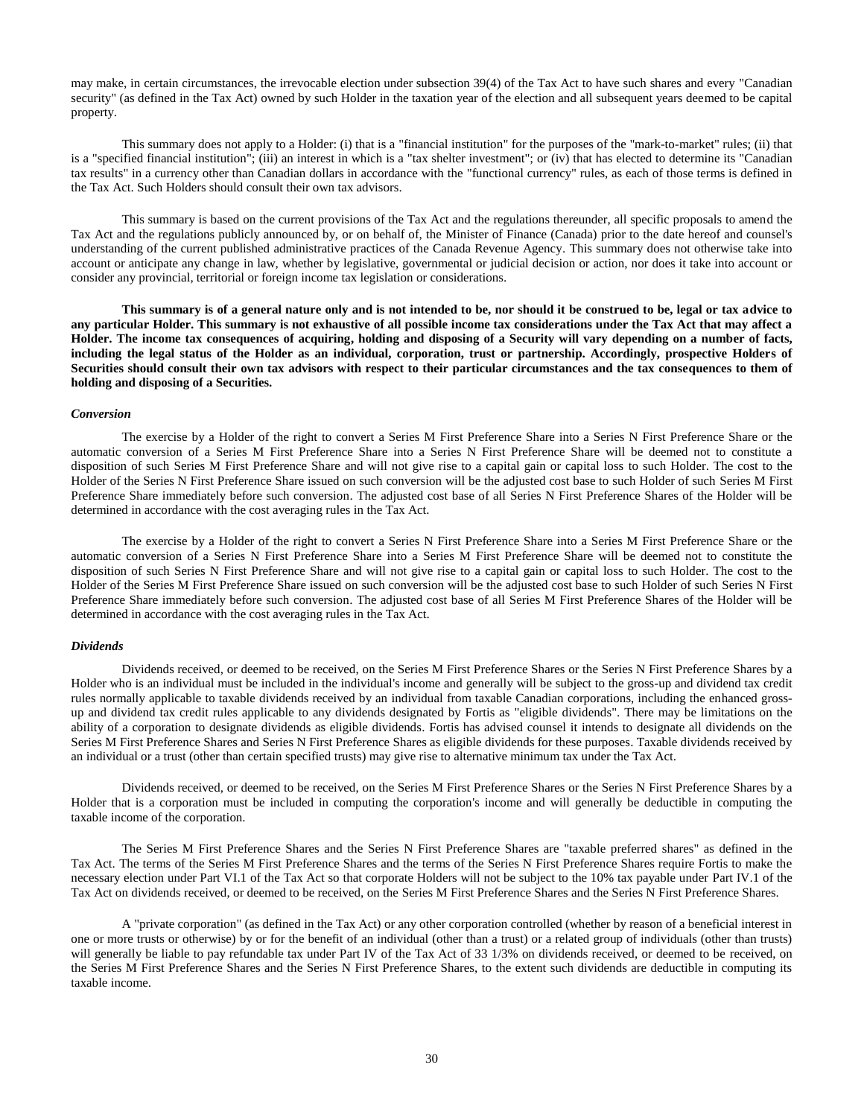may make, in certain circumstances, the irrevocable election under subsection 39(4) of the Tax Act to have such shares and every "Canadian security" (as defined in the Tax Act) owned by such Holder in the taxation year of the election and all subsequent years deemed to be capital property.

This summary does not apply to a Holder: (i) that is a "financial institution" for the purposes of the "mark-to-market" rules; (ii) that is a "specified financial institution"; (iii) an interest in which is a "tax shelter investment"; or (iv) that has elected to determine its "Canadian tax results" in a currency other than Canadian dollars in accordance with the "functional currency" rules, as each of those terms is defined in the Tax Act. Such Holders should consult their own tax advisors.

This summary is based on the current provisions of the Tax Act and the regulations thereunder, all specific proposals to amend the Tax Act and the regulations publicly announced by, or on behalf of, the Minister of Finance (Canada) prior to the date hereof and counsel's understanding of the current published administrative practices of the Canada Revenue Agency. This summary does not otherwise take into account or anticipate any change in law, whether by legislative, governmental or judicial decision or action, nor does it take into account or consider any provincial, territorial or foreign income tax legislation or considerations.

**This summary is of a general nature only and is not intended to be, nor should it be construed to be, legal or tax advice to any particular Holder. This summary is not exhaustive of all possible income tax considerations under the Tax Act that may affect a Holder. The income tax consequences of acquiring, holding and disposing of a Security will vary depending on a number of facts, including the legal status of the Holder as an individual, corporation, trust or partnership. Accordingly, prospective Holders of Securities should consult their own tax advisors with respect to their particular circumstances and the tax consequences to them of holding and disposing of a Securities.**

#### *Conversion*

The exercise by a Holder of the right to convert a Series M First Preference Share into a Series N First Preference Share or the automatic conversion of a Series M First Preference Share into a Series N First Preference Share will be deemed not to constitute a disposition of such Series M First Preference Share and will not give rise to a capital gain or capital loss to such Holder. The cost to the Holder of the Series N First Preference Share issued on such conversion will be the adjusted cost base to such Holder of such Series M First Preference Share immediately before such conversion. The adjusted cost base of all Series N First Preference Shares of the Holder will be determined in accordance with the cost averaging rules in the Tax Act.

The exercise by a Holder of the right to convert a Series N First Preference Share into a Series M First Preference Share or the automatic conversion of a Series N First Preference Share into a Series M First Preference Share will be deemed not to constitute the disposition of such Series N First Preference Share and will not give rise to a capital gain or capital loss to such Holder. The cost to the Holder of the Series M First Preference Share issued on such conversion will be the adjusted cost base to such Holder of such Series N First Preference Share immediately before such conversion. The adjusted cost base of all Series M First Preference Shares of the Holder will be determined in accordance with the cost averaging rules in the Tax Act.

#### *Dividends*

Dividends received, or deemed to be received, on the Series M First Preference Shares or the Series N First Preference Shares by a Holder who is an individual must be included in the individual's income and generally will be subject to the gross-up and dividend tax credit rules normally applicable to taxable dividends received by an individual from taxable Canadian corporations, including the enhanced grossup and dividend tax credit rules applicable to any dividends designated by Fortis as "eligible dividends". There may be limitations on the ability of a corporation to designate dividends as eligible dividends. Fortis has advised counsel it intends to designate all dividends on the Series M First Preference Shares and Series N First Preference Shares as eligible dividends for these purposes. Taxable dividends received by an individual or a trust (other than certain specified trusts) may give rise to alternative minimum tax under the Tax Act.

Dividends received, or deemed to be received, on the Series M First Preference Shares or the Series N First Preference Shares by a Holder that is a corporation must be included in computing the corporation's income and will generally be deductible in computing the taxable income of the corporation.

The Series M First Preference Shares and the Series N First Preference Shares are "taxable preferred shares" as defined in the Tax Act. The terms of the Series M First Preference Shares and the terms of the Series N First Preference Shares require Fortis to make the necessary election under Part VI.1 of the Tax Act so that corporate Holders will not be subject to the 10% tax payable under Part IV.1 of the Tax Act on dividends received, or deemed to be received, on the Series M First Preference Shares and the Series N First Preference Shares.

A "private corporation" (as defined in the Tax Act) or any other corporation controlled (whether by reason of a beneficial interest in one or more trusts or otherwise) by or for the benefit of an individual (other than a trust) or a related group of individuals (other than trusts) will generally be liable to pay refundable tax under Part IV of the Tax Act of 33 1/3% on dividends received, or deemed to be received, on the Series M First Preference Shares and the Series N First Preference Shares, to the extent such dividends are deductible in computing its taxable income.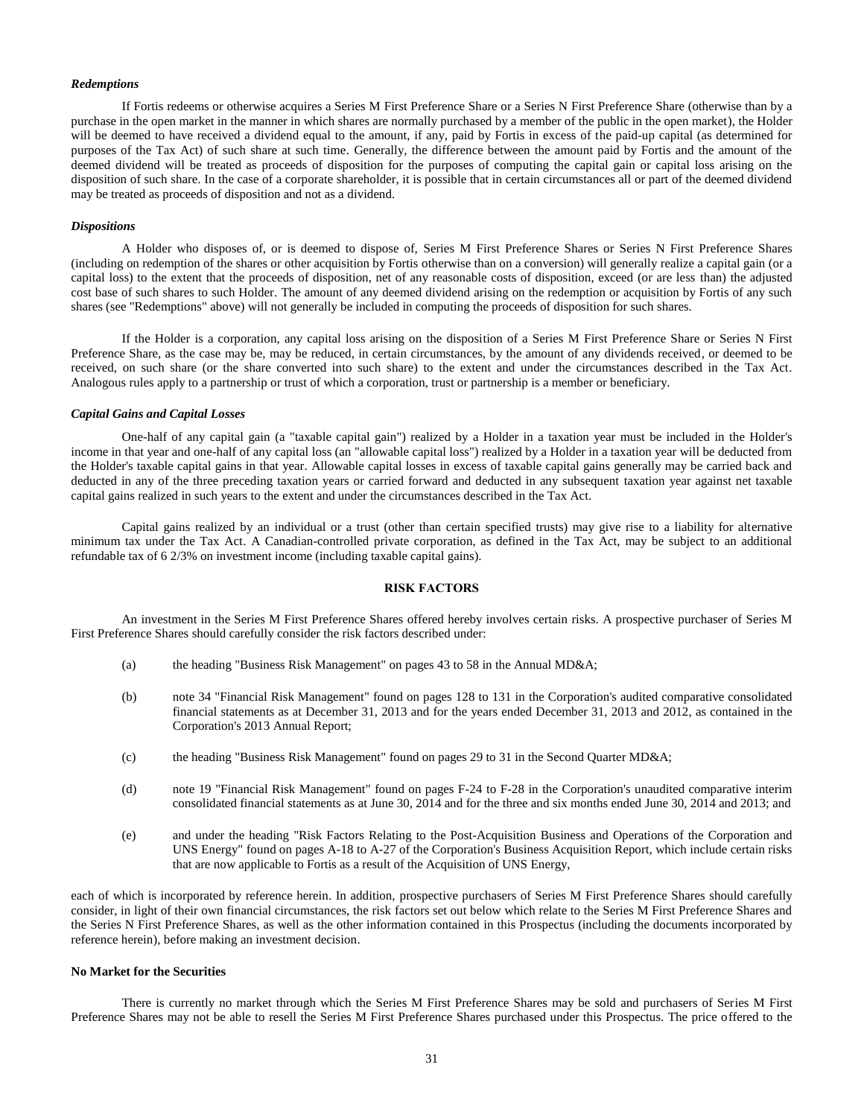#### *Redemptions*

If Fortis redeems or otherwise acquires a Series M First Preference Share or a Series N First Preference Share (otherwise than by a purchase in the open market in the manner in which shares are normally purchased by a member of the public in the open market), the Holder will be deemed to have received a dividend equal to the amount, if any, paid by Fortis in excess of the paid-up capital (as determined for purposes of the Tax Act) of such share at such time. Generally, the difference between the amount paid by Fortis and the amount of the deemed dividend will be treated as proceeds of disposition for the purposes of computing the capital gain or capital loss arising on the disposition of such share. In the case of a corporate shareholder, it is possible that in certain circumstances all or part of the deemed dividend may be treated as proceeds of disposition and not as a dividend.

#### *Dispositions*

A Holder who disposes of, or is deemed to dispose of, Series M First Preference Shares or Series N First Preference Shares (including on redemption of the shares or other acquisition by Fortis otherwise than on a conversion) will generally realize a capital gain (or a capital loss) to the extent that the proceeds of disposition, net of any reasonable costs of disposition, exceed (or are less than) the adjusted cost base of such shares to such Holder. The amount of any deemed dividend arising on the redemption or acquisition by Fortis of any such shares (see "Redemptions" above) will not generally be included in computing the proceeds of disposition for such shares.

If the Holder is a corporation, any capital loss arising on the disposition of a Series M First Preference Share or Series N First Preference Share, as the case may be, may be reduced, in certain circumstances, by the amount of any dividends received, or deemed to be received, on such share (or the share converted into such share) to the extent and under the circumstances described in the Tax Act. Analogous rules apply to a partnership or trust of which a corporation, trust or partnership is a member or beneficiary.

#### *Capital Gains and Capital Losses*

One-half of any capital gain (a "taxable capital gain") realized by a Holder in a taxation year must be included in the Holder's income in that year and one-half of any capital loss (an "allowable capital loss") realized by a Holder in a taxation year will be deducted from the Holder's taxable capital gains in that year. Allowable capital losses in excess of taxable capital gains generally may be carried back and deducted in any of the three preceding taxation years or carried forward and deducted in any subsequent taxation year against net taxable capital gains realized in such years to the extent and under the circumstances described in the Tax Act.

Capital gains realized by an individual or a trust (other than certain specified trusts) may give rise to a liability for alternative minimum tax under the Tax Act. A Canadian-controlled private corporation, as defined in the Tax Act, may be subject to an additional refundable tax of 6 2/3% on investment income (including taxable capital gains).

#### **RISK FACTORS**

<span id="page-33-0"></span>An investment in the Series M First Preference Shares offered hereby involves certain risks. A prospective purchaser of Series M First Preference Shares should carefully consider the risk factors described under:

- (a) the heading "Business Risk Management" on pages 43 to 58 in the Annual MD&A;
- (b) note 34 "Financial Risk Management" found on pages 128 to 131 in the Corporation's audited comparative consolidated financial statements as at December 31, 2013 and for the years ended December 31, 2013 and 2012, as contained in the Corporation's 2013 Annual Report;
- (c) the heading "Business Risk Management" found on pages 29 to 31 in the Second Quarter MD&A;
- (d) note 19 "Financial Risk Management" found on pages F-24 to F-28 in the Corporation's unaudited comparative interim consolidated financial statements as at June 30, 2014 and for the three and six months ended June 30, 2014 and 2013; and
- (e) and under the heading "Risk Factors Relating to the Post-Acquisition Business and Operations of the Corporation and UNS Energy" found on pages A-18 to A-27 of the Corporation's Business Acquisition Report, which include certain risks that are now applicable to Fortis as a result of the Acquisition of UNS Energy,

each of which is incorporated by reference herein. In addition, prospective purchasers of Series M First Preference Shares should carefully consider, in light of their own financial circumstances, the risk factors set out below which relate to the Series M First Preference Shares and the Series N First Preference Shares, as well as the other information contained in this Prospectus (including the documents incorporated by reference herein), before making an investment decision.

#### **No Market for the Securities**

There is currently no market through which the Series M First Preference Shares may be sold and purchasers of Series M First Preference Shares may not be able to resell the Series M First Preference Shares purchased under this Prospectus. The price offered to the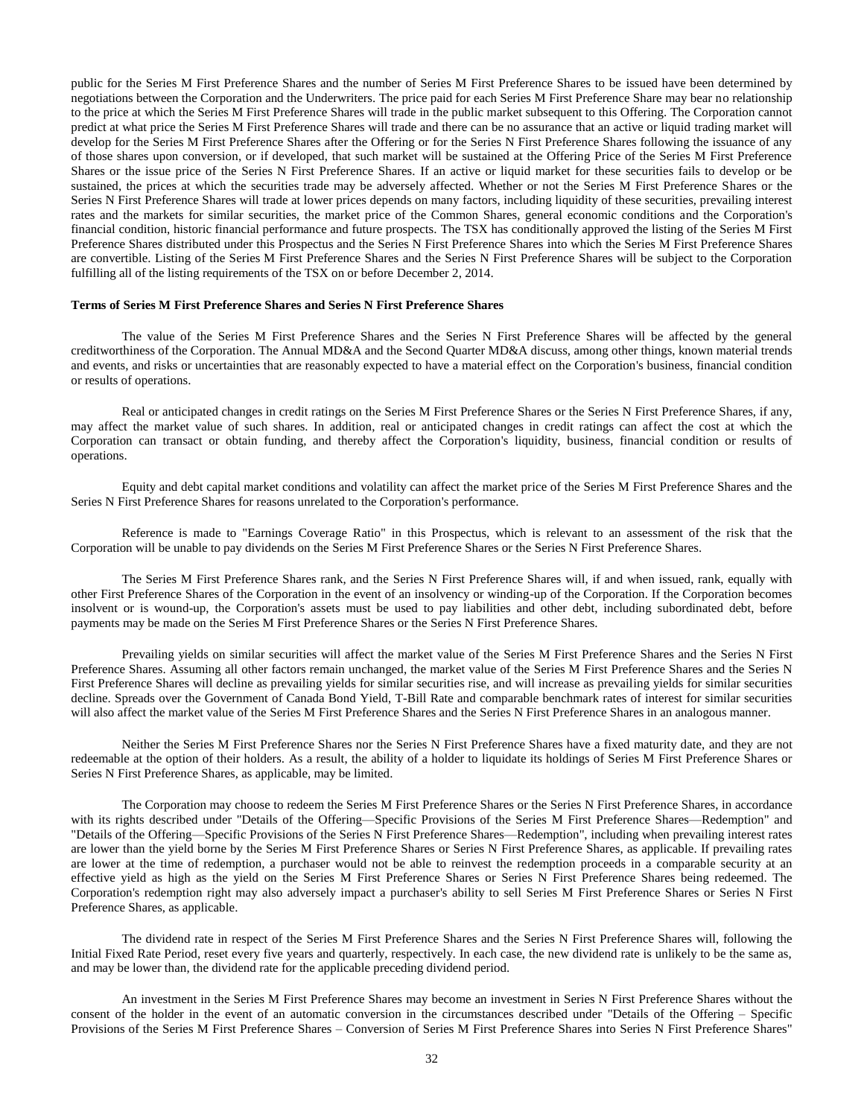public for the Series M First Preference Shares and the number of Series M First Preference Shares to be issued have been determined by negotiations between the Corporation and the Underwriters. The price paid for each Series M First Preference Share may bear no relationship to the price at which the Series M First Preference Shares will trade in the public market subsequent to this Offering. The Corporation cannot predict at what price the Series M First Preference Shares will trade and there can be no assurance that an active or liquid trading market will develop for the Series M First Preference Shares after the Offering or for the Series N First Preference Shares following the issuance of any of those shares upon conversion, or if developed, that such market will be sustained at the Offering Price of the Series M First Preference Shares or the issue price of the Series N First Preference Shares. If an active or liquid market for these securities fails to develop or be sustained, the prices at which the securities trade may be adversely affected. Whether or not the Series M First Preference Shares or the Series N First Preference Shares will trade at lower prices depends on many factors, including liquidity of these securities, prevailing interest rates and the markets for similar securities, the market price of the Common Shares, general economic conditions and the Corporation's financial condition, historic financial performance and future prospects. The TSX has conditionally approved the listing of the Series M First Preference Shares distributed under this Prospectus and the Series N First Preference Shares into which the Series M First Preference Shares are convertible. Listing of the Series M First Preference Shares and the Series N First Preference Shares will be subject to the Corporation fulfilling all of the listing requirements of the TSX on or before December 2, 2014.

#### **Terms of Series M First Preference Shares and Series N First Preference Shares**

The value of the Series M First Preference Shares and the Series N First Preference Shares will be affected by the general creditworthiness of the Corporation. The Annual MD&A and the Second Quarter MD&A discuss, among other things, known material trends and events, and risks or uncertainties that are reasonably expected to have a material effect on the Corporation's business, financial condition or results of operations.

Real or anticipated changes in credit ratings on the Series M First Preference Shares or the Series N First Preference Shares, if any, may affect the market value of such shares. In addition, real or anticipated changes in credit ratings can affect the cost at which the Corporation can transact or obtain funding, and thereby affect the Corporation's liquidity, business, financial condition or results of operations.

Equity and debt capital market conditions and volatility can affect the market price of the Series M First Preference Shares and the Series N First Preference Shares for reasons unrelated to the Corporation's performance.

Reference is made to "Earnings Coverage Ratio" in this Prospectus, which is relevant to an assessment of the risk that the Corporation will be unable to pay dividends on the Series M First Preference Shares or the Series N First Preference Shares.

The Series M First Preference Shares rank, and the Series N First Preference Shares will, if and when issued, rank, equally with other First Preference Shares of the Corporation in the event of an insolvency or winding-up of the Corporation. If the Corporation becomes insolvent or is wound-up, the Corporation's assets must be used to pay liabilities and other debt, including subordinated debt, before payments may be made on the Series M First Preference Shares or the Series N First Preference Shares.

Prevailing yields on similar securities will affect the market value of the Series M First Preference Shares and the Series N First Preference Shares. Assuming all other factors remain unchanged, the market value of the Series M First Preference Shares and the Series N First Preference Shares will decline as prevailing yields for similar securities rise, and will increase as prevailing yields for similar securities decline. Spreads over the Government of Canada Bond Yield, T-Bill Rate and comparable benchmark rates of interest for similar securities will also affect the market value of the Series M First Preference Shares and the Series N First Preference Shares in an analogous manner.

Neither the Series M First Preference Shares nor the Series N First Preference Shares have a fixed maturity date, and they are not redeemable at the option of their holders. As a result, the ability of a holder to liquidate its holdings of Series M First Preference Shares or Series N First Preference Shares, as applicable, may be limited.

The Corporation may choose to redeem the Series M First Preference Shares or the Series N First Preference Shares, in accordance with its rights described under "Details of the Offering—Specific Provisions of the Series M First Preference Shares—Redemption" and "Details of the Offering—Specific Provisions of the Series N First Preference Shares—Redemption", including when prevailing interest rates are lower than the yield borne by the Series M First Preference Shares or Series N First Preference Shares, as applicable. If prevailing rates are lower at the time of redemption, a purchaser would not be able to reinvest the redemption proceeds in a comparable security at an effective yield as high as the yield on the Series M First Preference Shares or Series N First Preference Shares being redeemed. The Corporation's redemption right may also adversely impact a purchaser's ability to sell Series M First Preference Shares or Series N First Preference Shares, as applicable.

The dividend rate in respect of the Series M First Preference Shares and the Series N First Preference Shares will, following the Initial Fixed Rate Period, reset every five years and quarterly, respectively. In each case, the new dividend rate is unlikely to be the same as, and may be lower than, the dividend rate for the applicable preceding dividend period.

An investment in the Series M First Preference Shares may become an investment in Series N First Preference Shares without the consent of the holder in the event of an automatic conversion in the circumstances described under "Details of the Offering – Specific Provisions of the Series M First Preference Shares – Conversion of Series M First Preference Shares into Series N First Preference Shares"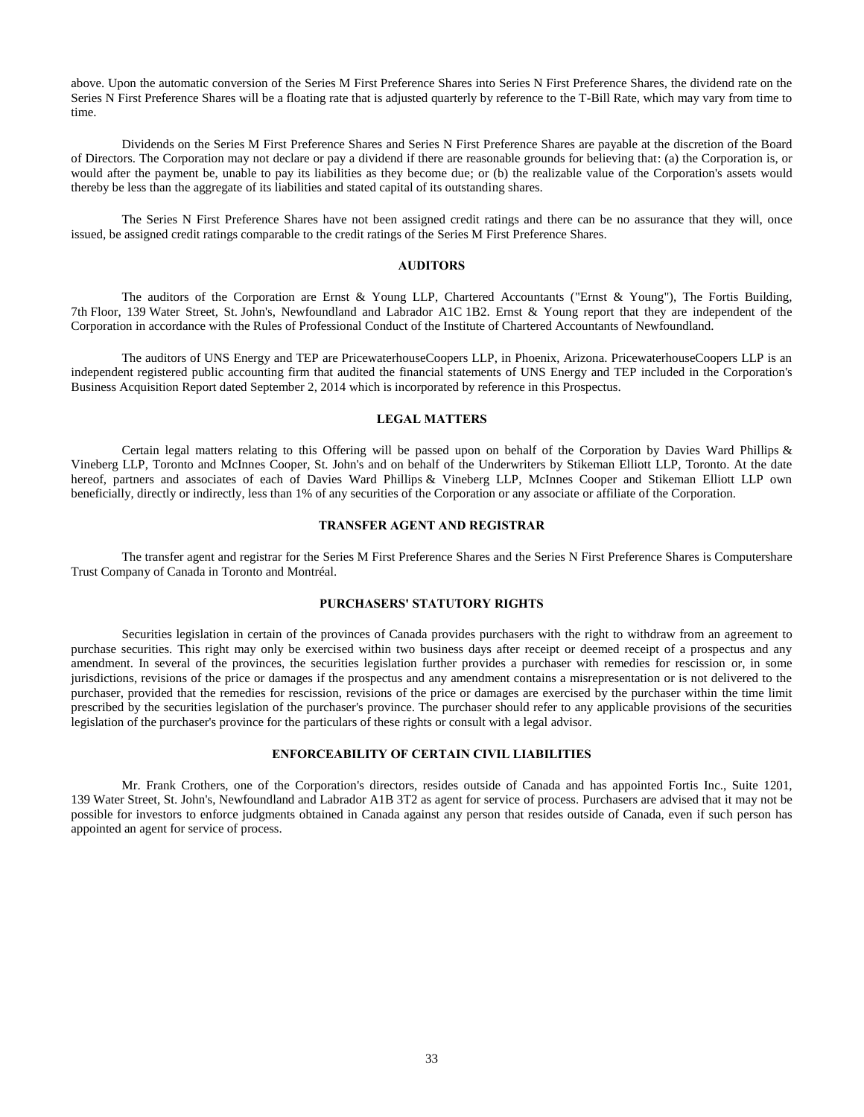above. Upon the automatic conversion of the Series M First Preference Shares into Series N First Preference Shares, the dividend rate on the Series N First Preference Shares will be a floating rate that is adjusted quarterly by reference to the T-Bill Rate, which may vary from time to time.

Dividends on the Series M First Preference Shares and Series N First Preference Shares are payable at the discretion of the Board of Directors. The Corporation may not declare or pay a dividend if there are reasonable grounds for believing that: (a) the Corporation is, or would after the payment be, unable to pay its liabilities as they become due; or (b) the realizable value of the Corporation's assets would thereby be less than the aggregate of its liabilities and stated capital of its outstanding shares.

The Series N First Preference Shares have not been assigned credit ratings and there can be no assurance that they will, once issued, be assigned credit ratings comparable to the credit ratings of the Series M First Preference Shares.

## **AUDITORS**

<span id="page-35-0"></span>The auditors of the Corporation are Ernst & Young LLP, Chartered Accountants ("Ernst & Young"), The Fortis Building, 7th Floor, 139 Water Street, St. John's, Newfoundland and Labrador A1C 1B2. Ernst & Young report that they are independent of the Corporation in accordance with the Rules of Professional Conduct of the Institute of Chartered Accountants of Newfoundland.

The auditors of UNS Energy and TEP are PricewaterhouseCoopers LLP, in Phoenix, Arizona. PricewaterhouseCoopers LLP is an independent registered public accounting firm that audited the financial statements of UNS Energy and TEP included in the Corporation's Business Acquisition Report dated September 2, 2014 which is incorporated by reference in this Prospectus.

## **LEGAL MATTERS**

<span id="page-35-1"></span>Certain legal matters relating to this Offering will be passed upon on behalf of the Corporation by Davies Ward Phillips & Vineberg LLP, Toronto and McInnes Cooper, St. John's and on behalf of the Underwriters by Stikeman Elliott LLP, Toronto. At the date hereof, partners and associates of each of Davies Ward Phillips & Vineberg LLP, McInnes Cooper and Stikeman Elliott LLP own beneficially, directly or indirectly, less than 1% of any securities of the Corporation or any associate or affiliate of the Corporation.

## **TRANSFER AGENT AND REGISTRAR**

<span id="page-35-2"></span>The transfer agent and registrar for the Series M First Preference Shares and the Series N First Preference Shares is Computershare Trust Company of Canada in Toronto and Montréal.

## **PURCHASERS' STATUTORY RIGHTS**

<span id="page-35-3"></span>Securities legislation in certain of the provinces of Canada provides purchasers with the right to withdraw from an agreement to purchase securities. This right may only be exercised within two business days after receipt or deemed receipt of a prospectus and any amendment. In several of the provinces, the securities legislation further provides a purchaser with remedies for rescission or, in some jurisdictions, revisions of the price or damages if the prospectus and any amendment contains a misrepresentation or is not delivered to the purchaser, provided that the remedies for rescission, revisions of the price or damages are exercised by the purchaser within the time limit prescribed by the securities legislation of the purchaser's province. The purchaser should refer to any applicable provisions of the securities legislation of the purchaser's province for the particulars of these rights or consult with a legal advisor.

## **ENFORCEABILITY OF CERTAIN CIVIL LIABILITIES**

<span id="page-35-4"></span>Mr. Frank Crothers, one of the Corporation's directors, resides outside of Canada and has appointed Fortis Inc., Suite 1201, 139 Water Street, St. John's, Newfoundland and Labrador A1B 3T2 as agent for service of process. Purchasers are advised that it may not be possible for investors to enforce judgments obtained in Canada against any person that resides outside of Canada, even if such person has appointed an agent for service of process.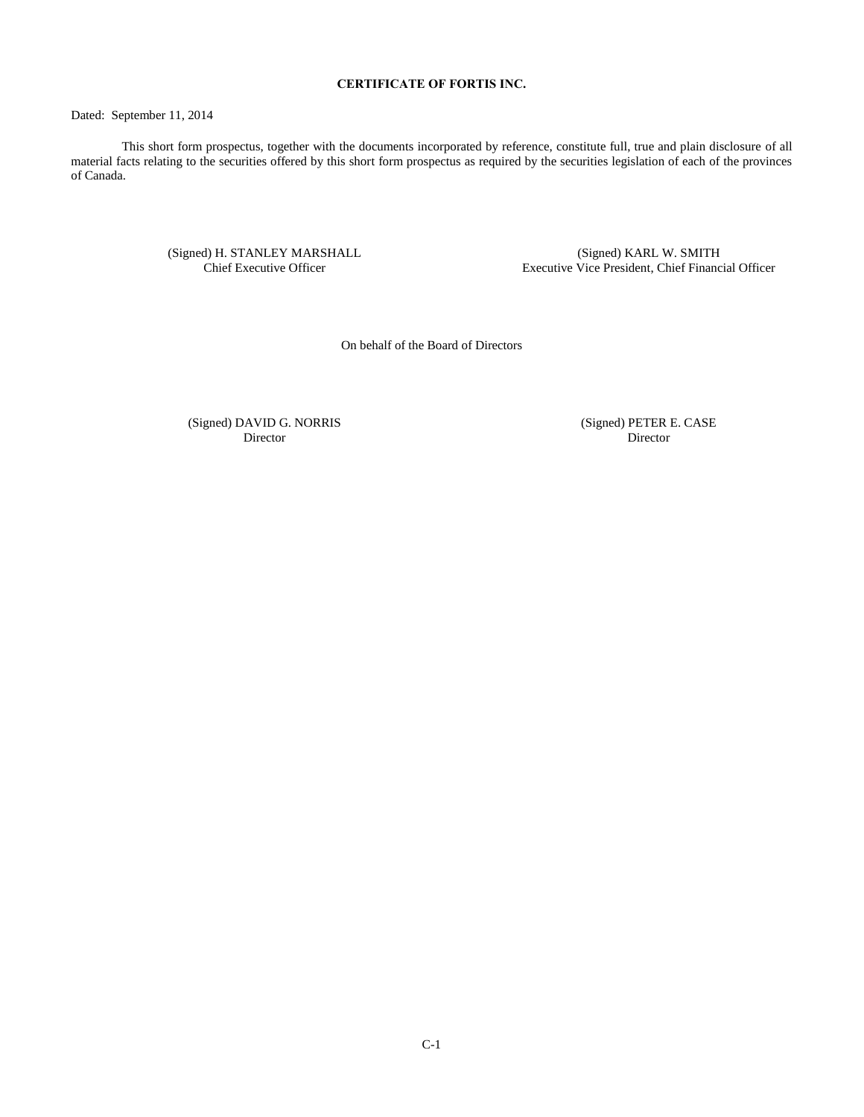## **CERTIFICATE OF FORTIS INC.**

<span id="page-36-0"></span>Dated: September 11, 2014

This short form prospectus, together with the documents incorporated by reference, constitute full, true and plain disclosure of all material facts relating to the securities offered by this short form prospectus as required by the securities legislation of each of the provinces of Canada.

> (Signed) H. STANLEY MARSHALL Chief Executive Officer

(Signed) KARL W. SMITH Executive Vice President, Chief Financial Officer

On behalf of the Board of Directors

(Signed) DAVID G. NORRIS Director

(Signed) PETER E. CASE Director